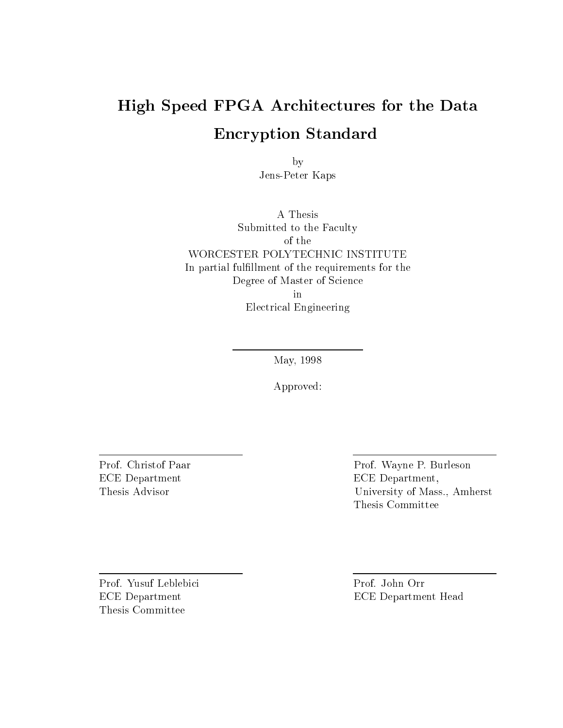## High Speed FPGA Architectures for the Data Encryption Standard

by Jens-Peter Kaps

A Thesis Submitted to the Faculty of the In partial fulfillment of the requirements for the Degree of Master of Science in Electrical Engineering

May, 1998

Approved:

ECE Department ECE Department,

Prof. Christof Paar Prof. Wayne P. Burleson Thesis Advisor University of Mass., Amherst Thesis Committee

Prof. Yusuf Leblebici Prof. John Orr Thesis Committee

ECE Department ECE Department Head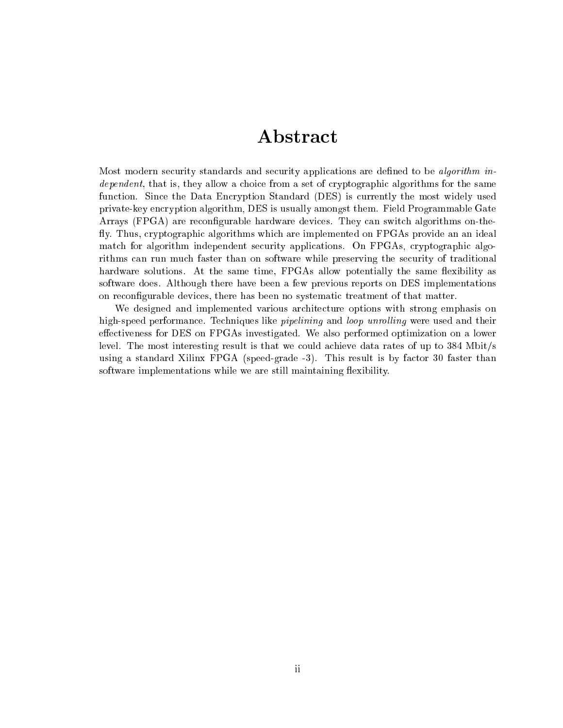### Abstract

Most modern security standards and security applications are defined to be *algorithm in*dependent, that is, they allow a choice from a set of cryptographic algorithms for the same function. Since the Data Encryption Standard (DES) is currently the most widely used private-key encryption algorithm, DES is usually amongst them. Field Programmable Gate Arrays (FPGA) are recongurable hardware devices. They can switch algorithms on-the fly. Thus, cryptographic algorithms which are implemented on FPGAs provide an an ideal match for algorithm independent security applications. On FPGAs, cryptographic algorithms can run much faster than on software while preserving the security of traditional hardware solutions. At the same time, FPGAs allow potentially the same flexibility as software does. Although there have been a few previous reports on DES implementations on recongurable devices, there has been no systematic treatment of that matter.

We designed and implemented various architecture options with strong emphasis on high-speed performance. Techniques like *pipelining* and *loop unrolling* were used and their effectiveness for DES on FPGAs investigated. We also performed optimization on a lower level. The most interesting result is that we could achieve data rates of up to 384 Mbit/s using a standard Xilinx FPGA (speed-grade -3). This result is by factor 30 faster than software implementations while we are still maintaining flexibility.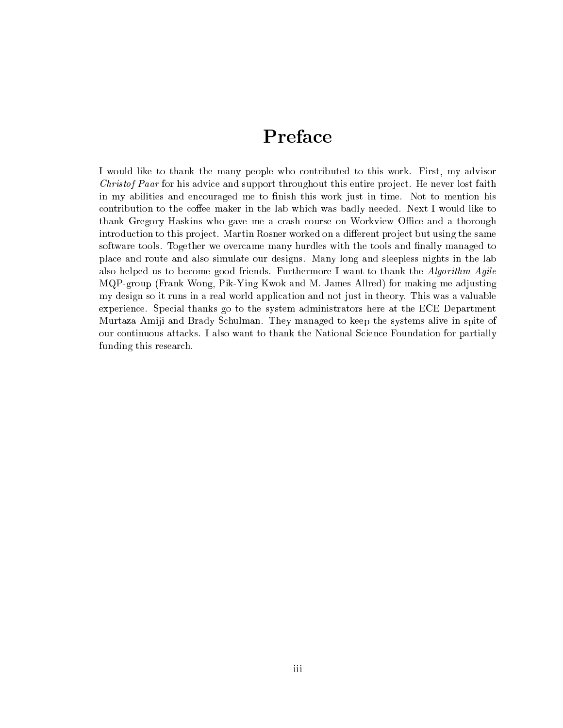## Preface

I would like to thank the many people who contributed to this work. First, my advisor Christof Paar for his advice and support throughout this entire project. He never lost faith in my abilities and encouraged me to finish this work just in time. Not to mention his contribution to the coffee maker in the lab which was badly needed. Next I would like to thank Gregory Haskins who gave me a crash course on Workview Office and a thorough introduction to this project. Martin Rosner worked on a different project but using the same software tools. Together we overcame many hurdles with the tools and finally managed to place and route and also simulate our designs. Many long and sleepless nights in the lab also helped us to become good friends. Furthermore I want to thank the Algorithm Agile MQP-group (Frank Wong, Pik-Ying Kwok and M. James Allred) for making me adjusting my design so it runs in a real world application and not just in theory. This was a valuable experience. Special thanks go to the system administrators here at the ECE Department Murtaza Amiji and Brady Schulman. They managed to keep the systems alive in spite of our continuous attacks. I also want to thank the National Science Foundation for partially funding this research.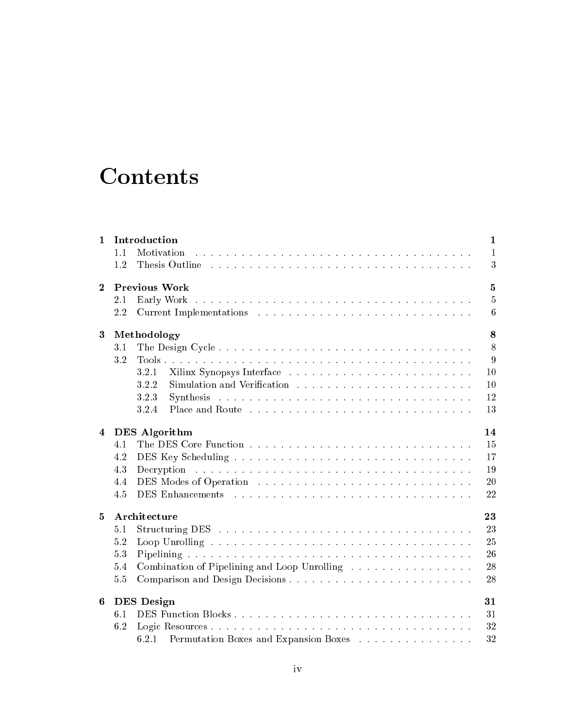## **Contents**

| $\mathbf{1}$ | Introduction                                                                                                                      | $\mathbf{1}$   |
|--------------|-----------------------------------------------------------------------------------------------------------------------------------|----------------|
|              | Motivation<br>1.1                                                                                                                 | $\mathbf{1}$   |
|              | 1.2                                                                                                                               | 3              |
| $\bf{2}$     | <b>Previous Work</b>                                                                                                              | $\overline{5}$ |
|              | 2.1                                                                                                                               | $\overline{5}$ |
|              | 2.2                                                                                                                               | 6              |
| 3            | Methodology                                                                                                                       | $\bf8$         |
|              | 3.1                                                                                                                               | 8              |
|              | 3.2                                                                                                                               | 9              |
|              | 3.2.1                                                                                                                             | 10             |
|              | 3.2.2                                                                                                                             | 10             |
|              | 3.2.3                                                                                                                             | 12             |
|              | 3.2.4                                                                                                                             | 13             |
| 4            | <b>DES</b> Algorithm                                                                                                              | 14             |
|              | 4.1                                                                                                                               | 15             |
|              | 4.2                                                                                                                               | 17             |
|              | المتعاونة والمتعاونة والمتعاونة والمتعاونة والمتعاونة والمتعاونة والمتعاونة والمتعاونة والمتعاونة والمتعاونة<br>4.3<br>Decryption | 19             |
|              | 4.4                                                                                                                               | 20             |
|              | 4.5                                                                                                                               | 22             |
| 5            | Architecture                                                                                                                      | 23             |
|              | 5.1                                                                                                                               | 23             |
|              | 5.2                                                                                                                               | 25             |
|              | 5.3                                                                                                                               | 26             |
|              | Combination of Pipelining and Loop Unrolling<br>5.4                                                                               | 28             |
|              | Comparison and Design Decisions<br>5.5                                                                                            | 28             |
| 6            | <b>DES</b> Design                                                                                                                 | 31             |
|              | DES Function Blocks<br>6.1                                                                                                        | 31             |
|              | 6.2                                                                                                                               | 32             |
|              | Permutation Boxes and Expansion Boxes<br>6.2.1                                                                                    | 32             |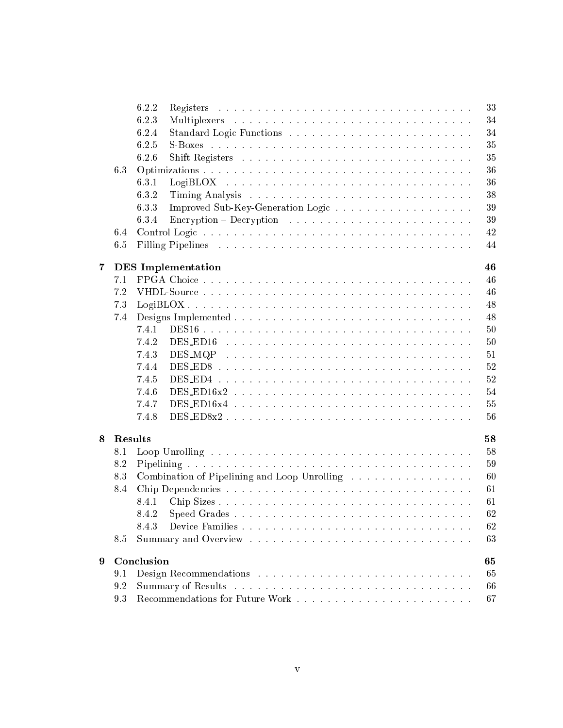|                  |         | 6.2.2<br>33                                                                                      |
|------------------|---------|--------------------------------------------------------------------------------------------------|
|                  |         | 34<br>6.2.3                                                                                      |
|                  |         | 34<br>6.2.4                                                                                      |
|                  |         | 35<br>6.2.5                                                                                      |
|                  |         | 35<br>6.2.6                                                                                      |
|                  | 6.3     | 36                                                                                               |
|                  |         | 36<br>6.3.1                                                                                      |
|                  |         | 38<br>6.3.2                                                                                      |
|                  |         | 39<br>6.3.3                                                                                      |
|                  |         | 39<br>Encryption – Decryption $\ldots \ldots \ldots \ldots \ldots \ldots \ldots \ldots$<br>6.3.4 |
|                  | 6.4     | 42                                                                                               |
|                  | 6.5     | 44                                                                                               |
|                  |         |                                                                                                  |
| $\overline{7}$   |         | 46<br><b>DES</b> Implementation                                                                  |
|                  | 7.1     | 46                                                                                               |
|                  | 7.2     | 46                                                                                               |
|                  | 7.3     | 48                                                                                               |
|                  | 7.4     | 48                                                                                               |
|                  |         | 50<br>7.4.1                                                                                      |
|                  |         | 50<br>7.4.2                                                                                      |
|                  |         | 51<br>7.4.3                                                                                      |
|                  |         | 52<br>7.4.4                                                                                      |
|                  |         | 52<br>7.4.5                                                                                      |
|                  |         | 54<br>7.4.6                                                                                      |
|                  |         | 55<br>7.4.7                                                                                      |
|                  |         | 7.4.8<br>56                                                                                      |
| 8                | Results | 58                                                                                               |
|                  | 8.1     | 58                                                                                               |
|                  | 8.2     | 59                                                                                               |
|                  | 8.3     | Combination of Pipelining and Loop Unrolling<br>60                                               |
|                  | 8.4     | 61                                                                                               |
|                  |         | 61<br>8.4.1                                                                                      |
|                  |         | 62                                                                                               |
|                  |         | 62<br>8.4.3                                                                                      |
|                  | 8.5     | 63                                                                                               |
|                  |         |                                                                                                  |
| $\boldsymbol{9}$ |         | Conclusion<br>65                                                                                 |
|                  | 9.1     | 65                                                                                               |
|                  | 9.2     | 66                                                                                               |
|                  | 9.3     | 67                                                                                               |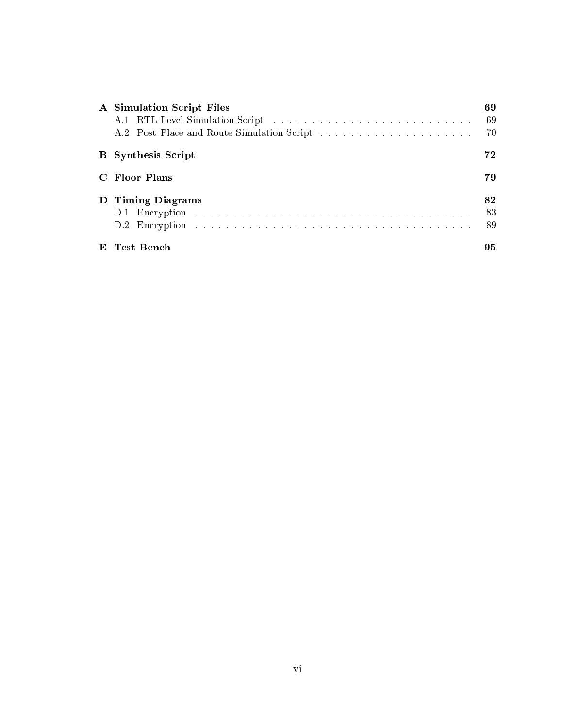|    | A Simulation Script Files | 69<br>-69<br>-70 |
|----|---------------------------|------------------|
|    | <b>B</b> Synthesis Script | 72               |
|    | C. Floor Plans            | 79               |
|    | D Timing Diagrams         | 82<br>83<br>89   |
| E. | Test Bench                | 95               |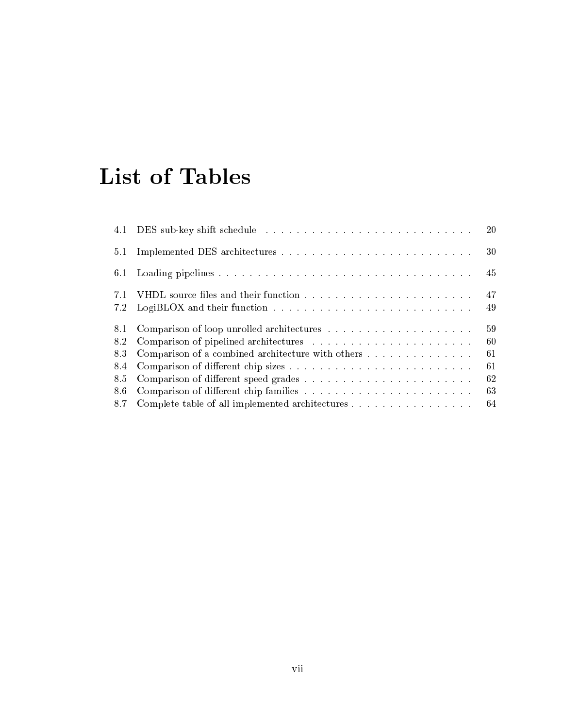## List of Tables

| 4.1        |                                                   | -20      |
|------------|---------------------------------------------------|----------|
| 5.1        |                                                   | 30       |
| 6.1        |                                                   | 45       |
| 7.1<br>7.2 |                                                   | 47<br>49 |
| 8.1        |                                                   | 59       |
| 8.2        |                                                   | 60       |
| 8.3        | Comparison of a combined architecture with others | 61       |
| 8.4        |                                                   | 61       |
| 8.5        |                                                   | 62       |
| 8.6        |                                                   | 63       |
| 8.7        |                                                   | 64       |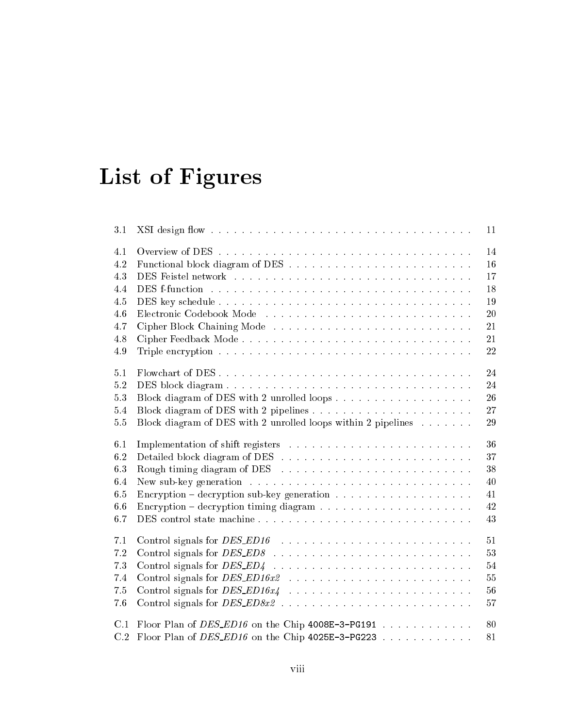# List of Figures

| 3.1                                    |                                                                                                         | 11                               |
|----------------------------------------|---------------------------------------------------------------------------------------------------------|----------------------------------|
| 4.1                                    |                                                                                                         | 14                               |
| 4.2                                    |                                                                                                         | 16                               |
| 4.3                                    |                                                                                                         | 17                               |
| 4.4                                    |                                                                                                         | 18                               |
| 4.5                                    |                                                                                                         | 19                               |
| 4.6                                    |                                                                                                         | 20                               |
| 4.7                                    |                                                                                                         | 21                               |
| 4.8                                    |                                                                                                         | 21                               |
| 4.9                                    | Triple encryption $\ldots \ldots \ldots \ldots \ldots \ldots \ldots \ldots \ldots \ldots \ldots \ldots$ | 22                               |
| 5.1                                    |                                                                                                         | 24                               |
| 5.2                                    |                                                                                                         | 24                               |
| 5.3                                    |                                                                                                         | 26                               |
| 5.4                                    |                                                                                                         | 27                               |
| 5.5                                    | Block diagram of DES with 2 unrolled loops within 2 pipelines $\dots \dots$                             | 29                               |
| 6.1                                    |                                                                                                         | 36                               |
| 6.2                                    |                                                                                                         | 37                               |
| 6.3                                    | Rough timing diagram of DES $\ldots \ldots \ldots \ldots \ldots \ldots \ldots \ldots$                   | 38                               |
| 6.4                                    |                                                                                                         | 40                               |
| 6.5                                    | Encryption – decryption sub-key generation $\ldots \ldots \ldots \ldots \ldots \ldots$                  | 41                               |
| 6.6                                    |                                                                                                         | 42                               |
| 6.7                                    | DES control state machine                                                                               | 43                               |
| 7.1<br>7.2<br>7.3<br>7.4<br>7.5<br>7.6 | Control signals for $DES\_ED4$                                                                          | 51<br>53<br>54<br>55<br>56<br>57 |
| C.1                                    | Floor Plan of $DES\_ED16$ on the Chip 4008E-3-PG191                                                     | 80                               |
| C.2                                    | Floor Plan of $DES\_ED16$ on the Chip 4025E-3-PG223                                                     | 81                               |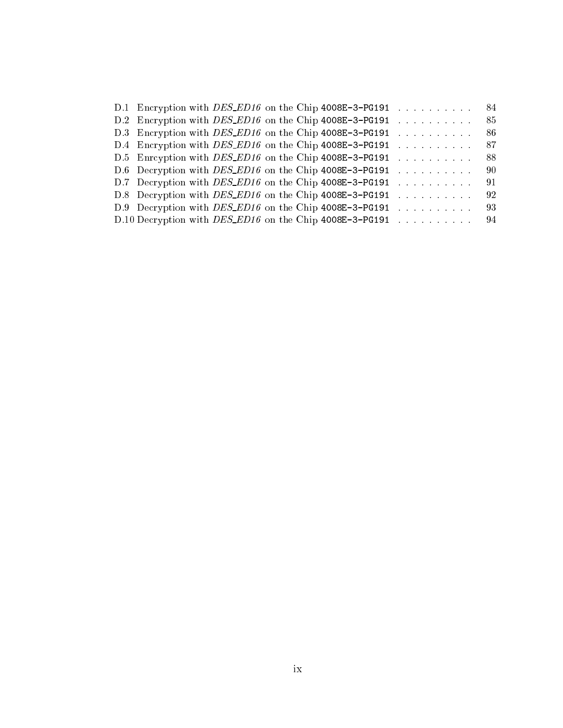| D.1 Encryption with DES_ED16 on the Chip 4008E-3-PG191        |  |  |  |                                                                                                                                                                                                                                                                                                                                                                                                                                       |  |  |  |                                                                | . 84 |
|---------------------------------------------------------------|--|--|--|---------------------------------------------------------------------------------------------------------------------------------------------------------------------------------------------------------------------------------------------------------------------------------------------------------------------------------------------------------------------------------------------------------------------------------------|--|--|--|----------------------------------------------------------------|------|
| D.2 Encryption with DES_ED16 on the Chip 4008E-3-PG191        |  |  |  | $\mathcal{A}$ , and a set of the set of the set of $\mathcal{A}$                                                                                                                                                                                                                                                                                                                                                                      |  |  |  |                                                                | 85   |
| D.3 Encryption with DES_ED16 on the Chip 4008E-3-PG191        |  |  |  | $\mathcal{L}^{\mathcal{L}}$ . The set of the set of the set of the set of the $\mathcal{L}^{\mathcal{L}}$                                                                                                                                                                                                                                                                                                                             |  |  |  |                                                                | -86  |
| D.4 Encryption with DES_ED16 on the Chip 4008E-3-PG191        |  |  |  | $\mathcal{A}$ . The set of the set of the set of the $\mathcal{A}$                                                                                                                                                                                                                                                                                                                                                                    |  |  |  |                                                                | 87   |
| D.5 Enroyption with DES_ED16 on the Chip 4008E-3-PG191        |  |  |  |                                                                                                                                                                                                                                                                                                                                                                                                                                       |  |  |  | . The second contract is a second contract of $\mathcal{O}(n)$ | - 88 |
| D.6 Decryption with <i>DES_ED16</i> on the Chip 4008E-3-PG191 |  |  |  | . The second contract is the second function of $\mathcal{O}(\mathbb{R}^d)$                                                                                                                                                                                                                                                                                                                                                           |  |  |  |                                                                | -90  |
| D.7 Decryption with DES_ED16 on the Chip 4008E-3-PG191        |  |  |  | $\label{eq:2} \begin{array}{cccccccccccccc} \mathbf{1} & \mathbf{1} & \mathbf{1} & \mathbf{1} & \mathbf{1} & \mathbf{1} & \mathbf{1} & \mathbf{1} & \mathbf{1} & \mathbf{1} & \mathbf{1} & \mathbf{1} & \mathbf{1} & \mathbf{1} & \mathbf{1} & \mathbf{1} & \mathbf{1} & \mathbf{1} & \mathbf{1} & \mathbf{1} & \mathbf{1} & \mathbf{1} & \mathbf{1} & \mathbf{1} & \mathbf{1} & \mathbf{1} & \mathbf{1} & \mathbf{1} & \mathbf{1} &$ |  |  |  |                                                                | -91  |
| D.8 Decryption with DES_ED16 on the Chip 4008E-3-PG191        |  |  |  | $\mathcal{A}$ , and a set of the set of the set of $\mathcal{A}$                                                                                                                                                                                                                                                                                                                                                                      |  |  |  |                                                                | -92  |
| D.9 Decryption with DES_ED16 on the Chip 4008E-3-PG191        |  |  |  | . The second contract is a second contract of $\mathcal{O}(\mathbb{R}^d)$                                                                                                                                                                                                                                                                                                                                                             |  |  |  |                                                                | 93   |
| D.10 Decryption with $DES\_ED16$ on the Chip 4008E-3-PG191 94 |  |  |  |                                                                                                                                                                                                                                                                                                                                                                                                                                       |  |  |  |                                                                |      |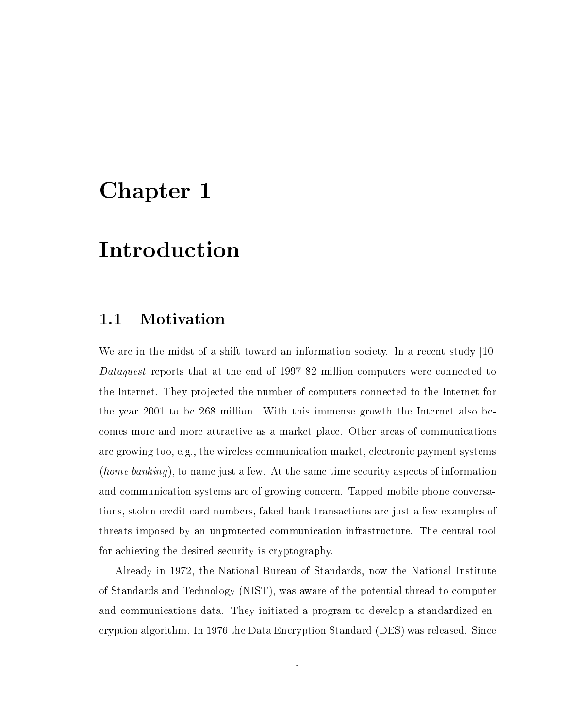## Chapter 1

## Introduction

### 1.1 Motivation

We are in the midst of a shift toward an information society. In a recent study [10] Dataquest reports that at the end of 1997 82 million computers were connected to the Internet. They projected the number of computers connected to the Internet for the year 2001 to be 268 million. With this immense growth the Internet also becomes more and more attractive as a market place. Other areas of communications are growing too, e.g., the wireless communication market, electronic payment systems *(home banking)*, to name just a few. At the same time security aspects of information and communication systems are of growing concern. Tapped mobile phone conversations, stolen credit card numbers, faked bank transactions are just a few examples of threats imposed by an unprotected communication infrastructure. The central tool for achieving the desired security is cryptography.

Already in 1972, the National Bureau of Standards, now the National Institute of Standards and Technology (NIST), was aware of the potential thread to computer and communications data. They initiated a program to develop a standardized encryption algorithm. In 1976 the Data Encryption Standard (DES) was released. Since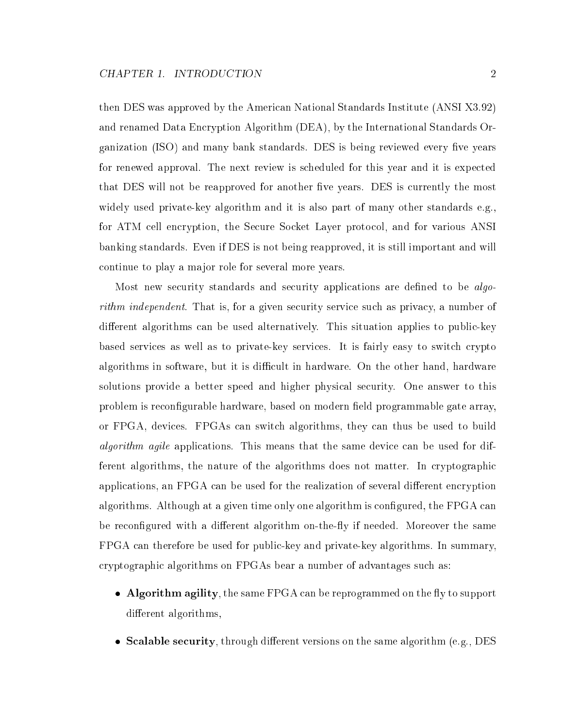then DES was approved by the American National Standards Institute (ANSI X3.92) and renamed Data Encryption Algorithm (DEA), by the International Standards Organization (ISO) and many bank standards. DES is being reviewed every five years for renewed approval. The next review is scheduled for this year and it is expected that DES will not be reapproved for another five years. DES is currently the most widely used private-key algorithm and it is also part of many other standards e.g., for ATM cell encryption, the Secure Socket Layer protocol, and for various ANSI banking standards. Even if DES is not being reapproved, it is still important and will continue to play a major role for several more years.

Most new security standards and security applications are defined to be *algo*rithm independent. That is, for a given security service such as privacy, a number of different algorithms can be used alternatively. This situation applies to public-key based services as well as to private-key services. It is fairly easy to switch crypto algorithms in software, but it is difficult in hardware. On the other hand, hardware solutions provide a better speed and higher physical security. One answer to this problem is reconfigurable hardware, based on modern field programmable gate array, or FPGA, devices. FPGAs can switch algorithms, they can thus be used to build algorithm agile applications. This means that the same device can be used for different algorithms, the nature of the algorithms does not matter. In cryptographic applications, an FPGA can be used for the realization of several different encryption algorithms. Although at a given time only one algorithm is configured, the FPGA can be reconfigured with a different algorithm on-the-fly if needed. Moreover the same FPGA can therefore be used for public-key and private-key algorithms. In summary, cryptographic algorithms on FPGAs bear a number of advantages such as:

- Algorithm agility, the same FPGA can be reprogrammed on the fly to support different algorithms,
- Scalable security, through different versions on the same algorithm (e.g.,  $DES$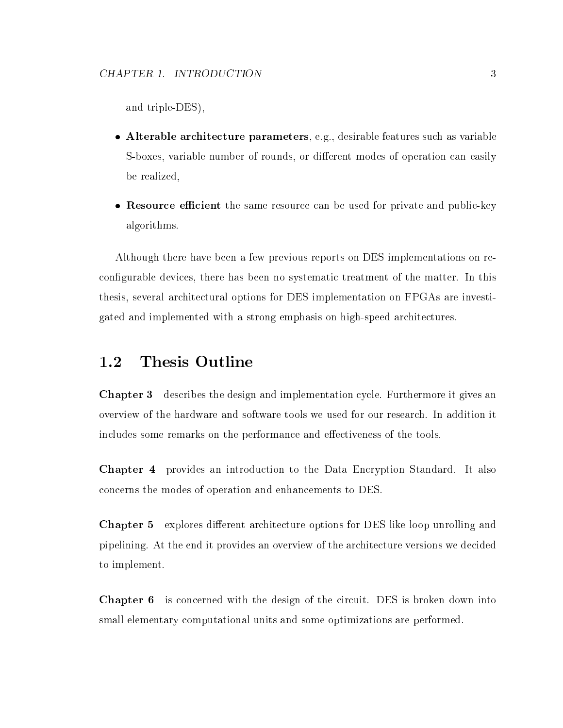and triple-DES),

- Alterable architecture parameters, e.g., desirable features such as variable S-boxes, variable number of rounds, or different modes of operation can easily be realized,
- Resource efficient the same resource can be used for private and public-key algorithms.

Although there have been a few previous reports on DES implementations on recongurable devices, there has been no systematic treatment of the matter. In this thesis, several architectural options for DES implementation on FPGAs are investigated and implemented with a strong emphasis on high-speed architectures.

### 1.2 Thesis Outline

Chapter 3 describes the design and implementation cycle. Furthermore it gives an overview of the hardware and software tools we used for our research. In addition it includes some remarks on the performance and effectiveness of the tools.

Chapter 4 provides an introduction to the Data Encryption Standard. It also concerns the modes of operation and enhancements to DES.

Chapter 5 explores different architecture options for DES like loop unrolling and pipelining. At the end it provides an overview of the architecture versions we decided to implement.

Chapter 6 is concerned with the design of the circuit. DES is broken down into small elementary computational units and some optimizations are performed.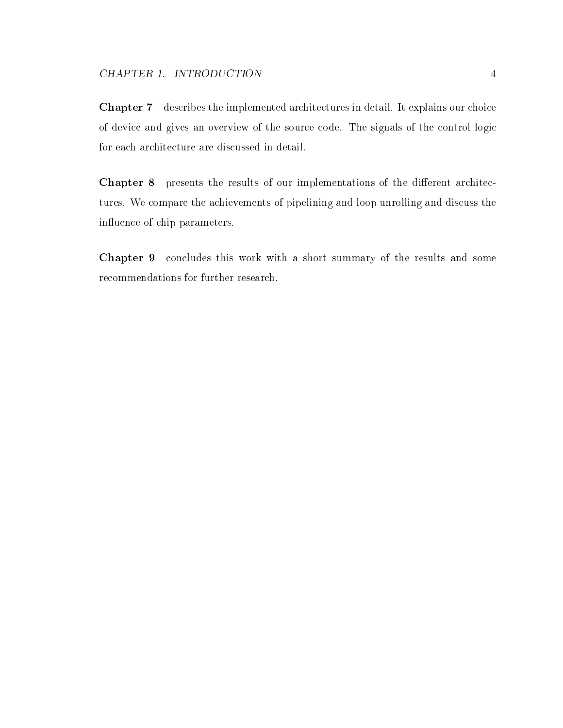Chapter 7 describes the implemented architectures in detail. It explains our choice of device and gives an overview of the source code. The signals of the control logic for each architecture are discussed in detail.

Chapter 8 presents the results of our implementations of the different architectures. We compare the achievements of pipelining and loop unrolling and discuss the influence of chip parameters.

Chapter 9 concludes this work with a short summary of the results and some recommendations for further research.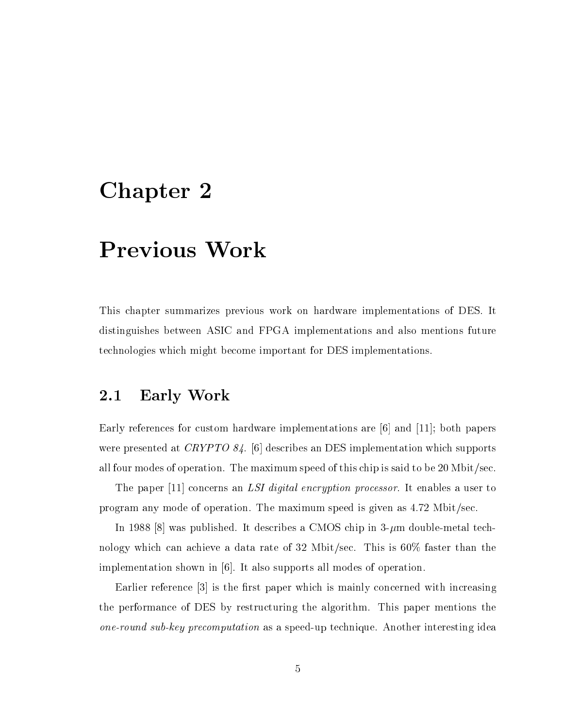## Chapter 2

## Previous Work

This chapter summarizes previous work on hardware implementations of DES. It distinguishes between ASIC and FPGA implementations and also mentions future technologies which might become important for DES implementations.

### 2.1 Early Work

Early references for custom hardware implementations are [6] and [11]; both papers were presented at CRYPTO 84. [6] describes an DES implementation which supports all four modes of operation. The maximum speed of this chip is said to be 20 Mbit/sec.

The paper [11] concerns an *LSI digital encryption processor*. It enables a user to program any mode of operation. The maximum speed is given as 4.72 Mbit/sec.

In 1988 [8] was published. It describes a CMOS chip in  $3-\mu m$  double-metal technology which can achieve a data rate of 32 Mbit/sec. This is 60% faster than the implementation shown in [6]. It also supports all modes of operation.

Earlier reference  $\lceil 3 \rceil$  is the first paper which is mainly concerned with increasing the performance of DES by restructuring the algorithm. This paper mentions the one-round sub-key precomputation as a speed-up technique. Another interesting idea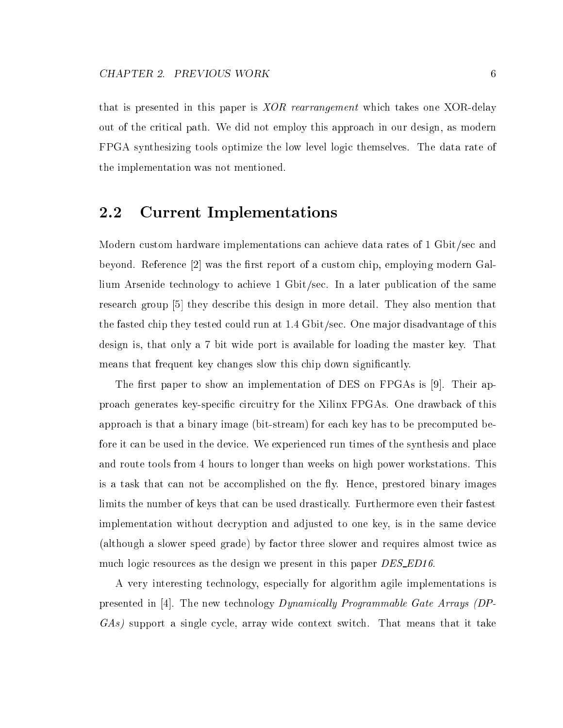that is presented in this paper is XOR rearrangement which takes one XOR-delay out of the critical path. We did not employ this approach in our design, as modern FPGA synthesizing tools optimize the low level logic themselves. The data rate of the implementation was not mentioned.

### 2.2 Current Implementations

Modern custom hardware implementations can achieve data rates of 1 Gbit/sec and beyond. Reference  $\lceil 2 \rceil$  was the first report of a custom chip, employing modern Gallium Arsenide technology to achieve 1 Gbit/sec. In a later publication of the same research group [5] they describe this design in more detail. They also mention that the fasted chip they tested could run at 1.4 Gbit/sec. One major disadvantage of this design is, that only a 7 bit wide port is available for loading the master key. That means that frequent key changes slow this chip down significantly.

The first paper to show an implementation of DES on FPGAs is  $[9]$ . Their approach generates key-specific circuitry for the Xilinx FPGAs. One drawback of this approach is that a binary image (bit-stream) for each key has to be precomputed before it can be used in the device. We experienced run times of the synthesis and place and route tools from 4 hours to longer than weeks on high power workstations. This is a task that can not be accomplished on the fly. Hence, prestored binary images limits the number of keys that can be used drastically. Furthermore even their fastest implementation without decryption and adjusted to one key, is in the same device (although a slower speed grade) by factor three slower and requires almost twice as much logic resources as the design we present in this paper DES\_ED16.

A very interesting technology, especially for algorithm agile implementations is presented in [4]. The new technology Dynamically Programmable Gate Arrays (DP-GAs) support a single cycle, array wide context switch. That means that it take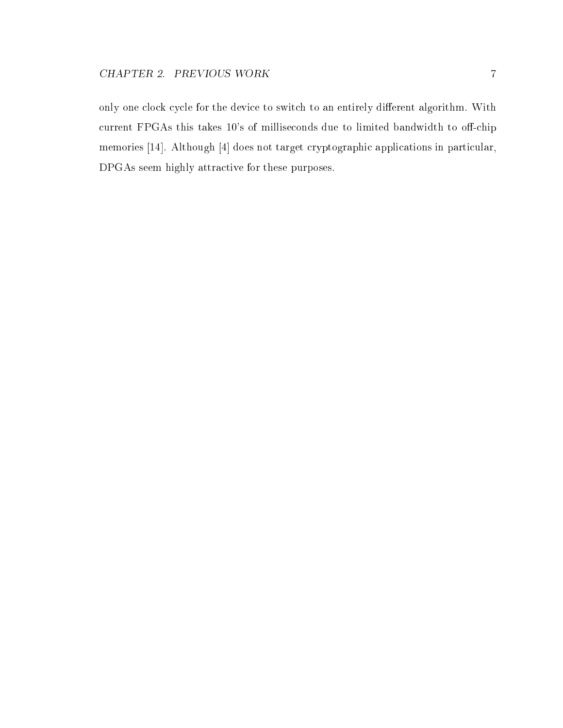only one clock cycle for the device to switch to an entirely different algorithm. With current FPGAs this takes 10's of milliseconds due to limited bandwidth to off-chip memories [14]. Although [4] does not target cryptographic applications in particular, DPGAs seem highly attractive for these purposes.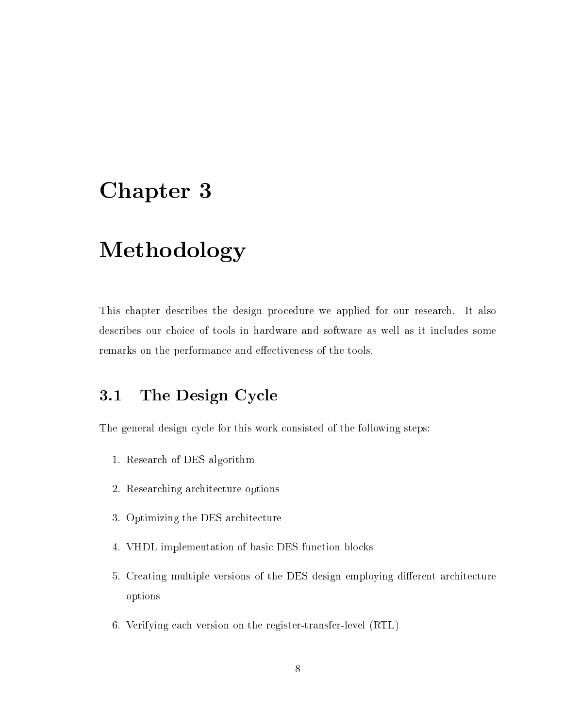## Chapter 3

## Methodology

This chapter describes the design procedure we applied for our research. It also describes our choice of tools in hardware and software as well as it includes some remarks on the performance and effectiveness of the tools.

### 3.1 The Design Cycle

The general design cycle for this work consisted of the following steps:

- 1. Research of DES algorithm
- 2. Researching architecture options
- 3. Optimizing the DES architecture
- 4. VHDL implementation of basic DES function blocks
- 5. Creating multiple versions of the DES design employing different architecture options
- 6. Verifying each version on the register-transfer-level (RTL)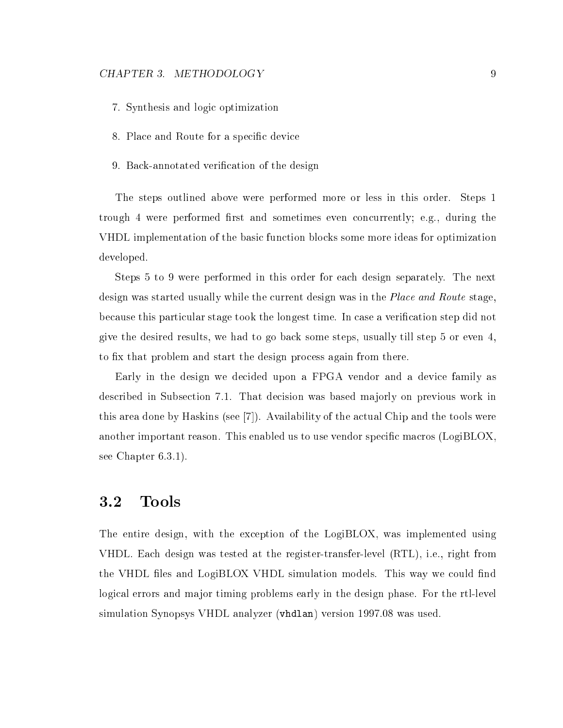- 7. Synthesis and logic optimization
- 8. Place and Route for a specic device
- 9. Back-annotated verification of the design

The steps outlined above were performed more or less in this order. Steps 1 trough 4 were performed first and sometimes even concurrently; e.g., during the VHDL implementation of the basic function blocks some more ideas for optimization developed.

Steps 5 to 9 were performed in this order for each design separately. The next design was started usually while the current design was in the *Place and Route* stage. because this particular stage took the longest time. In case a verication step did not give the desired results, we had to go back some steps, usually till step 5 or even 4, to fix that problem and start the design process again from there.

Early in the design we decided upon a FPGA vendor and a device family as described in Subsection 7.1. That decision was based majorly on previous work in this area done by Haskins (see [7]). Availability of the actual Chip and the tools were another important reason. This enabled us to use vendor specific macros ( $LogiBLOX$ , see Chapter 6.3.1).

#### $3.2$ Tools

The entire design, with the exception of the LogiBLOX, was implemented using VHDL. Each design was tested at the register-transfer-level (RTL), i.e., right from the VHDL files and LogiBLOX VHDL simulation models. This way we could find logical errors and major timing problems early in the design phase. For the rtl-level simulation Synopsys VHDL analyzer (vhdlan) version 1997.08 was used.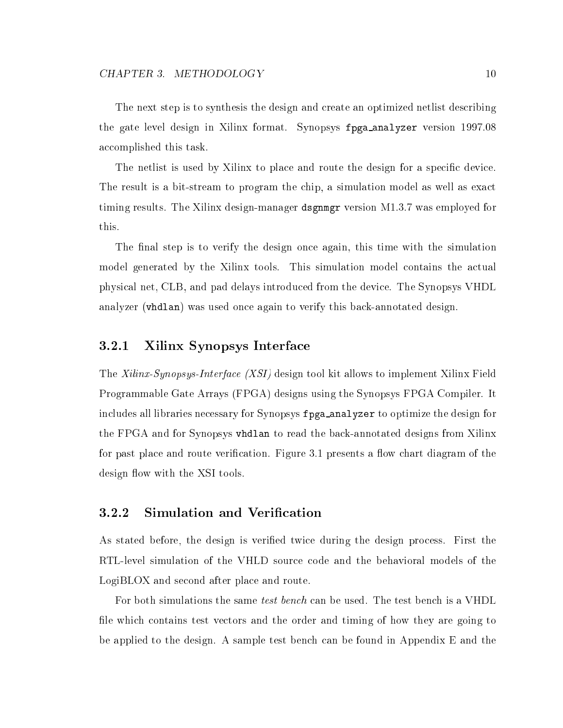The next step is to synthesis the design and create an optimized netlist describing the gate level design in Xilinx format. Synopsys fpga\_analyzer version 1997.08 accomplished this task.

The netlist is used by Xilinx to place and route the design for a specific device. The result is a bit-stream to program the chip, a simulation model as well as exact timing results. The Xilinx design-manager dsgnmgr version M1.3.7 was employed for this.

The final step is to verify the design once again, this time with the simulation model generated by the Xilinx tools. This simulation model contains the actual physical net, CLB, and pad delays introduced from the device. The Synopsys VHDL analyzer (vhdlan) was used once again to verify this back-annotated design.

#### 3.2.1 Xilinx Synopsys Interface

The Xilinx-Synopsys-Interface (XSI) design tool kit allows to implement Xilinx Field Programmable Gate Arrays (FPGA) designs using the Synopsys FPGA Compiler. It includes all libraries necessary for Synopsys fpga\_analyzer to optimize the design for the FPGA and for Synopsys vhdlan to read the back-annotated designs from Xilinx for past place and route verification. Figure 3.1 presents a flow chart diagram of the design flow with the XSI tools.

#### 3.2.2 Simulation and Verication

As stated before, the design is veried twice during the design process. First the RTL-level simulation of the VHLD source code and the behavioral models of the LogiBLOX and second after place and route.

For both simulations the same test bench can be used. The test bench is a VHDL file which contains test vectors and the order and timing of how they are going to be applied to the design. A sample test bench can be found in Appendix E and the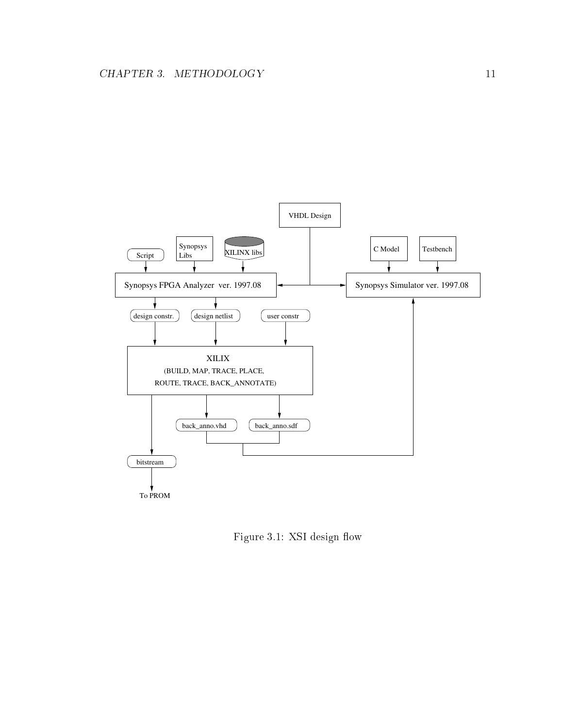

Figure 3.1: XSI design flow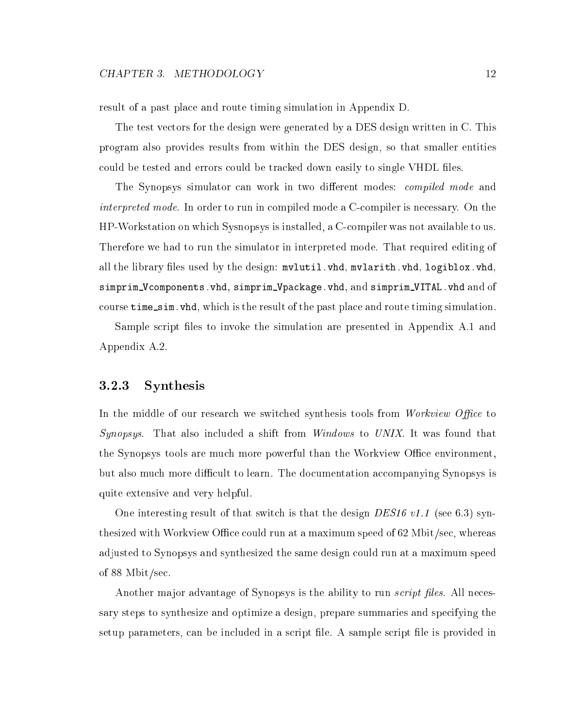result of a past place and route timing simulation in Appendix D.

The test vectors for the design were generated by a DES design written in C. This program also provides results from within the DES design, so that smaller entities could be tested and errors could be tracked down easily to single VHDL files.

The Synopsys simulator can work in two different modes: *compiled mode* and interpreted mode. In order to run in compiled mode a C-compiler is necessary. On the HP-Workstation on which Sysnopsys is installed, a C-compiler was not available to us. Therefore we had to run the simulator in interpreted mode. That required editing of all the library files used by the design: mvlutil.vhd, mvlarith.vhd, logiblox.vhd, simprim\_Vcomponents.vhd, simprim\_Vpackage.vhd, and simprim\_VITAL.vhd and of course time\_sim. vhd, which is the result of the past place and route timing simulation.

Sample script files to invoke the simulation are presented in Appendix A.1 and Appendix A.2.

#### 3.2.3 Synthesis

In the middle of our research we switched synthesis tools from *Workview Office* to Synopsys. That also included a shift from *Windows* to *UNIX*. It was found that the Synopsys tools are much more powerful than the Workview Office environment, but also much more difficult to learn. The documentation accompanying Synopsys is quite extensive and very helpful.

One interesting result of that switch is that the design DES16 v1.1 (see 6.3) synthesized with Workview Office could run at a maximum speed of  $62$  Mbit/sec, whereas adjusted to Synopsys and synthesized the same design could run at a maximum speed of 88 Mbit/sec.

Another major advantage of Synopsys is the ability to run *script files*. All necessary steps to synthesize and optimize a design, prepare summaries and specifying the setup parameters, can be included in a script file. A sample script file is provided in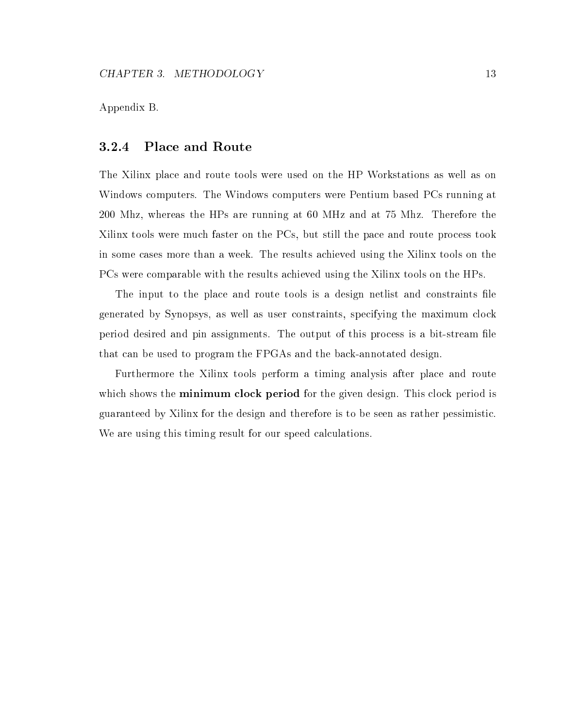Appendix B.

#### 3.2.4 Place and Route

The Xilinx place and route tools were used on the HP Workstations as well as on Windows computers. The Windows computers were Pentium based PCs running at 200 Mhz, whereas the HPs are running at 60 MHz and at 75 Mhz. Therefore the Xilinx tools were much faster on the PCs, but still the pace and route process took in some cases more than a week. The results achieved using the Xilinx tools on the PCs were comparable with the results achieved using the Xilinx tools on the HPs.

The input to the place and route tools is a design netlist and constraints file generated by Synopsys, as well as user constraints, specifying the maximum clock period desired and pin assignments. The output of this process is a bit-stream le that can be used to program the FPGAs and the back-annotated design.

Furthermore the Xilinx tools perform a timing analysis after place and route which shows the minimum clock period for the given design. This clock period is guaranteed by Xilinx for the design and therefore is to be seen as rather pessimistic. We are using this timing result for our speed calculations.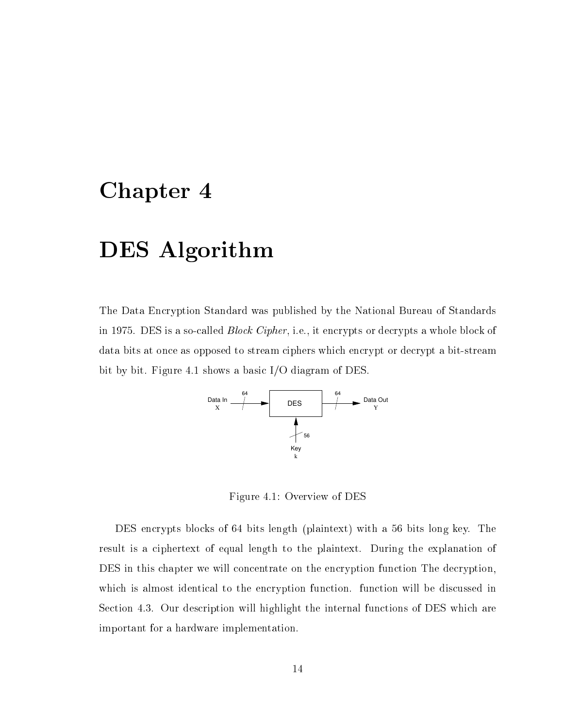## Chapter 4

## DES Algorithm

The Data Encryption Standard was published by the National Bureau of Standards in 1975. DES is a so-called Block Cipher, i.e., it encrypts or decrypts a whole block of data bits at once as opposed to stream ciphers which encrypt or decrypt a bit-stream bit by bit. Figure 4.1 shows a basic I/O diagram of DES.



Figure 4.1: Overview of DES

DES encrypts blocks of 64 bits length (plaintext) with a 56 bits long key. The result is a ciphertext of equal length to the plaintext. During the explanation of DES in this chapter we will concentrate on the encryption function The decryption, which is almost identical to the encryption function. function will be discussed in Section 4.3. Our description will highlight the internal functions of DES which are important for a hardware implementation.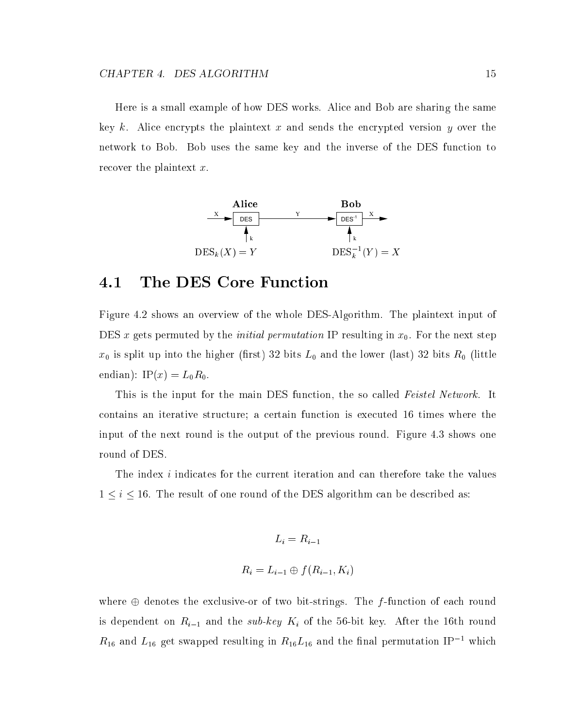Here is a small example of how DES works. Alice and Bob are sharing the same key k. Alice encrypts the plaintext x and sends the encrypted version y over the network to Bob. Bob uses the same key and the inverse of the DES function to recover the plaintext x.



### 4.1 The DES Core Function

Figure 4.2 shows an overview of the whole DES-Algorithm. The plaintext input of DES x gets permuted by the *initial permutation* IP resulting in  $x_0$ . For the next step  $x_0$  is split up into the higher (first) 32 bits  $L_0$  and the lower (last) 32 bits  $R_0$  (little endian): IP $(x) = L_0 R_0$ .

This is the input for the main DES function, the so called Feistel Network. It contains an iterative structure; a certain function is executed 16 times where the input of the next round is the output of the previous round. Figure 4.3 shows one round of DES.

The index *i* indicates for the current iteration and can therefore take the values  $1 \leq i \leq 16$ . The result of one round of the DES algorithm can be described as:

$$
L_i = R_{i-1}
$$

$$
R_i = L_{i-1} \oplus f(R_{i-1}, K_i)
$$

where  $\oplus$  denotes the exclusive-or of two bit-strings. The f-function of each round is dependent on  $R_{i-1}$  and the sub-key  $K_i$  of the 56-bit key. After the 16th round  $n_{16}$  and  $n_{16}$  get swapped resulting in  $n_{16} \nu_{16}$  and the linal permutation IP  $^{-1}$  which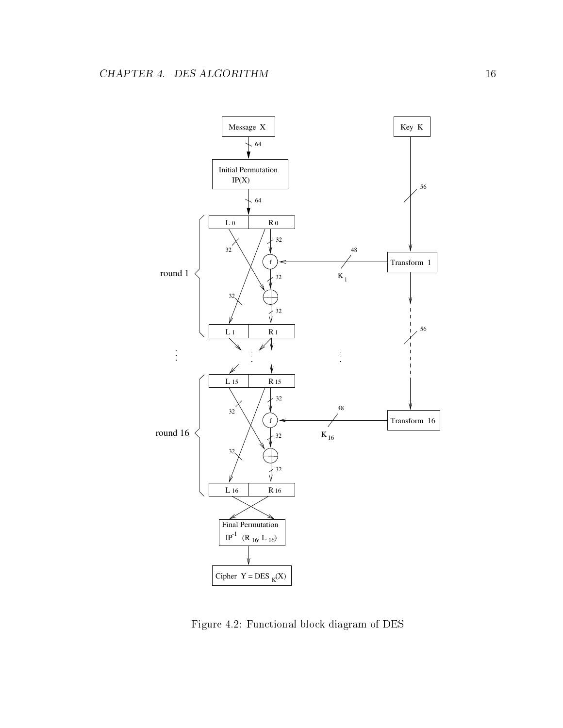

Figure 4.2: Functional block diagram of DES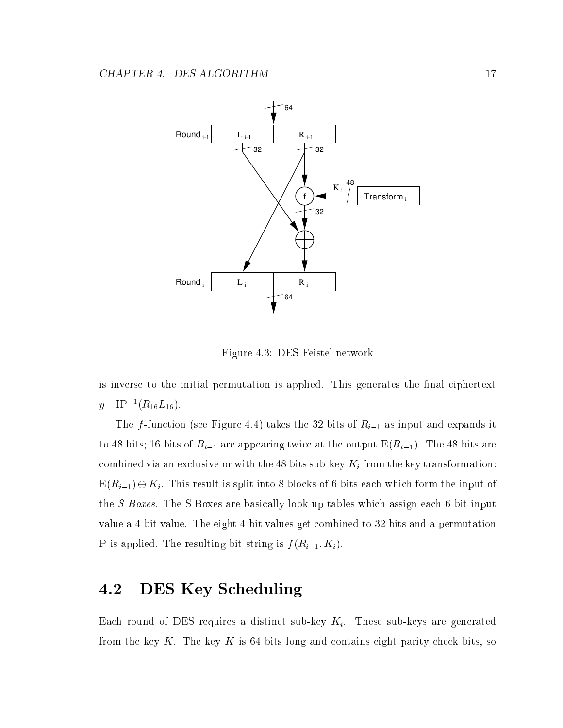

Figure 4.3: DES Feistel network

is inverse to the initial permutation is applied. This generates the final ciphertext  $y = 1$   $\Gamma$   $(n_{16}L_{16})$ .

The f-function (see Figure 4.4) takes the 32 bits of  $R_{i-1}$  as input and expands it to 48 bits; 16 bits of  $R_{i-1}$  are appearing twice at the output  $E(R_{i-1})$ . The 48 bits are combined in the 48 bits sub-key transformation the 48 bits sub-key transformation: the key transformation:  $E(R_{i-1}) \oplus K_i$ . This result is split into 8 blocks of 6 bits each which form the input of the S-Boxes. The S-Boxes are basically look-up tables which assign each 6-bit input value a 4-bit value. The eight 4-bit values get combined to 32 bits and a permutation P is applied. The resulting bit-string is  $f(R_{i-1}, K_i)$ .

## 4.2 DES Key Scheduling

Each round of DES requires a distinct sub-key  $K_i$ . These sub-keys are generated from the key  $K$ . The key  $K$  is 64 bits long and contains eight parity check bits, so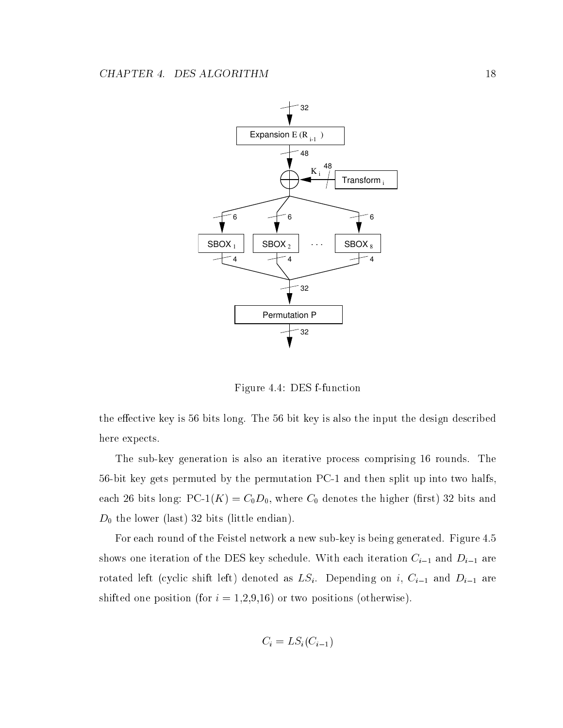

Figure 4.4: DES f-function

the effective key is 56 bits long. The 56 bit key is also the input the design described here expects.

The sub-key generation is also an iterative process comprising 16 rounds. The 56-bit key gets permuted by the permutation PC-1 and then split up into two halfs, each 26 bits long:  $PC-1(K) = C_0D_0$ , where  $C_0$  denotes the higher (first) 32 bits and  $D_0$  the lower (last) 32 bits (little endian).

For each round of the Feistel network a new sub-key is being generated. Figure 4.5 shows one iteration of the DES key schedule. With each iteration  $C_{i-1}$  and  $D_{i-1}$  are rotated left (cyclic shift left) denoted as  $LS_i$ . Depending on i,  $C_{i-1}$  and  $D_{i-1}$  are shifted one position (for  $i = 1,2,9,16$ ) or two positions (otherwise).

$$
C_i = LS_i(C_{i-1})
$$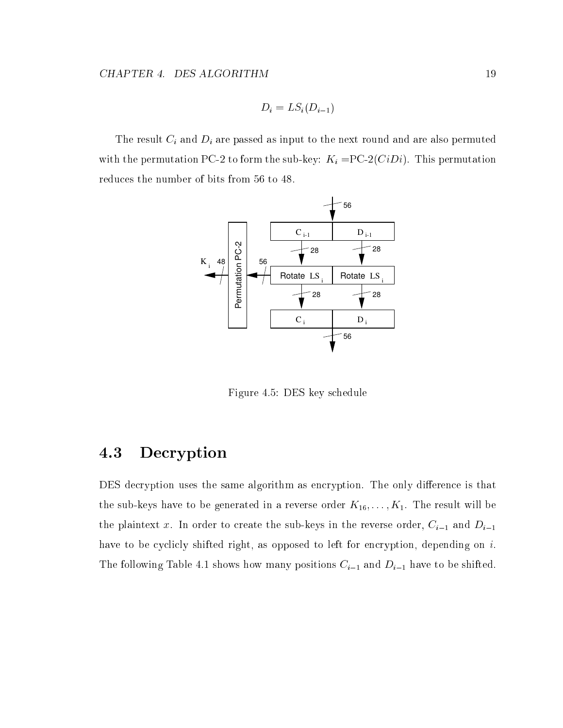$$
D_i = LS_i(D_{i-1})
$$

The result Ci and Di are passed as input to the next round as input to the next round and are also permuted and are also permuted as in permutation of  $\Gamma$ with the permutation  $P$  to form the sub-key:  $\mu$  and  $\lambda$  =  $P$  -permutation  $\mu$ . This permutation  $\mu$ reduces the number of bits from 56 to 48.



Figure 4.5: DES key schedule

### 4.3 Decryption

DES decryption uses the same algorithm as encryption. The only difference is that the sub-keys have to be generated in a reverse order  $K_{16}, \ldots, K_1$ . The result will be the plaintext x. In order to create the sub-keys in the reverse order,  $C_{i-1}$  and  $D_{i-1}$ have to be cyclicly shifted right, as opposed to left for encryption, depending on i. The following Table 4.1 shows how many positions  $C_{i-1}$  and  $D_{i-1}$  have to be shifted.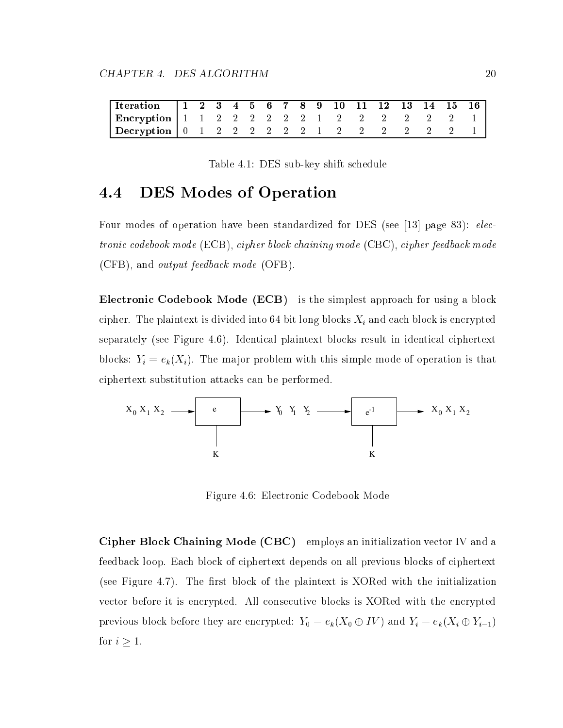| Tteration   1 2 3 4 5 6 7 8 9 10 11 12 13 14 15 16 |  |  |  |  |  |  |  |  |
|----------------------------------------------------|--|--|--|--|--|--|--|--|
| Encryption   1 1 2 2 2 2 2 2 1 2 2 2 2 2 2 2 1     |  |  |  |  |  |  |  |  |
| Decryption   0 1 2 2 2 2 2 2 1 2 2 2 2 2 2 2 1     |  |  |  |  |  |  |  |  |

Table 4.1: DES sub-key shift schedule

### 4.4 DES Modes of Operation

Four modes of operation have been standardized for DES (see [13] page 83): electronic codebook mode (ECB), cipher block chaining mode (CBC), cipher feedback mode (CFB), and output feedback mode (OFB).

Electronic Codebook Mode (ECB) is the simplest approach for using a block cipher. The plainter is divided in the plant of the plant of  $\alpha$  and each  $\alpha$  and the plant is encrypted in separately (see Figure 4.6). Identical plaintext blocks result in identical ciphertext blocks: Ti  $\alpha$  ,  $\alpha$  ,  $\alpha$  ,  $\beta$  ,  $\alpha$  ,  $\beta$  ,  $\alpha$  ,  $\beta$  ,  $\beta$  ,  $\alpha$  ,  $\beta$  ,  $\alpha$  ,  $\beta$  ,  $\alpha$  ,  $\beta$  ,  $\beta$  ,  $\beta$  ,  $\beta$  ,  $\beta$  ,  $\beta$  ,  $\beta$  ,  $\beta$  ,  $\beta$  ,  $\beta$  ,  $\beta$  ,  $\beta$  ,  $\beta$  ,  $\beta$  ,  $\beta$  ,  $\beta$  , ciphertext substitution attacks can be performed.



Figure 4.6: Electronic Codebook Mode

Cipher Block Chaining Mode (CBC) employs an initialization vector IV and a feedback loop. Each block of ciphertext depends on all previous blocks of ciphertext (see Figure 4.7). The first block of the plaintext is XORed with the initialization vector before it is encrypted. All consecutive blocks is XORed with the encrypted previous block before they are encrypted:  $Y_0 = e_k(X_0 \oplus IV)$  and  $Y_i = e_k(X_i \oplus Y_{i-1})$ for  $i \geq 1$ .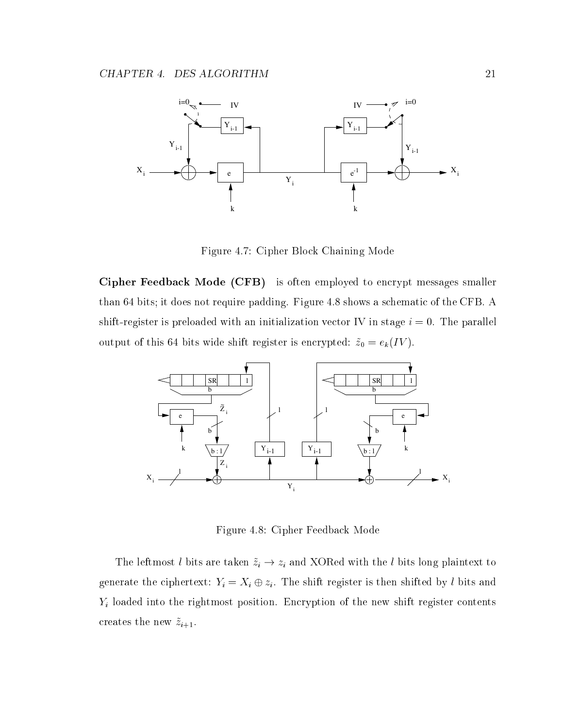

Figure 4.7: Cipher Block Chaining Mode

Cipher Feedback Mode (CFB) is often employed to encrypt messages smaller than 64 bits; it does not require padding. Figure 4.8 shows a schematic of the CFB. A shift-register is preloaded with an initialization vector IV in stage  $i = 0$ . The parallel output of this 64 bits wide shift register is encrypted:  $\tilde{z}_0 = e_k(IV)$ .



Figure 4.8: Cipher Feedback Mode

The leftmost l bits are taken  $\{ \ldots \}$  . In and  $\{ \ldots \}$  and  $\{ \ldots \}$  is long plaintext to long plainter to generate the ciphertext:  $\mathbf{y} = \mathbf{y} = \mathbf{y}$  . The shift register is the shifted by l bits and  $\mathbf{y}$ Yi loaded into the rightmost position. Encryption of the new shift register contents creates the new  $\tilde{z}_{i+1}$ .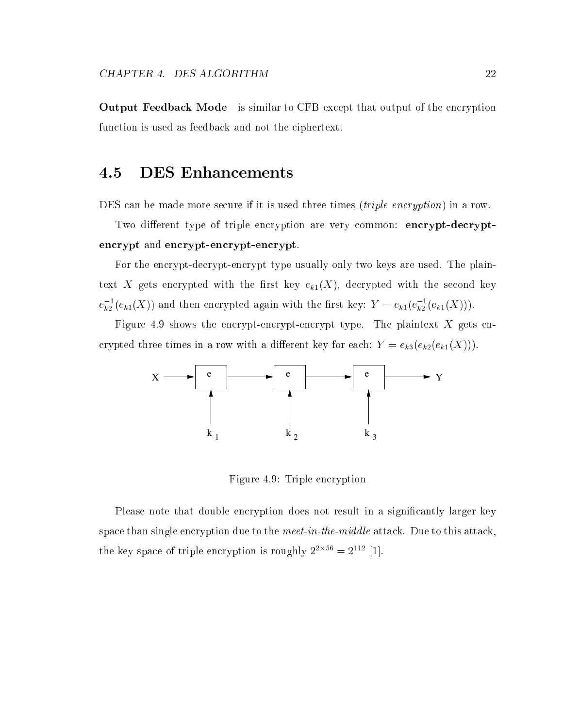Output Feedback Mode is similar to CFB except that output of the encryption function is used as feedback and not the ciphertext.

### 4.5 DES Enhancements

DES can be made more secure if it is used three times *(triple encryption)* in a row.

Two different type of triple encryption are very common: encrypt-decryptencrypt and encrypt-encrypt-encrypt.

For the encrypt-decrypt-encrypt type usually only two keys are used. The plaintext X gets encrypted with the first key  $e_{k1}(X)$ , decrypted with the second key  $e_{k_2}(e_{k_1}(x))$  and then encrypted again with the first key:  $\textit{Y}~= e_{k_1}(e_{k_2}(e_{k_1}(x))) .$ 

Figure 4.9 shows the encrypt-encrypt-encrypt type. The plaintext  $X$  gets encrypted three times in a row with a different key for each:  $Y = e_{k3}(e_{k2}(e_{k1}(X))).$ 



Figure 4.9: Triple encryption

Please note that double encryption does not result in a signicantly larger key space than single encryption due to the meet-in-the-middle attack. Due to this attack, the key space of triple encryption is roughly  $2\equiv 2$  . [1].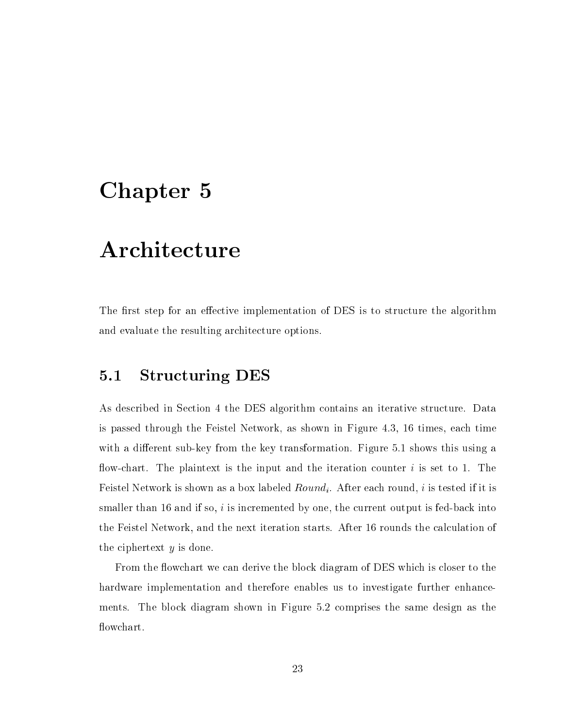## Chapter 5

## Architecture

The first step for an effective implementation of DES is to structure the algorithm and evaluate the resulting architecture options.

### 5.1 Structuring DES

As described in Section 4 the DES algorithm contains an iterative structure. Data is passed through the Feistel Network, as shown in Figure 4.3, 16 times, each time with a different sub-key from the key transformation. Figure 5.1 shows this using a flow-chart. The plaintext is the input and the iteration counter  $i$  is set to 1. The Feistel Network is shown as a box labeled  $Round_i$ . After each round, i is tested if it is smaller than 16 and if so,  $i$  is incremented by one, the current output is fed-back into the Feistel Network, and the next iteration starts. After 16 rounds the calculation of the ciphertext  $y$  is done.

From the flowchart we can derive the block diagram of DES which is closer to the hardware implementation and therefore enables us to investigate further enhancements. The block diagram shown in Figure 5.2 comprises the same design as the flowchart.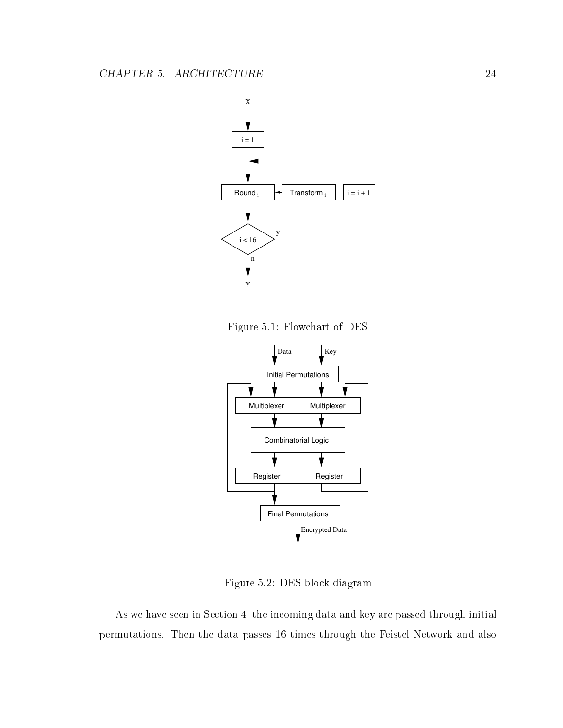

Figure 5.1: Flowchart of DES



Figure 5.2: DES block diagram

As we have seen in Section 4, the incoming data and key are passed through initial permutations. Then the data passes 16 times through the Feistel Network and also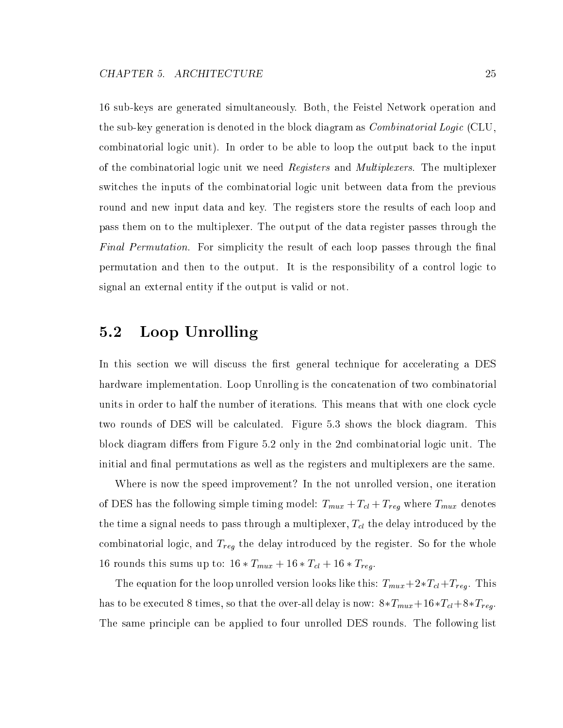16 sub-keys are generated simultaneously. Both, the Feistel Network operation and the sub-key generation is denoted in the block diagram as *Combinatorial Logic* (CLU, combinatorial logic unit). In order to be able to loop the output back to the input of the combinatorial logic unit we need Registers and Multiplexers. The multiplexer switches the inputs of the combinatorial logic unit between data from the previous round and new input data and key. The registers store the results of each loop and pass them on to the multiplexer. The output of the data register passes through the Final Permutation. For simplicity the result of each loop passes through the final permutation and then to the output. It is the responsibility of a control logic to signal an external entity if the output is valid or not.

### 5.2 Loop Unrolling

In this section we will discuss the first general technique for accelerating a DES hardware implementation. Loop Unrolling is the concatenation of two combinatorial units in order to half the number of iterations. This means that with one clock cycle two rounds of DES will be calculated. Figure 5.3 shows the block diagram. This block diagram differs from Figure 5.2 only in the 2nd combinatorial logic unit. The initial and final permutations as well as the registers and multiplexers are the same.

Where is now the speed improvement? In the not unrolled version, one iteration  $\tau$  Description in the following simple timinary model: The following  $\tau$  and  $\tau$  the following model where  $\tau$ the time a signal needs to pass through a multiplexer, Telescope and the delay international component  $\mu$ combinatorial logic, and Treg the Lagic the delay intervals who delay introduced by the social company 16 rounds the sums up to: 2 This summer . 2 This summer when the 16  $T$ 

The equation for the loop unit the late the loop is the loop under the loop . This  $\mu$  . This is the complete has to be executed 8 times, so that the over-all delay is now:  $8*T_{mut}+16*T_{cl}+8*T_{reg}$ . The same principle can be applied to four unrolled DES rounds. The following list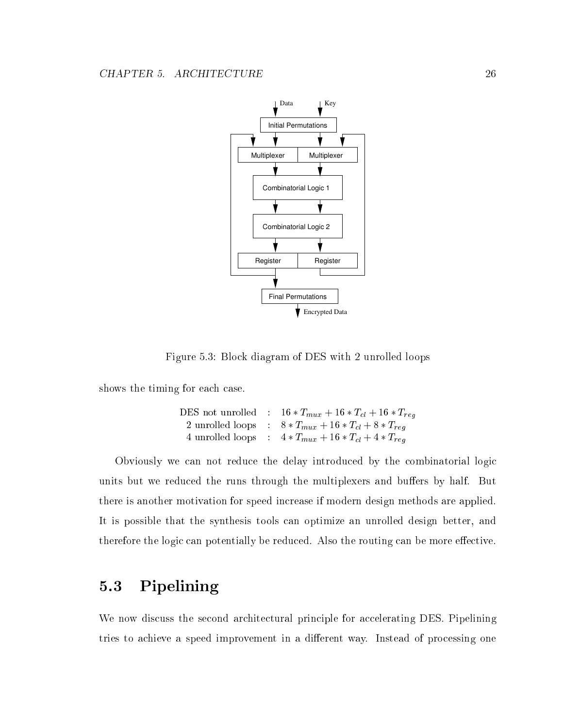

Figure 5.3: Block diagram of DES with 2 unrolled loops

shows the timing for each case.

DES not unrolled : 16 Tmux <sup>+</sup> <sup>16</sup> Tcl <sup>+</sup> <sup>16</sup> Treg 2 unrolled loops : 8 Tmux <sup>+</sup> <sup>16</sup> Tcl <sup>+</sup> <sup>8</sup> Treg 4 unrolled loops : 4 Tmux <sup>+</sup> <sup>16</sup> Tcl <sup>+</sup> <sup>4</sup> Treg

Obviously we can not reduce the delay introduced by the combinatorial logic units but we reduced the runs through the multiplexers and buffers by half. But there is another motivation for speed increase if modern design methods are applied. It is possible that the synthesis tools can optimize an unrolled design better, and therefore the logic can potentially be reduced. Also the routing can be more effective.

### 5.3 Pipelining

We now discuss the second architectural principle for accelerating DES. Pipelining tries to achieve a speed improvement in a different way. Instead of processing one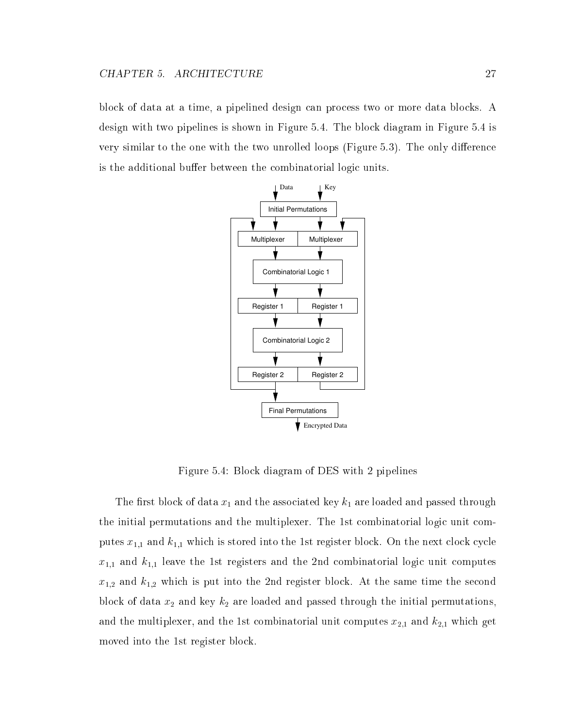block of data at a time, a pipelined design can process two or more data blocks. A design with two pipelines is shown in Figure 5.4. The block diagram in Figure 5.4 is very similar to the one with the two unrolled loops (Figure  $5.3$ ). The only difference is the additional buffer between the combinatorial logic units.



Figure 5.4: Block diagram of DES with 2 pipelines

The first block of data  $x_1$  and the associated key  $k_1$  are loaded and passed through the initial permutations and the multiplexer. The 1st combinatorial logic unit computes  $x_{1,1}$  and  $k_{1,1}$  which is stored into the 1st register block. On the next clock cycle  $x_{1,1}$  and  $k_{1,1}$  leave the 1st registers and the 2nd combinatorial logic unit computes  $x_{1,2}$  and  $k_{1,2}$  which is put into the 2nd register block. At the same time the second block of data  $x_2$  and key  $k_2$  are loaded and passed through the initial permutations, and the multiplexer, and the 1st combinatorial unit computes  $x_{2,1}$  and  $k_{2,1}$  which get moved into the 1st register block.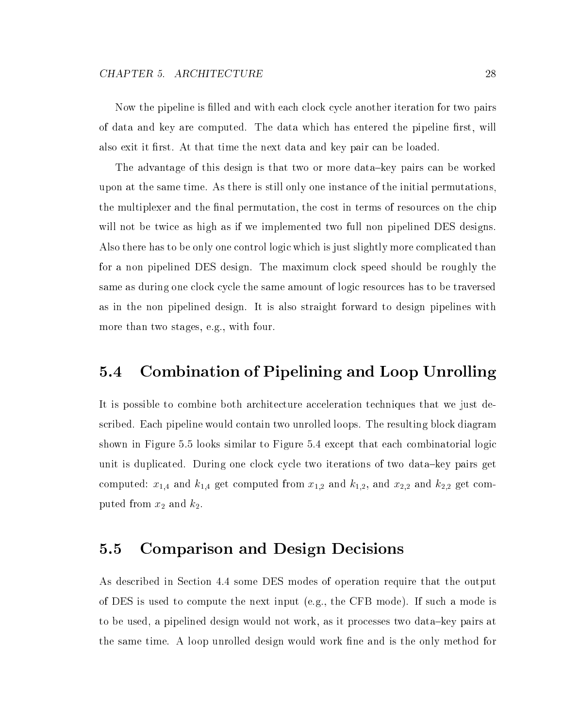Now the pipeline is filled and with each clock cycle another iteration for two pairs of data and key are computed. The data which has entered the pipeline first, will also exit it first. At that time the next data and key pair can be loaded.

The advantage of this design is that two or more data-key pairs can be worked upon at the same time. As there is still only one instance of the initial permutations, the multiplexer and the final permutation, the cost in terms of resources on the chip will not be twice as high as if we implemented two full non pipelined DES designs. Also there has to be only one control logic which is just slightly more complicated than for a non pipelined DES design. The maximum clock speed should be roughly the same as during one clock cycle the same amount of logic resources has to be traversed as in the non pipelined design. It is also straight forward to design pipelines with more than two stages, e.g., with four.

## 5.4 Combination of Pipelining and Loop Unrolling

It is possible to combine both architecture acceleration techniques that we just described. Each pipeline would contain two unrolled loops. The resulting block diagram shown in Figure 5.5 looks similar to Figure 5.4 except that each combinatorial logic unit is duplicated. During one clock cycle two iterations of two data-key pairs get computed:  $x_{1,4}$  and  $k_{1,4}$  get computed from  $x_{1,2}$  and  $k_{1,2}$ , and  $x_{2,2}$  and  $k_{2,2}$  get computed from  $x_2$  and  $k_2$ .

# 5.5 Comparison and Design Decisions

As described in Section 4.4 some DES modes of operation require that the output of DES is used to compute the next input (e.g., the CFB mode). If such a mode is to be used, a pipelined design would not work, as it processes two data-key pairs at the same time. A loop unrolled design would work fine and is the only method for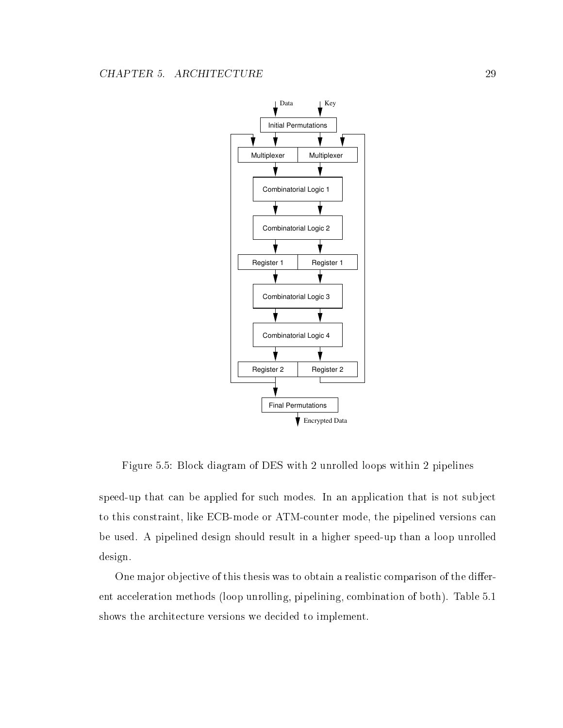

Figure 5.5: Block diagram of DES with 2 unrolled loops within 2 pipelines

speed-up that can be applied for such modes. In an application that is not subject to this constraint, like ECB-mode or ATM-counter mode, the pipelined versions can be used. A pipelined design should result in a higher speed-up than a loop unrolled design.

One major objective of this thesis was to obtain a realistic comparison of the different acceleration methods (loop unrolling, pipelining, combination of both). Table 5.1 shows the architecture versions we decided to implement.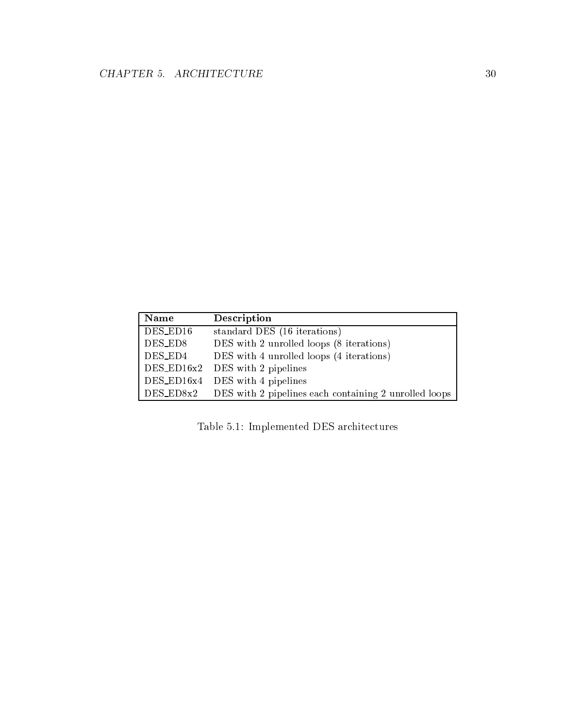| <b>Name</b> | Description                                                     |
|-------------|-----------------------------------------------------------------|
| DES_ED16    | standard DES (16 iterations)                                    |
| DES_ED8     | DES with 2 unrolled loops (8 iterations)                        |
| DES_ED4     | DES with 4 unrolled loops (4 iterations)                        |
|             | $DES_EDI6x2$ DES with 2 pipelines                               |
|             | $DES_EDI6x4$ DES with 4 pipelines                               |
|             | DES_ED8x2 DES with 2 pipelines each containing 2 unrolled loops |

Table 5.1: Implemented DES architectures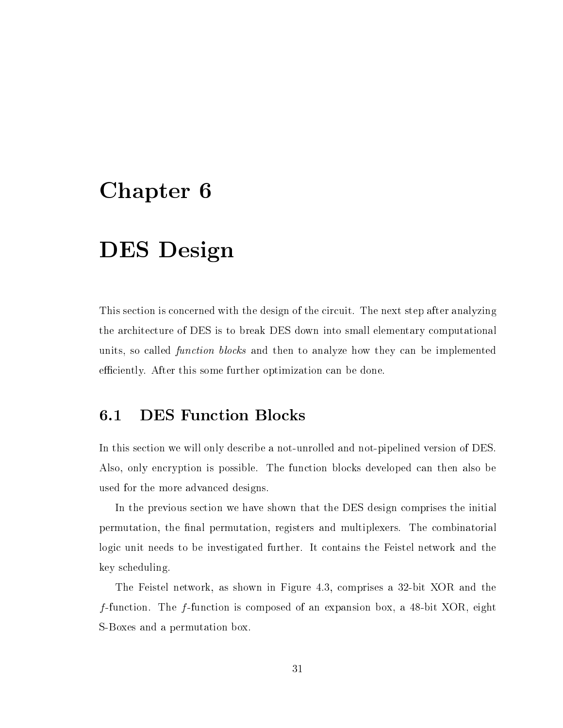# Chapter 6

# DES Design

This section is concerned with the design of the circuit. The next step after analyzing the architecture of DES is to break DES down into small elementary computational units, so called function blocks and then to analyze how they can be implemented efficiently. After this some further optimization can be done.

#### $6.1$ **DES Function Blocks**

In this section we will only describe a not-unrolled and not-pipelined version of DES. Also, only encryption is possible. The function blocks developed can then also be used for the more advanced designs.

In the previous section we have shown that the DES design comprises the initial permutation, the final permutation, registers and multiplexers. The combinatorial logic unit needs to be investigated further. It contains the Feistel network and the key scheduling.

The Feistel network, as shown in Figure 4.3, comprises a 32-bit XOR and the f-function. The f-function is composed of an expansion box, a 48-bit XOR, eight S-Boxes and a permutation box.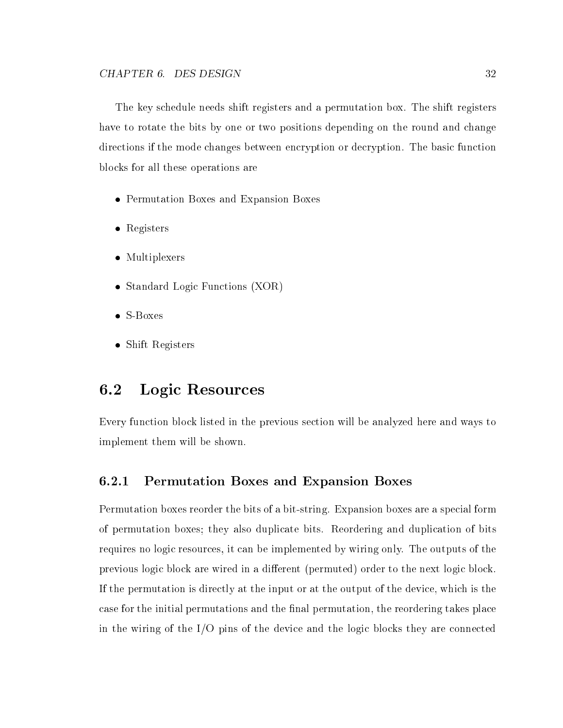The key schedule needs shift registers and a permutation box. The shift registers have to rotate the bits by one or two positions depending on the round and change directions if the mode changes between encryption or decryption. The basic function blocks for all these operations are

- Permutation Boxes and Expansion Boxes
- Registers
- Multiplexers
- Standard Logic Functions (XOR)
- S-Boxes
- Shift Registers

#### $6.2$ Logic Resources

Every function block listed in the previous section will be analyzed here and ways to implement them will be shown.

#### $6.2.1$ 6.2.1 Permutation Boxes and Expansion Boxes

Permutation boxes reorder the bits of a bit-string. Expansion boxes are a special form of permutation boxes; they also duplicate bits. Reordering and duplication of bits requires no logic resources, it can be implemented by wiring only. The outputs of the previous logic block are wired in a different (permuted) order to the next logic block. If the permutation is directly at the input or at the output of the device, which is the case for the initial permutations and the final permutation, the reordering takes place in the wiring of the I/O pins of the device and the logic blocks they are connected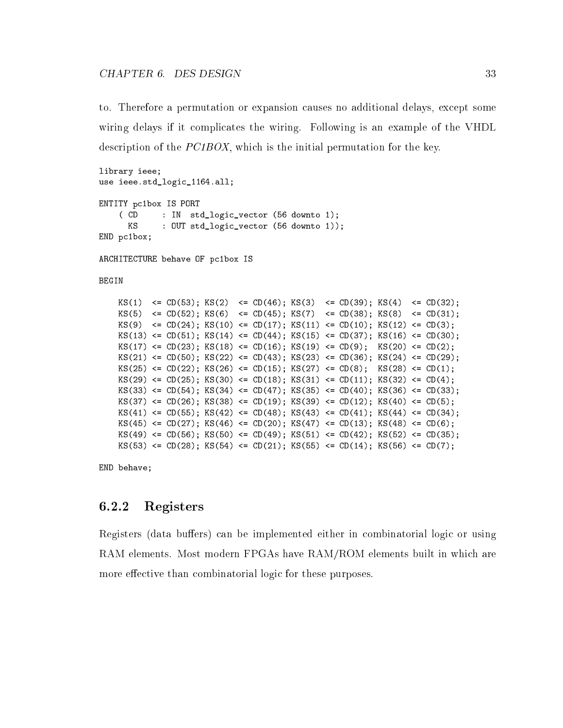to. Therefore a permutation or expansion causes no additional delays, except some wiring delays if it complicates the wiring. Following is an example of the VHDL description of the PC1BOX, which is the initial permutation for the key.

```
library ieee;
use ieee.std_logic_1164.all;
ENTITY pc1box IS PORT
    ( CD : IN std_logic_vector (56 downto 1);
      KS : OUT std_logic_vector (56 downto 1));
END pc1box;
ARCHITECTURE behave OF pc1box IS
BEGIN
    KS(1) \le CD(53); KS(2) \le CD(46); KS(3) \le CD(39); KS(4) \le CD(32);
    KS(5) \le CD(52); KS(6) \le CD(45); KS(7) \le CD(38); KS(8) \le CD(31);
    KS(9) \le CD(24); KS(10) \le CD(17); KS(11) \le CD(10); KS(12) \le CD(3);
    KS(13) \leq CD(51); KS(14) \leq CD(44); KS(15) \leq CD(37); KS(16) \leq CD(30);
    KS(17) \leq CD(23); KS(18) \leq CD(16); KS(19) \leq CD(9); KS(20) \leq CD(2);
    KS(21) \leq CD(50); KS(22) \leq CD(43); KS(23) \leq CD(36); KS(24) \leq CD(29);
    KS(25) <= CD(22); KS(26) <= CD(15); KS(27) <= CD(8); KS(28) <= CD(1);
    KS(29) \leq CD(25); KS(30) \leq CD(18); KS(31) \leq CD(11); KS(32) \leq CD(4);
    KS(33) \leq CD(54); KS(34) \leq CD(47); KS(35) \leq CD(40); KS(36) \leq CD(33);
    KS(37) <= CD(26); KS(38) <= CD(19); KS(39) <= CD(12); KS(40) <= CD(5);
    KS(41) \leq CD(55); KS(42) \leq CD(48); KS(43) \leq CD(41); KS(44) \leq CD(34);
    KS(45) <= CD(27); KS(46) <= CD(20); KS(47) <= CD(13); KS(48) <= CD(6);
    KS(49) \leq CD(56); KS(50) \leq CD(49); KS(51) \leq CD(42); KS(52) \leq CD(35);
    KS(53) \leq CD(28); KS(54) \leq CD(21); KS(55) \leq CD(14); KS(56) \leq CD(7);
```
END behave;

#### $6.2.2$ Registers

Registers (data buffers) can be implemented either in combinatorial logic or using RAM elements. Most modern FPGAs have RAM/ROM elements built in which are more effective than combinatorial logic for these purposes.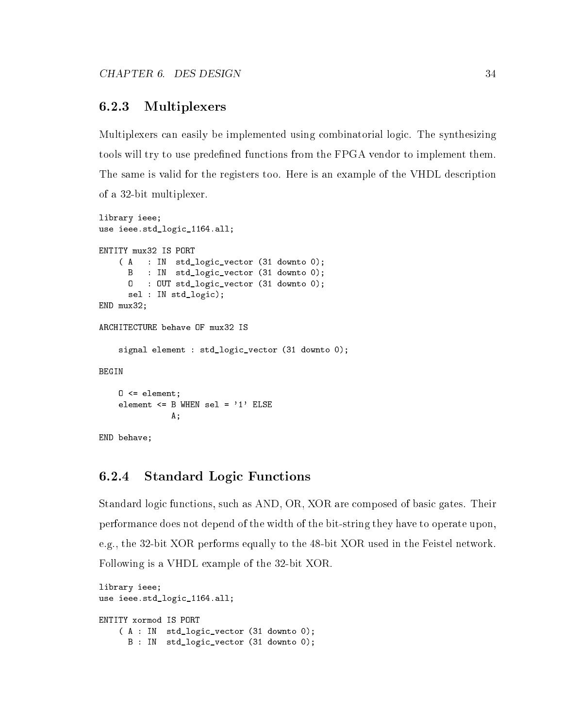#### 6.2.3 **Multiplexers**

Multiplexers can easily be implemented using combinatorial logic. The synthesizing tools will try to use predefined functions from the FPGA vendor to implement them. The same is valid for the registers too. Here is an example of the VHDL description of a 32-bit multiplexer.

```
library ieee;
use ieee.std_logic_1164.all;
ENTITY mux32 IS PORT
    ( A : IN std_logic_vector (31 downto 0);
      B : IN std_logic_vector (31 downto 0);
      O : OUT std_logic_vector (31 downto 0);
      sel : IN std_logic);
END mux32;
ARCHITECTURE behave OF mux32 IS
    signal element : std_logic_vector (31 downto 0);
BEGIN
    0 \leq element;
    element \leq B WHEN sel = '1' ELSE
               A;
END behave;
```
#### $6.2.4$ **Standard Logic Functions**

Standard logic functions, such as AND, OR, XOR are composed of basic gates. Their performance does not depend of the width of the bit-string they have to operate upon, e.g., the 32-bit XOR performs equally to the 48-bit XOR used in the Feistel network. Following is a VHDL example of the 32-bit XOR.

```
library ieee;
use ieee.std_logic_1164.all;
ENTITY xormod IS PORT
    ( A : IN std_logic_vector (31 downto 0);
     B : IN std_logic_vector (31 downto 0);
```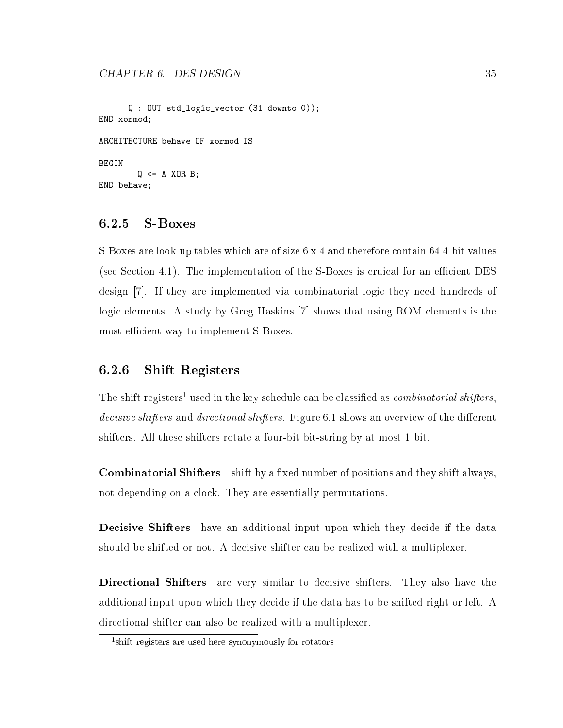```
Q : OUT std_logic_vector (31 downto 0));
END xormod;
BEGIN
          Q \leq A \times OR \cdot B;
END behave;
```
#### $6.2.5$ **S-Boxes**

S-Boxes are look-up tables which are of size 6 x 4 and therefore contain 64 4-bit values (see Section 4.1). The implementation of the S-Boxes is cruical for an efficient DES design [7]. If they are implemented via combinatorial logic they need hundreds of logic elements. A study by Greg Haskins [7] shows that using ROM elements is the most efficient way to implement S-Boxes.

### 6.2.6 Shift Registers

The shift registers used in the key schedule can be classified as *combinatorial shifters*, decisive shifters and directional shifters. Figure 6.1 shows an overview of the different shifters. All these shifters rotate a four-bit bit-string by at most 1 bit.

**Combinatorial Shifters** shift by a fixed number of positions and they shift always, not depending on a clock. They are essentially permutations.

Decisive Shifters have an additional input upon which they decide if the data should be shifted or not. A decisive shifter can be realized with a multiplexer.

Directional Shifters are very similar to decisive shifters. They also have the additional input upon which they decide if the data has to be shifted right or left. A directional shifter can also be realized with a multiplexer.

<sup>1</sup> shift registers are used here synonymously for rotators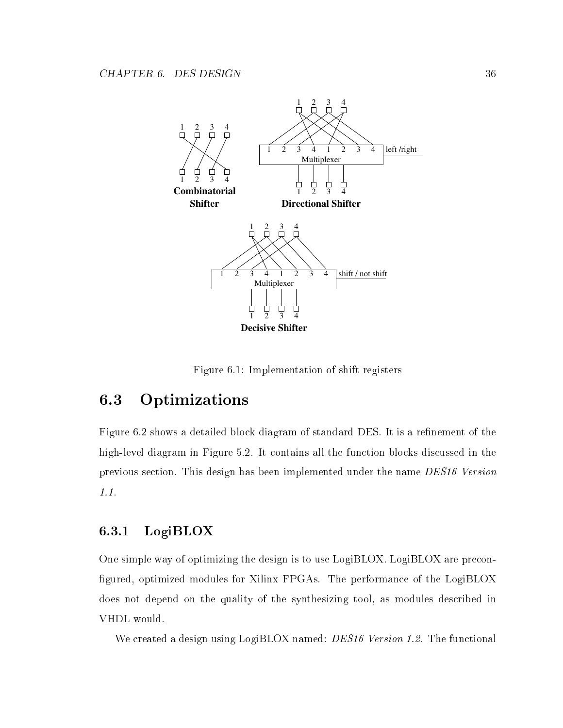

Figure 6.1: Implementation of shift registers

# 6.3 Optimizations

Figure 6.2 shows a detailed block diagram of standard DES. It is a refinement of the high-level diagram in Figure 5.2. It contains all the function blocks discussed in the previous section. This design has been implemented under the name DES16 Version 1.1.

## 6.3.1 LogiBLOX

One simple way of optimizing the design is to use LogiBLOX. LogiBLOX are precon figured, optimized modules for Xilinx FPGAs. The performance of the LogiBLOX does not depend on the quality of the synthesizing tool, as modules described in VHDL would.

We created a design using LogiBLOX named: *DES16 Version 1.2*. The functional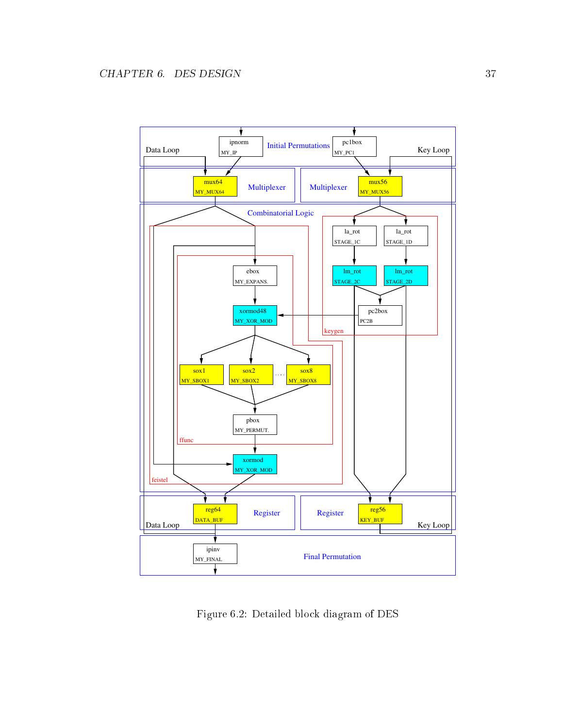

Figure 6.2: Detailed block diagram of DES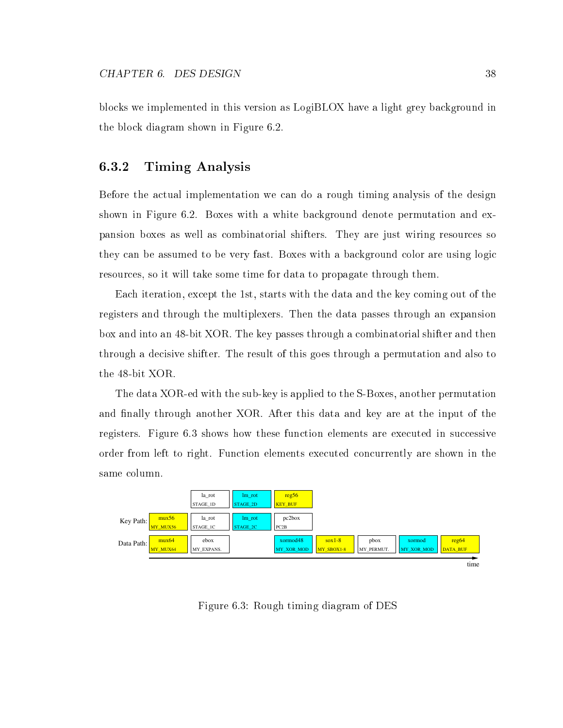blocks we implemented in this version as LogiBLOX have a light grey background in the block diagram shown in Figure 6.2.

### 6.3.2 Timing Analysis

Before the actual implementation we can do a rough timing analysis of the design shown in Figure 6.2. Boxes with a white background denote permutation and expansion boxes as well as combinatorial shifters. They are just wiring resources so they can be assumed to be very fast. Boxes with a background color are using logic resources, so it will take some time for data to propagate through them.

Each iteration, except the 1st, starts with the data and the key coming out of the registers and through the multiplexers. Then the data passes through an expansion box and into an 48-bit XOR. The key passes through a combinatorial shifter and then through a decisive shifter. The result of this goes through a permutation and also to the 48-bit XOR.

The data XOR-ed with the sub-key is applied to the S-Boxes, another permutation and finally through another XOR. After this data and key are at the input of the registers. Figure 6.3 shows how these function elements are executed in successive order from left to right. Function elements executed concurrently are shown in the same column.



Figure 6.3: Rough timing diagram of DES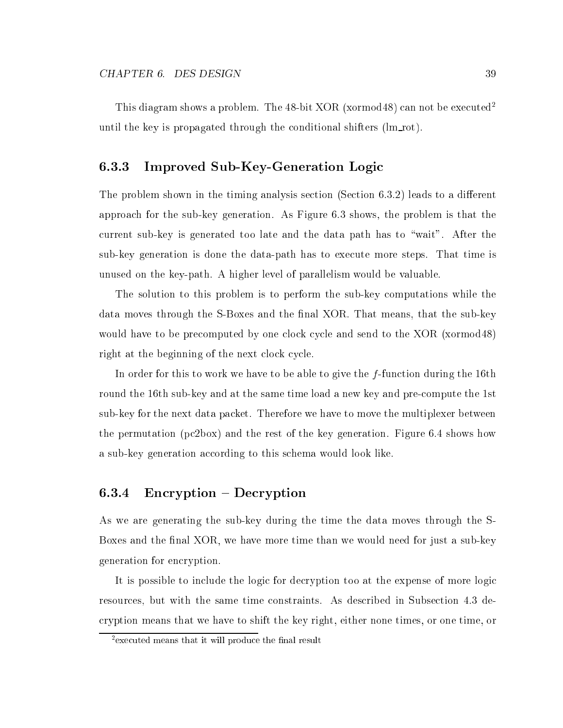### 6.3.3 Improved Sub-Key-Generation Logic

The problem shown in the timing analysis section (Section  $6.3.2$ ) leads to a different approach for the sub-key generation. As Figure 6.3 shows, the problem is that the current sub-key is generated too late and the data path has to \wait". After the sub-key generation is done the data-path has to execute more steps. That time is unused on the key-path. A higher level of parallelism would be valuable.

The solution to this problem is to perform the sub-key computations while the data moves through the S-Boxes and the final XOR. That means, that the sub-key would have to be precomputed by one clock cycle and send to the XOR (xormod48) right at the beginning of the next clock cycle.

In order for this to work we have to be able to give the  $f$ -function during the 16th round the 16th sub-key and at the same time load a new key and pre-compute the 1st sub-key for the next data packet. Therefore we have to move the multiplexer between the permutation (pc2box) and the rest of the key generation. Figure 6.4 shows how a sub-key generation according to this schema would look like.

#### $\rm{Encryption - Decryption}$  $6.3.4$

As we are generating the sub-key during the time the data moves through the S-Boxes and the final XOR, we have more time than we would need for just a sub-key generation for encryption.

It is possible to include the logic for decryption too at the expense of more logic resources, but with the same time constraints. As described in Subsection 4.3 decryption means that we have to shift the key right, either none times, or one time, or

<sup>2</sup> executed means that it will produce the nal result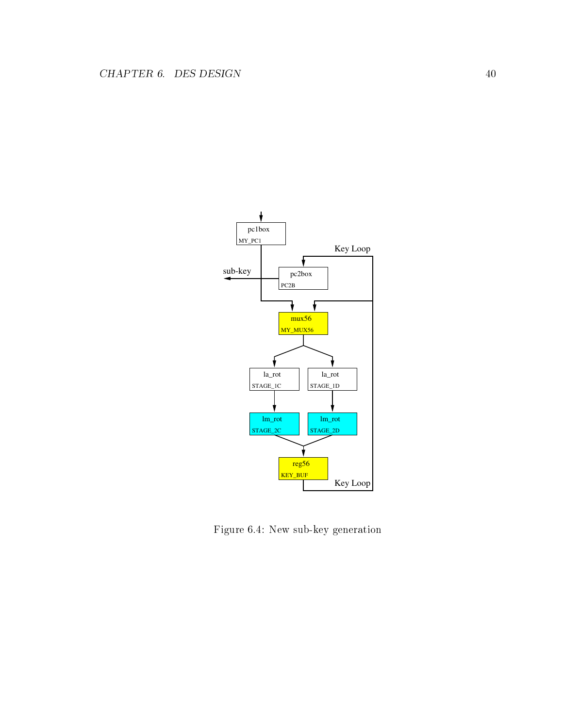

Figure 6.4: New sub-key generation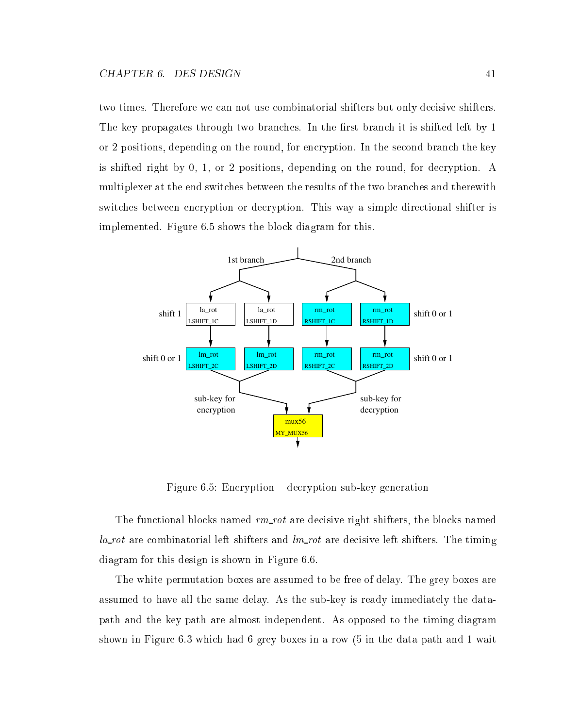two times. Therefore we can not use combinatorial shifters but only decisive shifters. The key propagates through two branches. In the first branch it is shifted left by 1 or 2 positions, depending on the round, for encryption. In the second branch the key is shifted right by 0, 1, or 2 positions, depending on the round, for decryption. A multiplexer at the end switches between the results of the two branches and therewith switches between encryption or decryption. This way a simple directional shifter is implemented. Figure 6.5 shows the block diagram for this.



Figure 6.5: Encryption  $-$  decryption sub-key generation

The functional blocks named  $rm\_rot$  are decisive right shifters, the blocks named  $la$ -rot are combinatorial left shifters and  $lm$ -rot are decisive left shifters. The timing diagram for this design is shown in Figure 6.6.

The white permutation boxes are assumed to be free of delay. The grey boxes are assumed to have all the same delay. As the sub-key is ready immediately the datapath and the key-path are almost independent. As opposed to the timing diagram shown in Figure 6.3 which had 6 grey boxes in a row (5 in the data path and 1 wait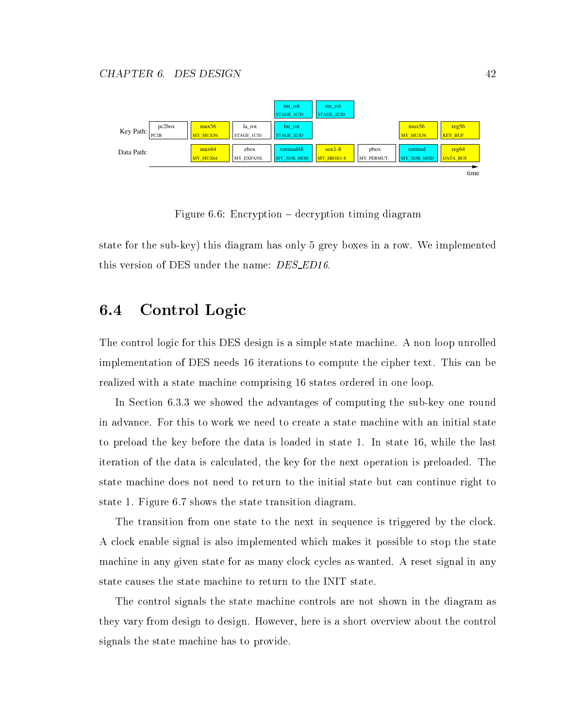

Figure  $6.6$ : Encryption – decryption timing diagram

state for the sub-key) this diagram has only 5 grey boxes in a row. We implemented this version of DES under the name: *DES\_ED16*.

#### 6.4 Control Logic

The control logic for this DES design is a simple state machine. A non loop unrolled implementation of DES needs 16 iterations to compute the cipher text. This can be realized with a state machine comprising 16 states ordered in one loop.

In Section 6.3.3 we showed the advantages of computing the sub-key one round in advance. For this to work we need to create a state machine with an initial state to preload the key before the data is loaded in state 1. In state 16, while the last iteration of the data is calculated, the key for the next operation is preloaded. The state machine does not need to return to the initial state but can continue right to state 1. Figure 6.7 shows the state transition diagram.

The transition from one state to the next in sequence is triggered by the clock. A clock enable signal is also implemented which makes it possible to stop the state machine in any given state for as many clock cycles as wanted. A reset signal in any state causes the state machine to return to the INIT state.

The control signals the state machine controls are not shown in the diagram as they vary from design to design. However, here is a short overview about the control signals the state machine has to provide.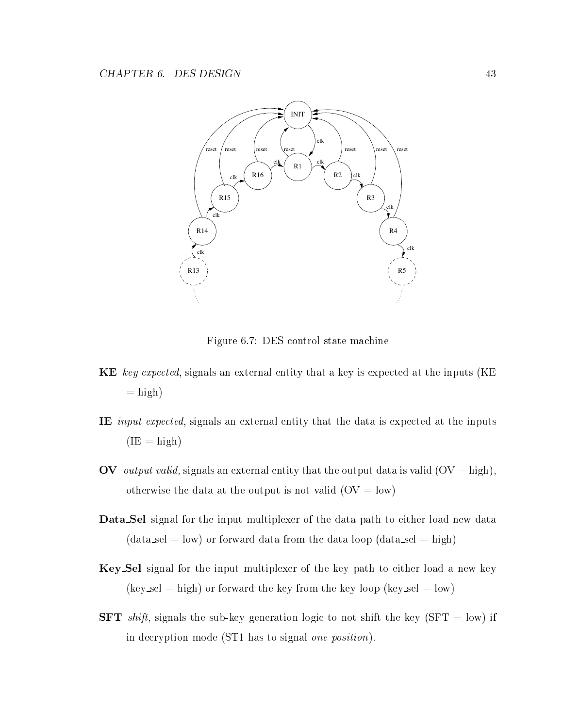

Figure 6.7: DES control state machine

- KE key expected, signals an external entity that a key is expected at the inputs (KE  $=$ high)
- IE input expected, signals an external entity that the data is expected at the inputs  $(IE = high)$
- OV *output valid*, signals an external entity that the output data is valid  $(OV = high)$ , otherwise the data at the output is not valid  $(OV = low)$
- Data Sel signal for the input multiplexer of the data path to either load new data  $(data_sel = low)$  or forward data from the data loop  $(data_sel = high)$
- Key Sel signal for the input multiplexer of the key path to either load a new key  $(key\_sel = high)$  or forward the key from the key loop (key sel = low)
- **SFT** shift, signals the sub-key generation logic to not shift the key (SFT = low) if in decryption mode (ST1 has to signal one position).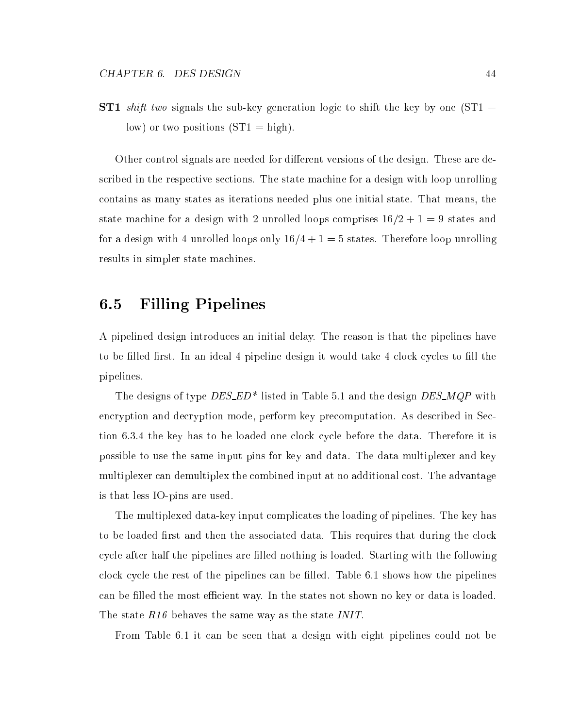**ST1** shift two signals the sub-key generation logic to shift the key by one  $ST1 =$ low) or two positions  $(ST1 = high)$ .

Other control signals are needed for different versions of the design. These are described in the respective sections. The state machine for a design with loop unrolling contains as many states as iterations needed plus one initial state. That means, the state machine for a design with 2 unrolled loops comprises  $16/2 + 1 = 9$  states and for a design with 4 unrolled loops only  $16/4 + 1 = 5$  states. Therefore loop-unrolling results in simpler state machines.

# 6.5 Filling Pipelines

A pipelined design introduces an initial delay. The reason is that the pipelines have to be filled first. In an ideal 4 pipeline design it would take 4 clock cycles to fill the pipelines.

The designs of type  $DES\_ED^*$  listed in Table 5.1 and the design  $DES\_MQP$  with encryption and decryption mode, perform key precomputation. As described in Section 6.3.4 the key has to be loaded one clock cycle before the data. Therefore it is possible to use the same input pins for key and data. The data multiplexer and key multiplexer can demultiplex the combined input at no additional cost. The advantage is that less IO-pins are used.

The multiplexed data-key input complicates the loading of pipelines. The key has to be loaded first and then the associated data. This requires that during the clock cycle after half the pipelines are filled nothing is loaded. Starting with the following clock cycle the rest of the pipelines can be filled. Table 6.1 shows how the pipelines can be filled the most efficient way. In the states not shown no key or data is loaded. The state R16 behaves the same way as the state INIT.

From Table 6.1 it can be seen that a design with eight pipelines could not be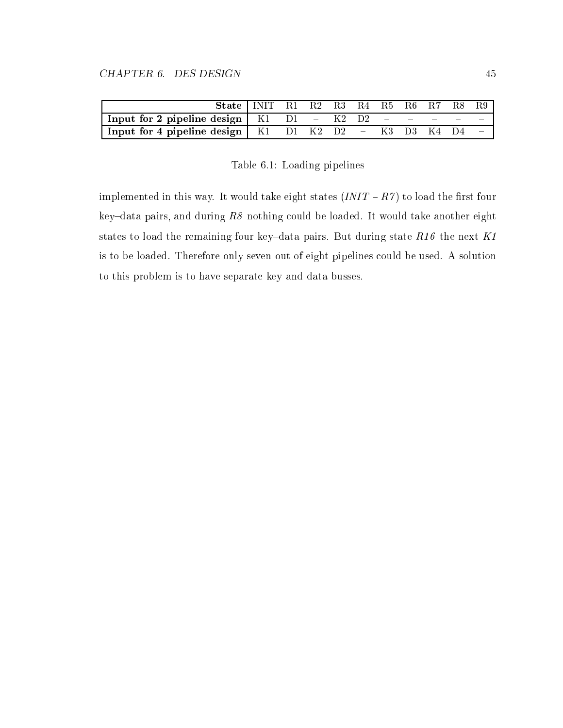| State $\vert$ INIT R1 R2 R3 R4 R5 R6 R7 R8 R9           |  |  |  |  |  |
|---------------------------------------------------------|--|--|--|--|--|
| Input for 2 pipeline design   K1 D1 - K2 D2 - - - - -   |  |  |  |  |  |
| Input for 4 pipeline design   K1 D1 K2 D2 - K3 D3 K4 D4 |  |  |  |  |  |

Table 6.1: Loading pipelines

implemented in this way. It would take eight states  $(INIT - R7)$  to load the first four key-data pairs, and during  $R8$  nothing could be loaded. It would take another eight states to load the remaining four key-data pairs. But during state  $R16$  the next  $K1$ is to be loaded. Therefore only seven out of eight pipelines could be used. A solution to this problem is to have separate key and data busses.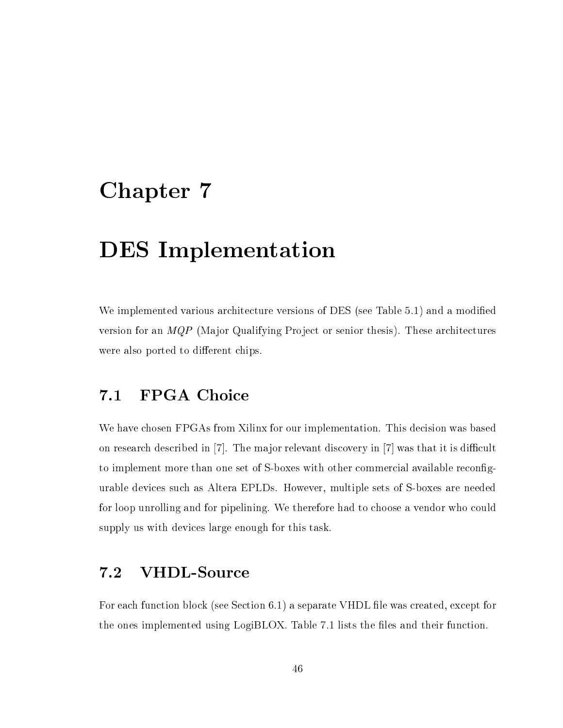# Chapter 7

# DES Implementation

We implemented various architecture versions of DES (see Table 5.1) and a modified version for an MQP (Major Qualifying Project or senior thesis). These architectures were also ported to different chips.

#### $7.1$ FPGA Choice

We have chosen FPGAs from Xilinx for our implementation. This decision was based on research described in  $[7]$ . The major relevant discovery in  $[7]$  was that it is difficult to implement more than one set of S-boxes with other commercial available recongurable devices such as Altera EPLDs. However, multiple sets of S-boxes are needed for loop unrolling and for pipelining. We therefore had to choose a vendor who could supply us with devices large enough for this task.

#### VHDL-Source  $7.2$

For each function block (see Section 6.1) a separate VHDL file was created, except for the ones implemented using LogiBLOX. Table 7.1 lists the files and their function.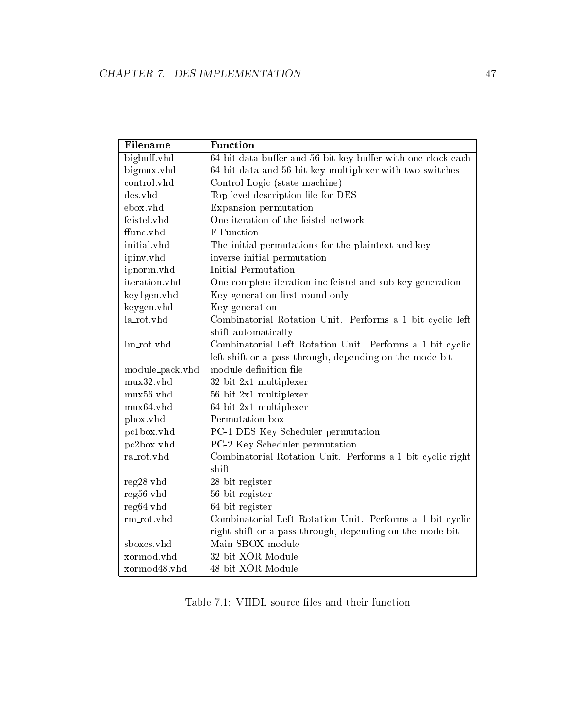| Filename        | Function                                                     |
|-----------------|--------------------------------------------------------------|
| bigbuff.vhd     | 64 bit data buffer and 56 bit key buffer with one clock each |
| bigmux.vhd      | 64 bit data and 56 bit key multiplexer with two switches     |
| control.vhd     | Control Logic (state machine)                                |
| des.yhd         | Top level description file for DES                           |
| ebox.vhd        | Expansion permutation                                        |
| feistel.vhd     | One iteration of the feistel network                         |
| ffunc.vhd       | F-Function                                                   |
| initial.vhd     | The initial permutations for the plaintext and key           |
| ipinv.vhd       | inverse initial permutation                                  |
| ipnorm.vhd      | Initial Permutation                                          |
| iteration.vhd   | One complete iteration inc feistel and sub-key generation    |
| key1gen.vhd     | Key generation first round only                              |
| keygen.vhd      | Key generation                                               |
| la_rot.vhd      | Combinatorial Rotation Unit. Performs a 1 bit cyclic left    |
|                 | shift automatically                                          |
| lm_rot.vhd      | Combinatorial Left Rotation Unit. Performs a 1 bit cyclic    |
|                 | left shift or a pass through, depending on the mode bit      |
| module_pack.vhd | module definition file                                       |
| mux32.vhd       | 32 bit 2x1 multiplexer                                       |
| mux56.vhd       | 56 bit 2x1 multiplexer                                       |
| mux64.vhd       | 64 bit 2x1 multiplexer                                       |
| pbox.vhd        | Permutation box                                              |
| pc1box.vhd      | PC-1 DES Key Scheduler permutation                           |
| pc2box.vhd      | PC-2 Key Scheduler permutation                               |
| ra_rot.vhd      | Combinatorial Rotation Unit. Performs a 1 bit cyclic right   |
|                 | shift                                                        |
| reg28.vhd       | 28 bit register                                              |
| reg56.vhd       | 56 bit register                                              |
| reg64.vhd       | 64 bit register                                              |
| rm_rot.vhd      | Combinatorial Left Rotation Unit. Performs a 1 bit cyclic    |
|                 | right shift or a pass through, depending on the mode bit     |
| sboxes.vhd      | Main SBOX module                                             |
| xormod.vhd      | 32 bit XOR Module                                            |
| xormod48.vhd    | 48 bit XOR Module                                            |

Table 7.1: VHDL source files and their function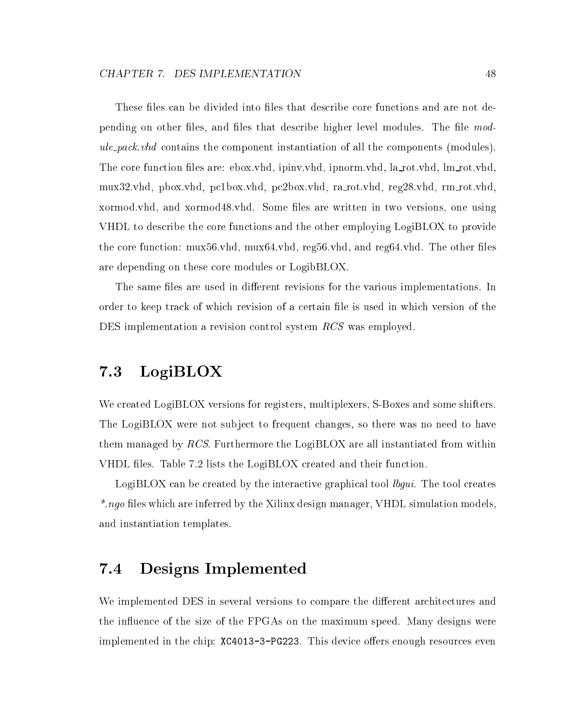These files can be divided into files that describe core functions and are not depending on other files, and files that describe higher level modules. The file module pack.vhd contains the component instantiation of all the components (modules). The core function files are: ebox.vhd, ipinv.vhd, ipnorm.vhd, la\_rot.vhd, lm\_rot.vhd, mux32.vhd, pbox.vhd, pc1box.vhd, pc2box.vhd, ra rot.vhd, reg28.vhd, rm rot.vhd, xormod.vhd, and xormod48.vhd. Some les are written in two versions, one using VHDL to describe the core functions and the other employing LogiBLOX to provide the core function:  $\mu x$ 56.vhd,  $\mu x$ 64.vhd, reg56.vhd, and reg64.vhd. The other files are depending on these core modules or LogibBLOX.

The same files are used in different revisions for the various implementations. In order to keep track of which revision of a certain le is used in which version of the DES implementation a revision control system RCS was employed.

# 7.3 LogiBLOX

We created LogiBLOX versions for registers, multiplexers, S-Boxes and some shifters. The LogiBLOX were not subject to frequent changes, so there was no need to have them managed by RCS. Furthermore the LogiBLOX are all instantiated from within VHDL files. Table 7.2 lists the LogiBLOX created and their function.

LogiBLOX can be created by the interactive graphical tool *lbgui*. The tool creates \*.ngo files which are inferred by the Xilinx design manager, VHDL simulation models, and instantiation templates.

# 7.4 Designs Implemented

We implemented DES in several versions to compare the different architectures and the influence of the size of the FPGAs on the maximum speed. Many designs were implemented in the chip:  $XC4013-3-PG223$ . This device offers enough resources even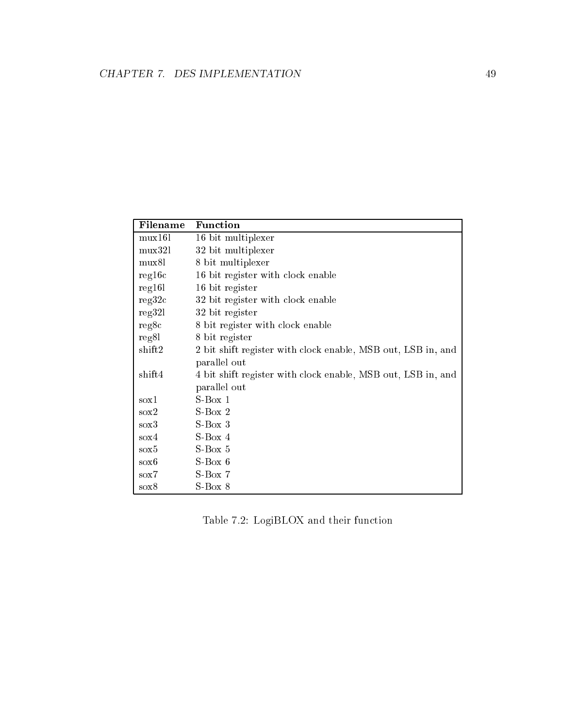| Filename    | Function                                                     |
|-------------|--------------------------------------------------------------|
| $\max 161$  | 16 bit multiplexer                                           |
| $\max$ 321  | 32 bit multiplexer                                           |
| mux8l       | 8 bit multiplexer                                            |
| reg16c      | 16 bit register with clock enable                            |
| reg16l      | 16 bit register                                              |
| reg32c      | 32 bit register with clock enable                            |
| reg32l      | 32 bit register                                              |
| reg8c       | 8 bit register with clock enable                             |
| reg8l       | 8 bit register                                               |
| shift2      | 2 bit shift register with clock enable, MSB out, LSB in, and |
|             | parallel out                                                 |
| shift4      | 4 bit shift register with clock enable, MSB out, LSB in, and |
|             | parallel out                                                 |
| $\cos 1$    | $S-Box 1$                                                    |
| $s$ ox $2$  | $S-Box$ 2                                                    |
| $s\alpha 3$ | $S-Box$ 3                                                    |
| $\cos 4$    | $S-Box$ 4                                                    |
| $s$ ox $5$  | $S-Box 5$                                                    |
| $s$ ox $6$  | $S-Box 6$                                                    |
| $\cos 7$    | $S-Box 7$                                                    |
| $s\alpha 8$ | $S-Box 8$                                                    |

Table 7.2: LogiBLOX and their function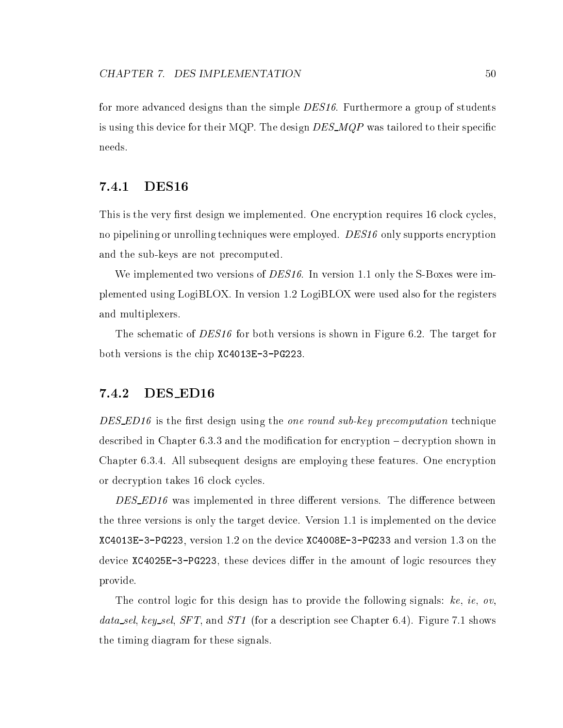for more advanced designs than the simple *DES16*. Furthermore a group of students is using this device for their MQP. The design  $DES\_MQP$  was tailored to their specific needs.

### 7.4.1 DES16

This is the very first design we implemented. One encryption requires 16 clock cycles, no pipelining or unrolling techniques were employed. DES16 only supports encryption and the sub-keys are not precomputed.

We implemented two versions of DES16. In version 1.1 only the S-Boxes were implemented using LogiBLOX. In version 1.2 LogiBLOX were used also for the registers and multiplexers.

The schematic of DES16 for both versions is shown in Figure 6.2. The target for both versions is the chip XC4013E-3-PG223.

### 7.4.2 DES ED16

DES\_ED16 is the first design using the one round sub-key precomputation technique described in Chapter  $6.3.3$  and the modification for encryption  $-$  decryption shown in Chapter 6.3.4. All subsequent designs are employing these features. One encryption or decryption takes 16 clock cycles.

 $DES$  ED16 was implemented in three different versions. The difference between the three versions is only the target device. Version 1.1 is implemented on the device XC4013E-3-PG223, version 1.2 on the device XC4008E-3-PG233 and version 1.3 on the device XC4025E-3-PG223, these devices differ in the amount of logic resources they provide.

The control logic for this design has to provide the following signals: ke, ie, ov, data\_sel, key\_sel, SFT, and ST1 (for a description see Chapter 6.4). Figure 7.1 shows the timing diagram for these signals.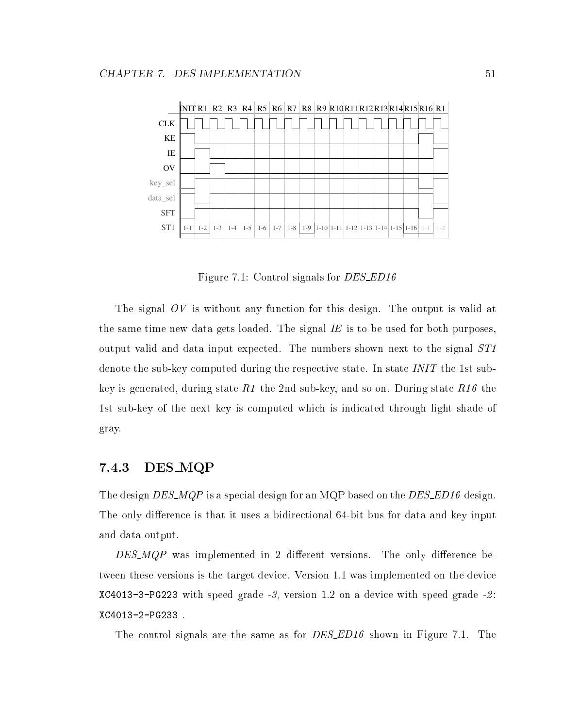

Figure 7.1: Control signals for *DES\_ED16* 

The signal OV is without any function for this design. The output is valid at the same time new data gets loaded. The signal  $IE$  is to be used for both purposes, output valid and data input expected. The numbers shown next to the signal ST1 denote the sub-key computed during the respective state. In state INIT the 1st subkey is generated, during state  $R1$  the 2nd sub-key, and so on. During state  $R16$  the 1st sub-key of the next key is computed which is indicated through light shade of gray.

## 7.4.3 DES MQP

The design DES\_MQP is a special design for an MQP based on the DES\_ED16 design. The only difference is that it uses a bidirectional 64-bit bus for data and key input and data output.

 $DES_MQP$  was implemented in 2 different versions. The only difference between these versions is the target device. Version 1.1 was implemented on the device  $XC4013-3-PG223$  with speed grade -3, version 1.2 on a device with speed grade -2: XC4013-2-PG233 .

The control signals are the same as for *DES\_ED16* shown in Figure 7.1. The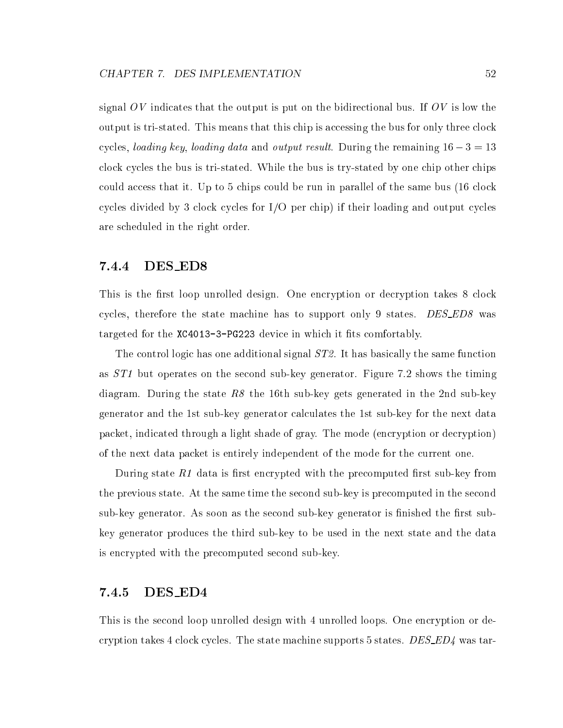signal  $OV$  indicates that the output is put on the bidirectional bus. If  $OV$  is low the output is tri-stated. This means that this chip is accessing the bus for only three clock cycles, *loading key, loading data* and *output result*. During the remaining  $16 - 3 = 13$ clock cycles the bus is tri-stated. While the bus is try-stated by one chip other chips could access that it. Up to 5 chips could be run in parallel of the same bus (16 clock cycles divided by 3 clock cycles for I/O per chip) if their loading and output cycles are scheduled in the right order.

### 7.4.4 DES ED8

This is the first loop unrolled design. One encryption or decryption takes 8 clock cycles, therefore the state machine has to support only 9 states. DES\_ED8 was targeted for the  $XC4013-3-PG223$  device in which it fits comfortably.

The control logic has one additional signal  $ST2$ . It has basically the same function as ST1 but operates on the second sub-key generator. Figure 7.2 shows the timing diagram. During the state  $R8$  the 16th sub-key gets generated in the 2nd sub-key generator and the 1st sub-key generator calculates the 1st sub-key for the next data packet, indicated through a light shade of gray. The mode (encryption or decryption) of the next data packet is entirely independent of the mode for the current one.

During state  $R1$  data is first encrypted with the precomputed first sub-key from the previous state. At the same time the second sub-key is precomputed in the second sub-key generator. As soon as the second sub-key generator is finished the first subkey generator produces the third sub-key to be used in the next state and the data is encrypted with the precomputed second sub-key.

### 7.4.5 DES ED4

This is the second loop unrolled design with 4 unrolled loops. One encryption or decryption takes 4 clock cycles. The state machine supports 5 states.  $DES\_ED4$  was tar-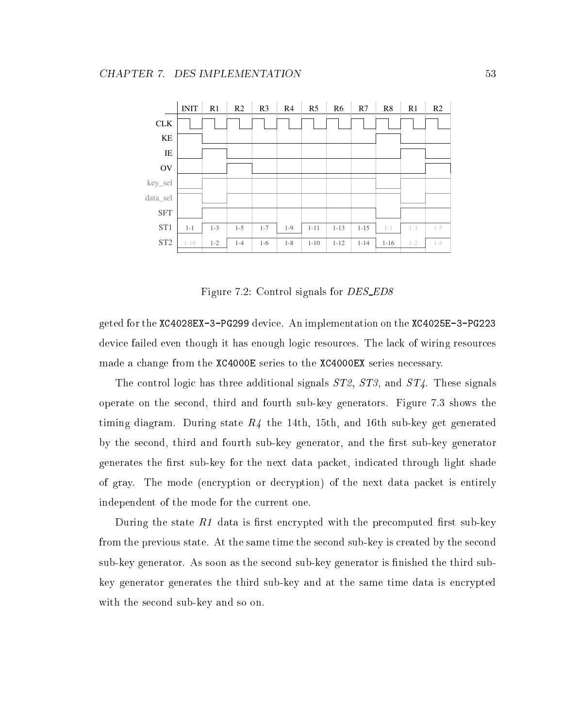

Figure 7.2: Control signals for *DES\_ED8* 

geted for the XC4028EX-3-PG299 device. An implementation on the XC4025E-3-PG223 device failed even though it has enough logic resources. The lack of wiring resources made a change from the XC4000E series to the XC4000EX series necessary.

The control logic has three additional signals ST2, ST3, and ST4. These signals operate on the second, third and fourth sub-key generators. Figure 7.3 shows the timing diagram. During state  $R_4$  the 14th, 15th, and 16th sub-key get generated by the second, third and fourth sub-key generator, and the first sub-key generator generates the first sub-key for the next data packet, indicated through light shade of gray. The mode (encryption or decryption) of the next data packet is entirely independent of the mode for the current one.

During the state  $R1$  data is first encrypted with the precomputed first sub-key from the previous state. At the same time the second sub-key is created by the second sub-key generator. As soon as the second sub-key generator is finished the third subkey generator generates the third sub-key and at the same time data is encrypted with the second sub-key and so on.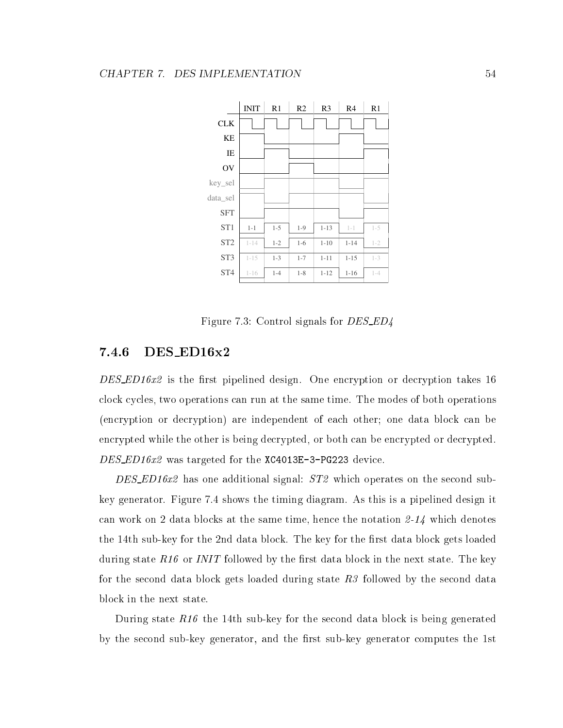

Figure 7.3: Control signals for DES ED4

### 7.4.6 DES ED16x2

DES\_ED16x2 is the first pipelined design. One encryption or decryption takes 16 clock cycles, two operations can run at the same time. The modes of both operations (encryption or decryption) are independent of each other; one data block can be encrypted while the other is being decrypted, or both can be encrypted or decrypted.  $DES$ *ED16x2* was targeted for the XC4013E-3-PG223 device.

DES\_ED16x2 has one additional signal:  $ST2$  which operates on the second subkey generator. Figure 7.4 shows the timing diagram. As this is a pipelined design it can work on 2 data blocks at the same time, hence the notation 2-14 which denotes the 14th sub-key for the 2nd data block. The key for the first data block gets loaded during state  $R16$  or *INIT* followed by the first data block in the next state. The key for the second data block gets loaded during state  $R3$  followed by the second data block in the next state.

During state  $R16$  the 14th sub-key for the second data block is being generated by the second sub-key generator, and the first sub-key generator computes the 1st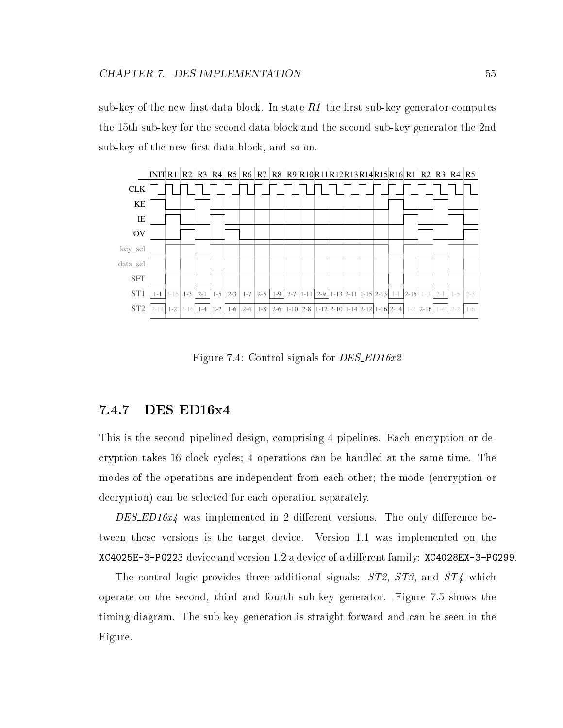sub-key of the new first data block. In state  $R1$  the first sub-key generator computes the 15th sub-key for the second data block and the second sub-key generator the 2nd sub-key of the new first data block, and so on.



Figure 7.4: Control signals for *DES\_ED16x2* 

## 7.4.7 DES ED16x4

This is the second pipelined design, comprising 4 pipelines. Each encryption or decryption takes 16 clock cycles; 4 operations can be handled at the same time. The modes of the operations are independent from each other; the mode (encryption or decryption) can be selected for each operation separately.

 $DES\_ED16x4$  was implemented in 2 different versions. The only difference between these versions is the target device. Version 1.1 was implemented on the XC4025E-3-PG223 device and version 1.2 a device of a dierent family: XC4028EX-3-PG299.

The control logic provides three additional signals:  $ST2$ ,  $ST3$ , and  $ST4$  which operate on the second, third and fourth sub-key generator. Figure 7.5 shows the timing diagram. The sub-key generation is straight forward and can be seen in the Figure.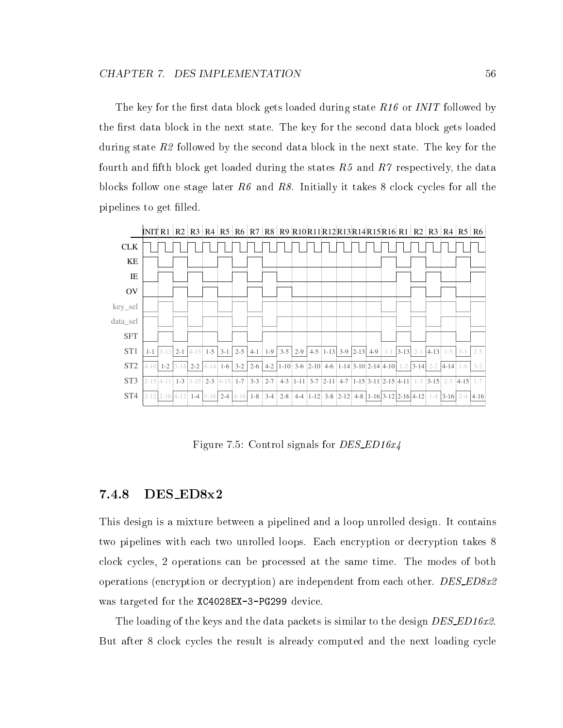The key for the first data block gets loaded during state  $R16$  or INIT followed by the first data block in the next state. The key for the second data block gets loaded during state R2 followed by the second data block in the next state. The key for the fourth and fifth block get loaded during the states  $R5$  and  $R7$  respectively, the data blocks follow one stage later  $R6$  and  $R8$ . Initially it takes 8 clock cycles for all the pipelines to get filled.



Figure 7.5: Control signals for  $DES\_ED16x4$ 

### 7.4.8 DES ED8x2

This design is a mixture between a pipelined and a loop unrolled design. It contains two pipelines with each two unrolled loops. Each encryption or decryption takes 8 clock cycles, 2 operations can be processed at the same time. The modes of both operations (encryption or decryption) are independent from each other.  $DES\_ED8x2$ was targeted for the XC4028EX-3-PG299 device.

The loading of the keys and the data packets is similar to the design DES\_ED16x2. But after 8 clock cycles the result is already computed and the next loading cycle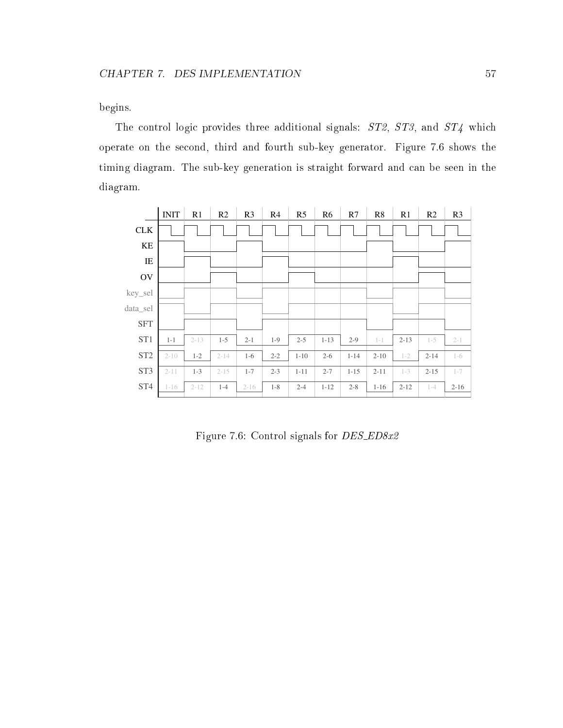begins.

The control logic provides three additional signals:  $ST2$ ,  $ST3$ , and  $ST4$  which operate on the second, third and fourth sub-key generator. Figure 7.6 shows the timing diagram. The sub-key generation is straight forward and can be seen in the diagram.

|                 | <b>INIT</b> | R <sub>1</sub> | R2       | R3       | R <sub>4</sub> | R <sub>5</sub> | R <sub>6</sub> | R7       | R8       | R1       | R <sub>2</sub> | R <sub>3</sub> |
|-----------------|-------------|----------------|----------|----------|----------------|----------------|----------------|----------|----------|----------|----------------|----------------|
| CLK             |             |                |          |          |                |                |                |          |          |          |                |                |
| KE              |             |                |          |          |                |                |                |          |          |          |                |                |
| IE              |             |                |          |          |                |                |                |          |          |          |                |                |
| $\rm OV$        |             |                |          |          |                |                |                |          |          |          |                |                |
| key_sel         |             |                |          |          |                |                |                |          |          |          |                |                |
| data_sel        |             |                |          |          |                |                |                |          |          |          |                |                |
| ${\rm SFT}$     |             |                |          |          |                |                |                |          |          |          |                |                |
| ST1             | $1 - 1$     | $2 - 13$       | $1 - 5$  | $2 - 1$  | $1 - 9$        | $2 - 5$        | $1 - 13$       | $2 - 9$  | $1 - 1$  | $2 - 13$ | $1 - 5$        | $2 - 1$        |
| ST <sub>2</sub> | $2 - 10$    | $1 - 2$        | $2 - 14$ | $1-6$    | $2 - 2$        | $1 - 10$       | $2 - 6$        | $1 - 14$ | $2 - 10$ | $1 - 2$  | $2 - 14$       | $1-6$          |
| ST <sub>3</sub> | $2 - 11$    | $1 - 3$        | $2 - 15$ | $1 - 7$  | $2 - 3$        | $1 - 11$       | $2 - 7$        | $1 - 15$ | $2 - 11$ | $1 - 3$  | $2 - 15$       | $1 - 7$        |
| ST <sub>4</sub> | $1 - 16$    | $2 - 12$       | $1 - 4$  | $2 - 16$ | $1 - 8$        | $2 - 4$        | $1 - 12$       | $2 - 8$  | $1 - 16$ | $2 - 12$ | $1 - 4$        | $2 - 16$       |

Figure 7.6: Control signals for DES ED8x2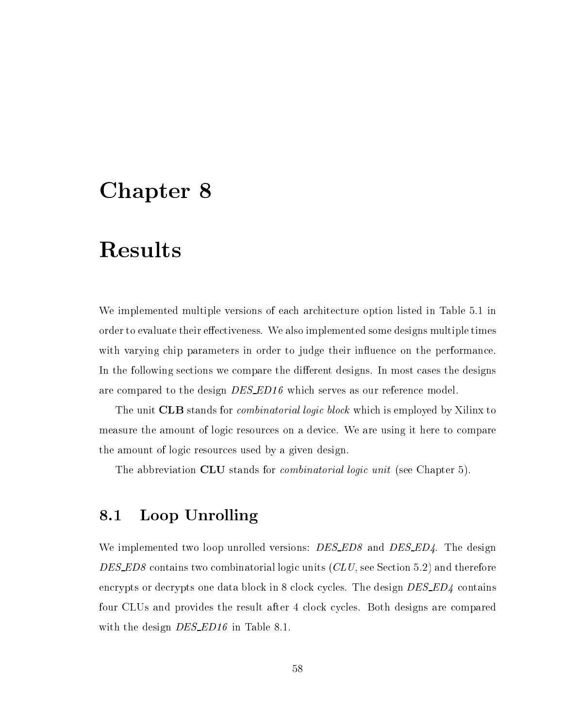# Chapter 8

# Results

We implemented multiple versions of each architecture option listed in Table 5.1 in order to evaluate their effectiveness. We also implemented some designs multiple times with varying chip parameters in order to judge their influence on the performance. In the following sections we compare the different designs. In most cases the designs are compared to the design *DES\_ED16* which serves as our reference model.

The unit **CLB** stands for *combinatorial logic block* which is employed by Xilinx to measure the amount of logic resources on a device. We are using it here to compare the amount of logic resources used by a given design.

The abbreviation CLU stands for *combinatorial logic unit* (see Chapter 5).

# 8.1 Loop Unrolling

We implemented two loop unrolled versions: *DES\_ED8* and *DES\_ED4*. The design DES\_ED8 contains two combinatorial logic units  $CLU$ , see Section 5.2) and therefore encrypts or decrypts one data block in 8 clock cycles. The design  $DES\_ED4$  contains four CLUs and provides the result after 4 clock cycles. Both designs are compared with the design *DES\_ED16* in Table 8.1.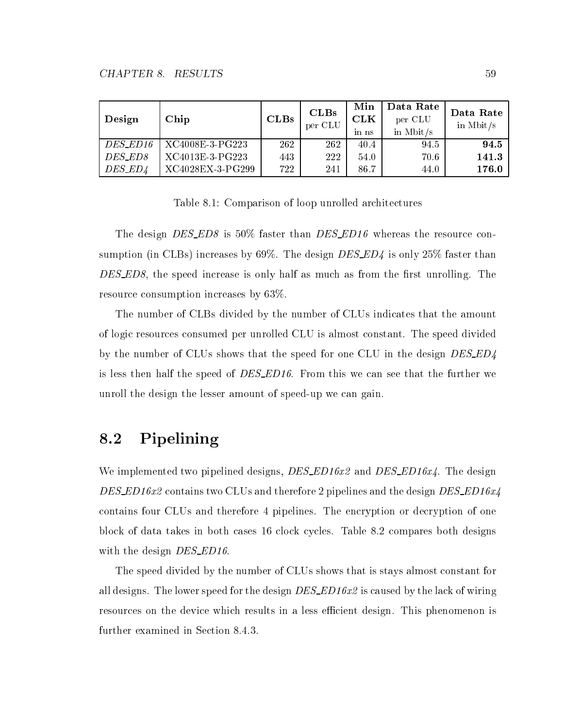| Design         | Chip             | CLBs | CLBs<br>per CLU | Min<br>${\rm \bf CLK}$<br>in ns | Data Rate<br>per CLU<br>in Mbit/ $s$ | Data Rate<br>in Mbit/ $s$ |
|----------------|------------------|------|-----------------|---------------------------------|--------------------------------------|---------------------------|
| DES_ED16       | XC4008E-3-PG223  | 262  | 262             | 40.4                            | 94.5                                 | 94.5                      |
| <i>DES_ED8</i> | XC4013E-3-PG223  | 443  | 222             | 54.0                            | 70.6                                 | 141.3                     |
| DES_ED4        | XC4028EX-3-PG299 | 722  | 241             | 86.7                            | 44.0                                 | 176.0                     |

Table 8.1: Comparison of loop unrolled architectures

The design DES\_ED8 is 50% faster than DES\_ED16 whereas the resource consumption (in CLBs) increases by 69%. The design  $DES\_ED4$  is only 25% faster than  $DESED8$ , the speed increase is only half as much as from the first unrolling. The resource consumption increases by 63%.

The number of CLBs divided by the number of CLUs indicates that the amount of logic resources consumed per unrolled CLU is almost constant. The speed divided by the number of CLUs shows that the speed for one CLU in the design DES\_ED4 is less then half the speed of DES\_ED16. From this we can see that the further we unroll the design the lesser amount of speed-up we can gain.

# 8.2 Pipelining

We implemented two pipelined designs,  $DES\_ED16x2$  and  $DES\_ED16x4$ . The design DES\_ED16x2 contains two CLUs and therefore 2 pipelines and the design DES\_ED16x4 contains four CLUs and therefore 4 pipelines. The encryption or decryption of one block of data takes in both cases 16 clock cycles. Table 8.2 compares both designs with the design DES\_ED16.

The speed divided by the number of CLUs shows that is stays almost constant for all designs. The lower speed for the design  $DES$ *ED16x2* is caused by the lack of wiring resources on the device which results in a less efficient design. This phenomenon is further examined in Section 8.4.3.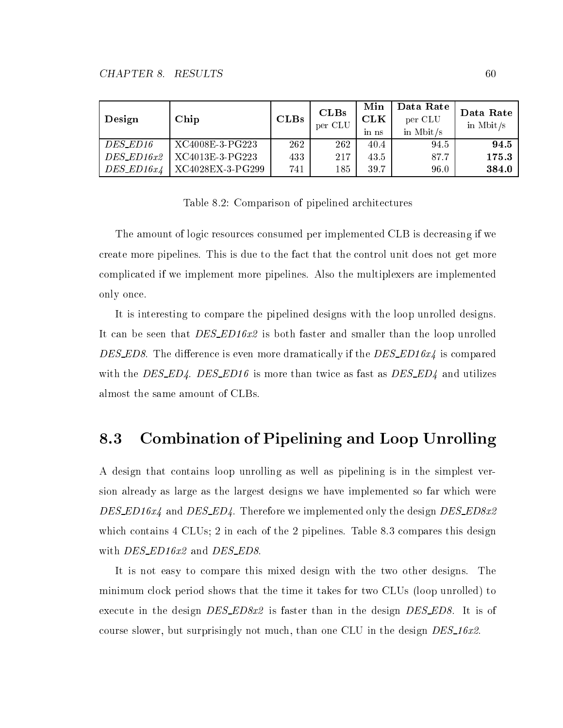| Design           | Chip             | CLBs | CLBs<br>per CLU | Min<br><b>CLK</b><br>$1n$ ns | Data Rate<br>per CLU<br>in Mbit/ $s$ | Data Rate<br>in Mbit/ $s$ |
|------------------|------------------|------|-----------------|------------------------------|--------------------------------------|---------------------------|
| DES_ED16         | XC4008E-3-PG223  | 262  | 262             | 40.4                         | 94.5                                 | 94.5                      |
| $DES\_ED16x2$    | XC4013E-3-PG223  | 433  | 217             | 43.5                         | 87.7                                 | 175.3                     |
| $DES$ _ $ED16x4$ | XC4028EX-3-PG299 | 741  | 185             | 39.7                         | 96.0                                 | 384.0                     |

Table 8.2: Comparison of pipelined architectures

The amount of logic resources consumed per implemented CLB is decreasing if we create more pipelines. This is due to the fact that the control unit does not get more complicated if we implement more pipelines. Also the multiplexers are implemented only once.

It is interesting to compare the pipelined designs with the loop unrolled designs. It can be seen that DES\_ED16x2 is both faster and smaller than the loop unrolled DES\_ED8. The difference is even more dramatically if the  $DES$ \_ED16x4 is compared with the DES\_ED4. DES\_ED16 is more than twice as fast as  $DES\_ED4$  and utilizes almost the same amount of CLBs.

# 8.3 Combination of Pipelining and Loop Unrolling

A design that contains loop unrolling as well as pipelining is in the simplest version already as large as the largest designs we have implemented so far which were DES\_ED16x4 and DES\_ED4. Therefore we implemented only the design DES\_ED8x2 which contains 4 CLUs; 2 in each of the 2 pipelines. Table 8.3 compares this design with DES\_ED16x2 and DES\_ED8.

It is not easy to compare this mixed design with the two other designs. The minimum clock period shows that the time it takes for two CLUs (loop unrolled) to execute in the design  $DES\_ED8x2$  is faster than in the design  $DES\_ED8$ . It is of course slower, but surprisingly not much, than one CLU in the design  $DES_16x2$ .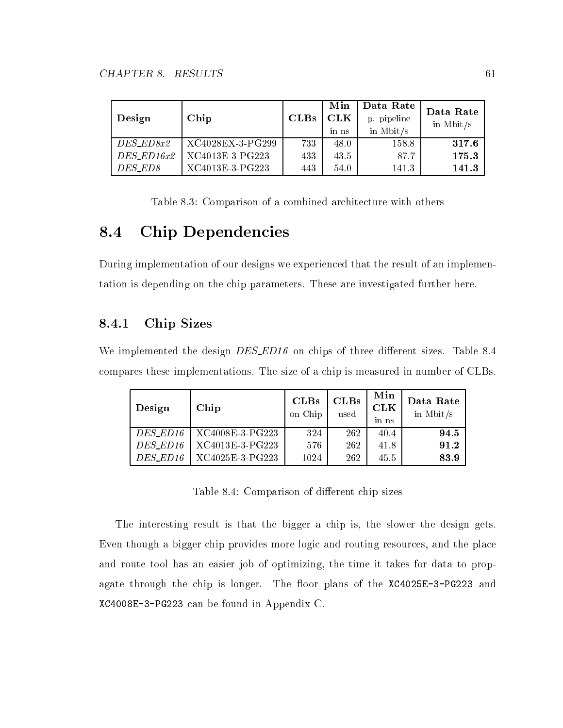| Design         | Chip             | CLBs | Min<br>CLK<br>in ns | Data Rate<br>p. pipeline<br>in Mbit/ $s$ | Data Rate<br>in Mbit/ $s$ |
|----------------|------------------|------|---------------------|------------------------------------------|---------------------------|
| $DES\_ED8x2$   | XC4028EX-3-PG299 | 733  | 48.0                | 158.8                                    | 317.6                     |
| $DES$ $ED16x2$ | XC4013E-3-PG223  | 433  | 43.5                | 87.7                                     | 175.3                     |
| DES_ED8        | XC4013E-3-PG223  | 443  | 54.0                | 141.3                                    | 141.3                     |

Table 8.3: Comparison of a combined architecture with others

# 8.4 Chip Dependencies

During implementation of our designs we experienced that the result of an implementation is depending on the chip parameters. These are investigated further here.

## 8.4.1 Chip Sizes

We implemented the design  $DES$  ED16 on chips of three different sizes. Table 8.4 compares these implementations. The size of a chip is measured in number of CLBs.

| Design   | Chip            | CLBs<br>on Chip | CLBs<br>used | Min<br><b>CLK</b><br>in ns | Data Rate<br>in Mbit/ $s$ |
|----------|-----------------|-----------------|--------------|----------------------------|---------------------------|
| DES_ED16 | XC4008E-3-PG223 | 324             | 262          | 40.4                       | 94.5                      |
| DES_ED16 | XC4013E-3-PG223 | 576             | 262          | 41.8                       | 91.2                      |
| DES ED16 | XC4025E-3-PG223 | 1024            | 262          | 45.5                       | 83.9                      |

Table 8.4: Comparison of different chip sizes

The interesting result is that the bigger a chip is, the slower the design gets. Even though a bigger chip provides more logic and routing resources, and the place and route tool has an easier job of optimizing, the time it takes for data to propagate through the chip is longer. The floor plans of the  $XC4025E-3-PG223$  and XC4008E-3-PG223 can be found in Appendix C.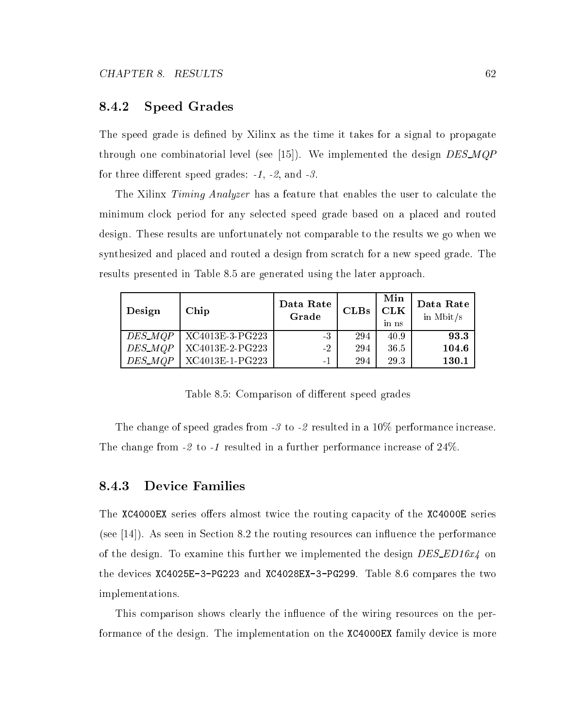### 8.4.2 Speed Grades

The speed grade is defined by Xilinx as the time it takes for a signal to propagate through one combinatorial level (see [15]). We implemented the design  $DES\_MQP$ for three different speed grades:  $-1$ ,  $-2$ , and  $-3$ .

The Xilinx *Timing Analyzer* has a feature that enables the user to calculate the minimum clock period for any selected speed grade based on a placed and routed design. These results are unfortunately not comparable to the results we go when we synthesized and placed and routed a design from scratch for a new speed grade. The results presented in Table 8.5 are generated using the later approach.

| Design         | Chip            | Data Rate<br>Grade | CLBs | Min<br><b>CLK</b><br>in ns | Data Rate<br>in Mbit/ $s$ |
|----------------|-----------------|--------------------|------|----------------------------|---------------------------|
| <i>DES_MQP</i> | XC4013E-3-PG223 | $-3$               | 294  | 40.9                       | 93.3                      |
| DES_MQP        | XC4013E-2-PG223 | $-2$               | 294  | 36.5                       | 104.6                     |
| DES_MQP        | XC4013E-1-PG223 | $-1$               | 294  | 29.3                       | 130.1                     |

Table 8.5: Comparison of different speed grades

The change of speed grades from -3 to -2 resulted in a 10% performance increase. The change from -2 to -1 resulted in a further performance increase of 24%.

### 8.4.3 Device Families

The XC4000EX series offers almost twice the routing capacity of the XC4000E series (see [14]). As seen in Section 8.2 the routing resources can influence the performance of the design. To examine this further we implemented the design  $DES\_ED16x4$  on the devices XC4025E-3-PG223 and XC4028EX-3-PG299. Table 8.6 compares the two implementations.

This comparison shows clearly the influence of the wiring resources on the performance of the design. The implementation on the XC4000EX family device is more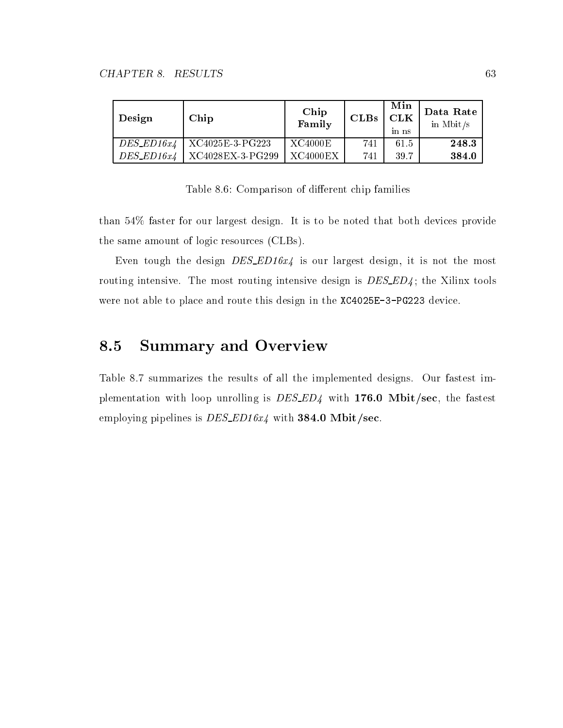| Design         | Chip                               | Chip<br>Family | CLBs | Min<br><b>CLK</b><br>in ns | Data Rate<br>in Mbit/ $s$ |
|----------------|------------------------------------|----------------|------|----------------------------|---------------------------|
|                | $DES$ $ED16x4$   $XC4025E-3-PG223$ | XC4000E        | 741  | 61.5                       | 248.3                     |
| $DES$ $ED16x4$ | XC4028EX-3-PG299                   | XC4000EX       | 741  | 39.7                       | 384.0                     |

Table 8.6: Comparison of different chip families

than 54% faster for our largest design. It is to be noted that both devices provide the same amount of logic resources (CLBs).

Even tough the design  $DES\_ED16x4$  is our largest design, it is not the most routing intensive. The most routing intensive design is DES\_ED4; the Xilinx tools were not able to place and route this design in the XC4025E-3-PG223 device.

# 8.5 Summary and Overview

Table 8.7 summarizes the results of all the implemented designs. Our fastest implementation with loop unrolling is  $DES$ *ED4* with 176.0 Mbit/sec, the fastest employing pipelines is  $DES$ *ED16x4* with 384.0 Mbit/sec.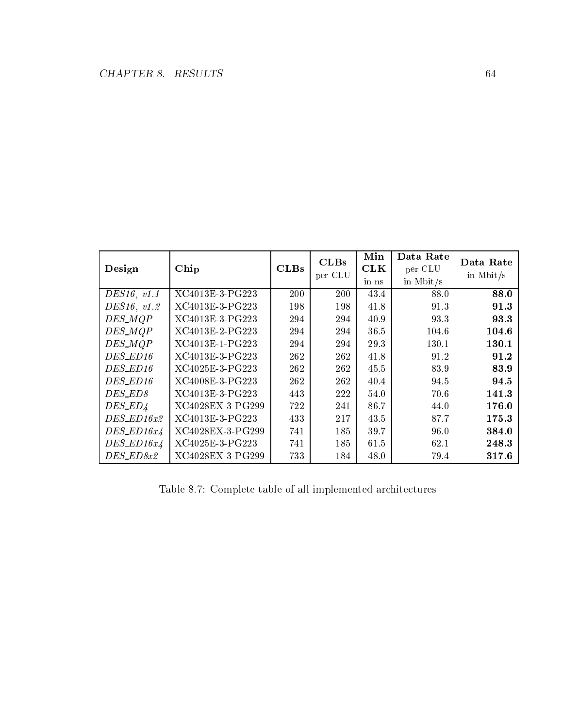| Design           | Chip             | CLBs | CLBs<br>per CLU | Min<br><b>CLK</b><br>in ns | Data Rate<br>per CLU<br>in Mbit/s | Data Rate<br>in Mbit/ $s$ |
|------------------|------------------|------|-----------------|----------------------------|-----------------------------------|---------------------------|
| DES16, v1.1      | XC4013E-3-PG223  | 200  | 200             | 43.4                       | 88.0                              | 88.0                      |
| DES16, v1.2      | XC4013E-3-PG223  | 198  | 198             | 41.8                       | 91.3                              | 91.3                      |
| DES_MQP          | XC4013E-3-PG223  | 294  | 294             | 40.9                       | 93.3                              | 93.3                      |
| DES_MQP          | XC4013E-2-PG223  | 294  | 294             | 36.5                       | 104.6                             | 104.6                     |
| DES_MQP          | XC4013E-1-PG223  | 294  | 294             | 29.3                       | 130.1                             | 130.1                     |
| DES_ED16         | XC4013E-3-PG223  | 262  | 262             | 41.8                       | 91.2                              | 91.2                      |
| DES_ED16         | XC4025E-3-PG223  | 262  | 262             | 45.5                       | 83.9                              | 83.9                      |
| DES_ED16         | XC4008E-3-PG223  | 262  | 262             | 40.4                       | 94.5                              | 94.5                      |
| DES_ED8          | XC4013E-3-PG223  | 443  | 222             | 54.0                       | 70.6                              | 141.3                     |
| DES_ED4          | XC4028EX-3-PG299 | 722  | 241             | 86.7                       | 44.0                              | 176.0                     |
| $DES\_ED16x2$    | XC4013E-3-PG223  | 433  | 217             | 43.5                       | 87.7                              | 175.3                     |
| $DES\_ED16x4$    | XC4028EX-3-PG299 | 741  | 185             | 39.7                       | 96.0                              | 384.0                     |
| $DES$ _ $ED16x4$ | XC4025E-3-PG223  | 741  | 185             | 61.5                       | 62.1                              | 248.3                     |
| DES_ED8x2        | XC4028EX-3-PG299 | 733  | 184             | 48.0                       | 79.4                              | 317.6                     |

Table 8.7: Complete table of all implemented architectures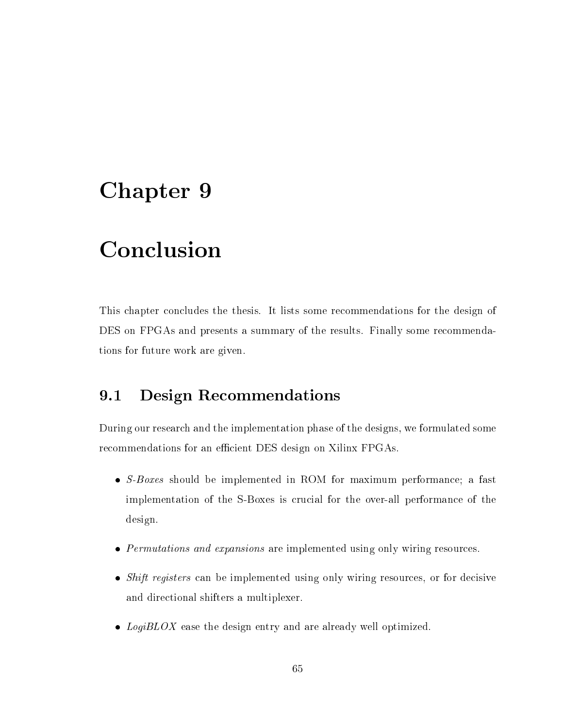#### Chapter 9

#### Conclusion

This chapter concludes the thesis. It lists some recommendations for the design of DES on FPGAs and presents a summary of the results. Finally some recommendations for future work are given.

#### 9.1 Design Recommendations

During our research and the implementation phase of the designs, we formulated some recommendations for an efficient DES design on Xilinx FPGAs.

- S-Boxes should be implemented in ROM for maximum performance; a fast implementation of the S-Boxes is crucial for the over-all performance of the design.
- Permutations and expansions are implemented using only wiring resources.
- Shift registers can be implemented using only wiring resources, or for decisive and directional shifters a multiplexer.
- $\bullet$  LogiBLOX ease the design entry and are already well optimized.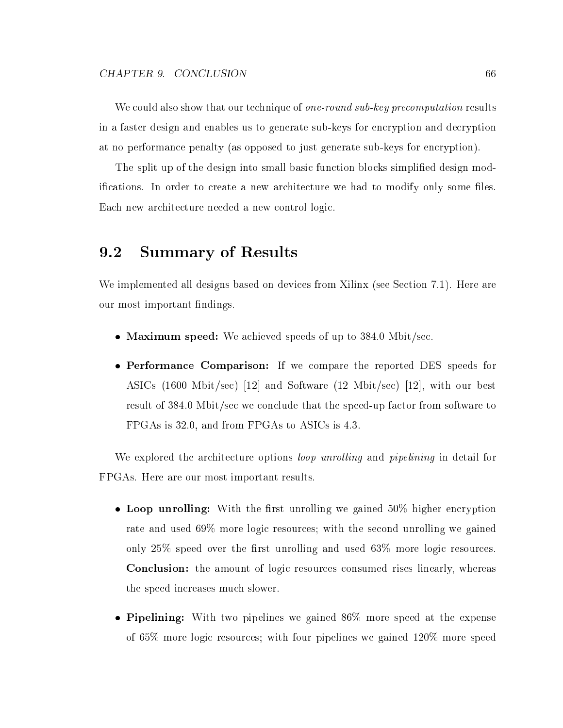We could also show that our technique of *one-round sub-key precomputation* results in a faster design and enables us to generate sub-keys for encryption and decryption at no performance penalty (as opposed to just generate sub-keys for encryption).

The split up of the design into small basic function blocks simplied design modifications. In order to create a new architecture we had to modify only some files. Each new architecture needed a new control logic.

#### $9.2$ **Summary of Results**

We implemented all designs based on devices from Xilinx (see Section 7.1). Here are our most important findings.

- Maximum speed: We achieved speeds of up to 384.0 Mbit/sec.
- Performance Comparison: If we compare the reported DES speeds for ASICs (1600 Mbit/sec) [12] and Software (12 Mbit/sec) [12], with our best result of 384.0 Mbit/sec we conclude that the speed-up factor from software to FPGAs is 32.0, and from FPGAs to ASICs is 4.3.

We explored the architecture options *loop unrolling* and *pipelining* in detail for FPGAs. Here are our most important results.

- Loop unrolling: With the first unrolling we gained  $50\%$  higher encryption rate and used 69% more logic resources; with the second unrolling we gained only  $25\%$  speed over the first unrolling and used  $63\%$  more logic resources. Conclusion: the amount of logic resources consumed rises linearly, whereas the speed increases much slower.
- Pipelining: With two pipelines we gained  $86\%$  more speed at the expense of 65% more logic resources; with four pipelines we gained 120% more speed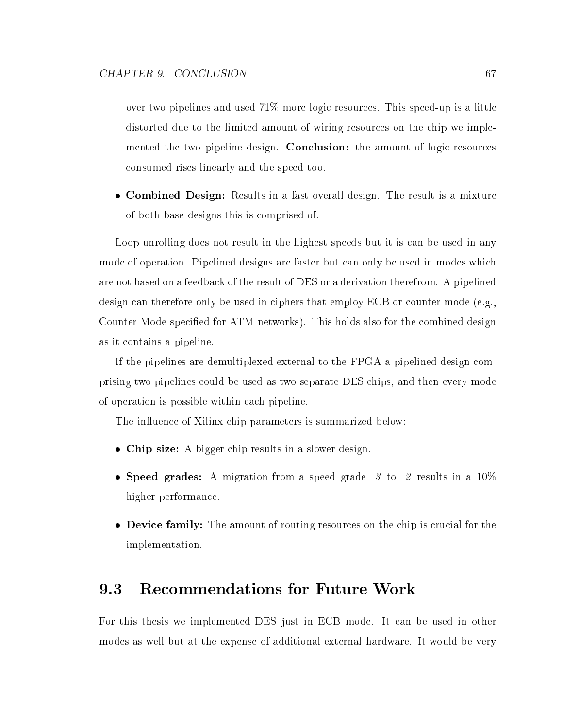over two pipelines and used 71% more logic resources. This speed-up is a little distorted due to the limited amount of wiring resources on the chip we implemented the two pipeline design. Conclusion: the amount of logic resources consumed rises linearly and the speed too.

 Combined Design: Results in a fast overall design. The result is a mixture of both base designs this is comprised of.

Loop unrolling does not result in the highest speeds but it is can be used in any mode of operation. Pipelined designs are faster but can only be used in modes which are not based on a feedback of the result of DES or a derivation therefrom. A pipelined design can therefore only be used in ciphers that employ ECB or counter mode (e.g., Counter Mode specied for ATM-networks). This holds also for the combined design as it contains a pipeline.

If the pipelines are demultiplexed external to the FPGA a pipelined design comprising two pipelines could be used as two separate DES chips, and then every mode of operation is possible within each pipeline.

The influence of Xilinx chip parameters is summarized below:

- Chip size: A bigger chip results in a slower design.
- Speed grades: A migration from a speed grade  $-3$  to  $-2$  results in a  $10\%$ higher performance.
- Device family: The amount of routing resources on the chip is crucial for the implementation.

#### 9.3 Recommendations for Future Work

For this thesis we implemented DES just in ECB mode. It can be used in other modes as well but at the expense of additional external hardware. It would be very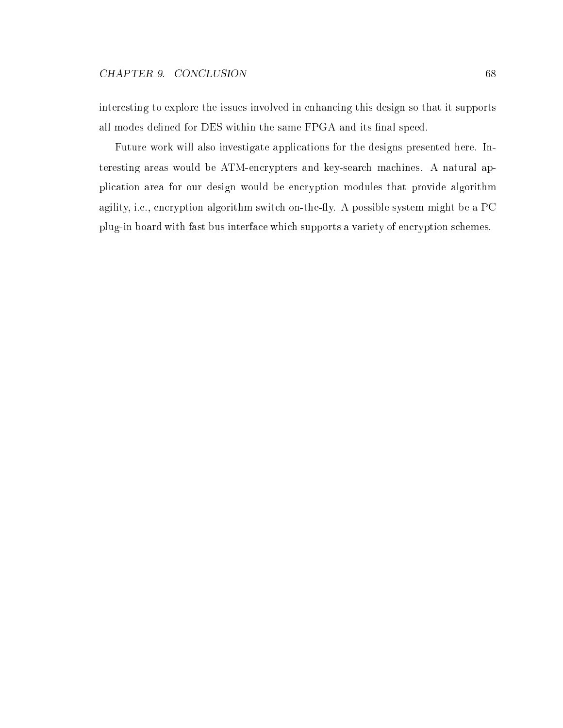interesting to explore the issues involved in enhancing this design so that it supports all modes defined for DES within the same FPGA and its final speed.

Future work will also investigate applications for the designs presented here. Interesting areas would be ATM-encrypters and key-search machines. A natural application area for our design would be encryption modules that provide algorithm agility, i.e., encryption algorithm switch on-the-fly. A possible system might be a PC plug-in board with fast bus interface which supports a variety of encryption schemes.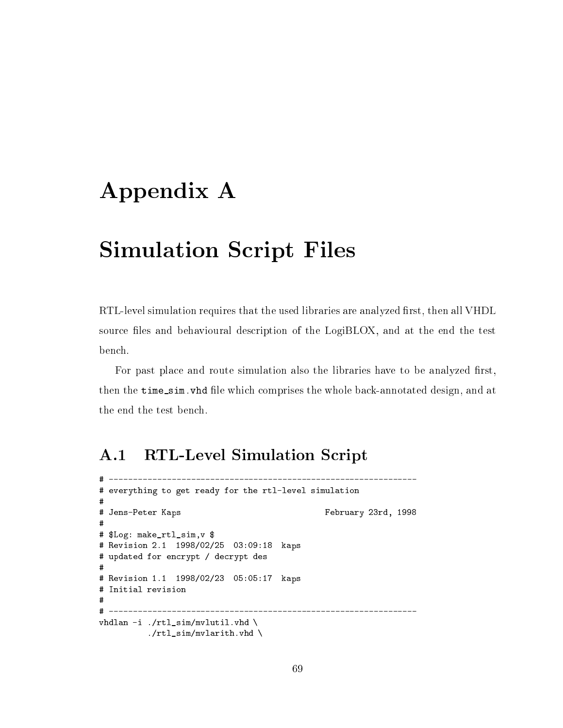## Appendix A

## Simulation Script Files

RTL-level simulation requires that the used libraries are analyzed first, then all VHDL source files and behavioural description of the LogiBLOX, and at the end the test bench.

For past place and route simulation also the libraries have to be analyzed first, then the time\_sim. vhd file which comprises the whole back-annotated design, and at the end the test bench.

--------

#### A.1 RTL-Level Simulation Script

```
# everything to get ready for the rtl-level simulation
#
# Jens-Peter Kaps February 23rd, 1998
## $Log: make_rtl_sim,v $
# Revision 2.1 1998/02/25 03:09:18 kaps
# updated for encrypt / decrypt des
# Revision 1.1 1998/02/23 05:05:17 kaps
# Initial revision
\overline{t}# -----------------
vhdlan -i ./rtl_sim/mvlutil.vhd \
         ./rtl\_sim/mvlarith.vhd \setminus
```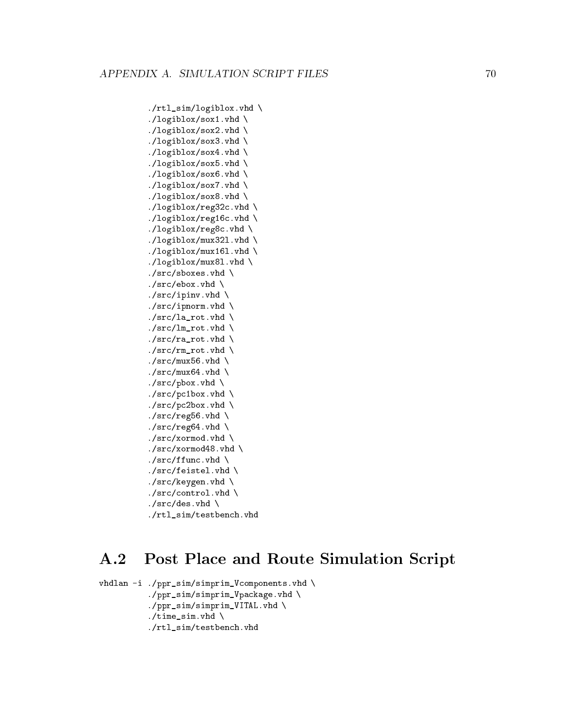```
./rtl_sim/logiblox.vhd \
./logiblox/sox1.vhd \
./logiblox/sox2.vhd \
./logiblox/sox3.vhd \
./logiblox/sox4.vhd \
./logiblox/sox5.vhd \
./logiblox/sox6.vhd \
./logiblox/sox7.vhd \
./logiblox/sox8.vhd \
./logiblox/reg32c.vhd \
./logiblox/reg16c.vhd \
./logiblox/reg8c.vhd \
./logiblox/mux32l.vhd \
./logiblox/mux16l.vhd \
./logiblox/mux8l.vhd \
./src/shows. vhd \
./src/ebox.vhd \setminus./src/ipinv.vhd \setminus./src/ipnorm. vhd \setminus./src/la_rot. vhd \
./src/lm\_rot.vhd \ \./src/ra\_rot.vhd \ \./src/rm_rot.vhd \
./src/mux56.vhd \ \ \ \./src/mux64.vhd \ \rangle./src/pbox.vhd \setminus./src/pc1box.vhd \
./src/pc2box.vhd \ \ \ \ \./src/reg56. vhd \setminus./src/reg64.vhd \ \ \ \ \./src/xormod. vhd \setminus./src/xormod48. vhd \setminus./src/ffunc.vhd \setminus./src/feistel.vhd \ \./src/keygen.vhd \backslash./src/control.vhd \ \./src/des.vhd \setminus./rtl_sim/testbench.vhd
```
#### Post Place and Route Simulation Script  $\mathbf{A.2}$

```
vhdlan -i ./ppr_sim/simprim_Vcomponents.vhd \
           ./ppr_sim/simprim_Vpackage.vhd \
           ./ppr_sim/simprim_VITAL.vhd \
           ./time\_sim.vhd \setminus./rtl_sim/testbench.vhd
```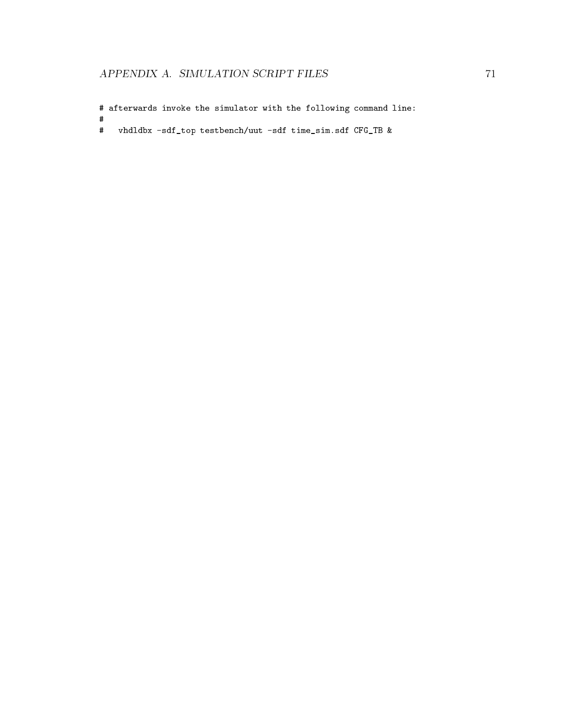# afterwards invoke the simulator with the following command line:

# vhdldbx -sdf\_top testbench/uut -sdf time\_sim.sdf CFG\_TB &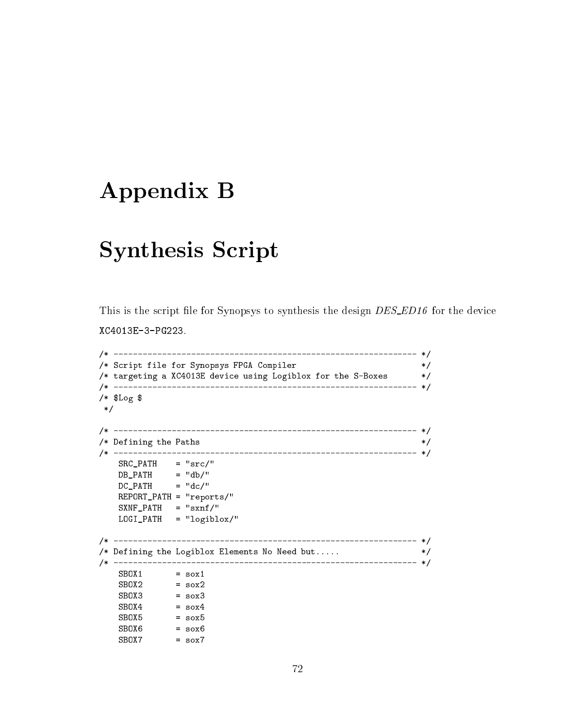### Appendix B

#### Synthesis Script

This is the script file for Synopsys to synthesis the design DES\_ED16 for the device XC4013E-3-PG223.

```
/* --------------------------------------------------------------- */
/* Script file for Synopsys FPGA Compiler */
\mathbf{f} targeting a \mathbf{f} targeting \mathbf{f}/* --------------------------------------------------------------- */
/* $Log $
*/
/* --------------------------------------------------------------- */
/* Defining the Paths
                                                 */
/* --------------------------------------------------------------- */
   SRC\_PATH = "src/"
   DB_PATH = "db/"
   DC_PATH = "dc/"
  REPORT_PATH = "reports/"
   S XNF_PATH = "sxnf,"LOGI_PATH = "logiblox/"
/* --------------------------------------------------------------- */
/* Defining the Logiblox Elements No Need but..... * /\mathcal{N}^*
```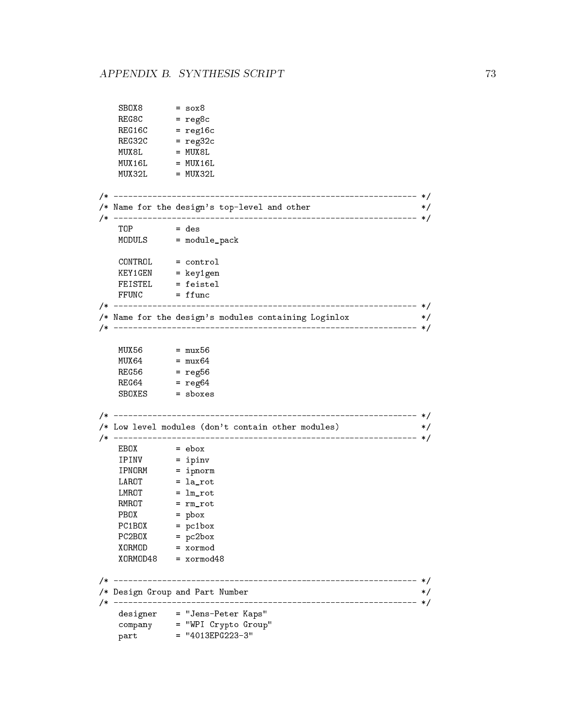```
R = 0.8R = 0.6contrato de regional de la contrato de la contrato de la contrato de la contrato de la contrato de la contrato de la contrato de la contrato de la contrato de la contrato de la contrato de la contrato de la contra
    R = 2C/* --------------------------------------------------------------- */
/* Name for the design's top-level and other \hspace{.15cm} */ \hspace{.15cm}/* --------------------------------------------------------------- */
    MODULS = module_pack
    KEY1GEN = key1gen
\mathcal{N}^*/* Name for the design's modules containing Loginlox */
/* --------------------------------------------------------------- */
    \mathbf{r}\mathbf{r}/* --------------------------------------------------------------- */
/* Low level modules (don't contain other modules) */
/* --------------------------------------------------------------- */
    IPINV = ipinv = ipinv = ipinv = ipinv = ipinv = ipinv = ipinv = ipinv = ipinv = ipinv = ipinv = ipinv = ipinv =
    IPNORM = ipnorm = ipnorm = ipnorm = ipnorm = ipnorm = ipnorm = ipnorm = ipnorm = ipnorm = ipnorm = ipnorm =
    LAROT = la_rot
    LMROT = lm_rot
    RMROT = rm_rot
    PBOX = pbox
    PC1BOX = pc1box
    PC2BOX = pc2box = pc2box = pc2box = pc2box = pc2box = pc2box = pc2box = pc2box = p
    XORMOD48 = xormod48
\mathcal{N}^*/* Design Group and Part Number */
/* --------------------------------------------------------------- */
    designer = "Jens-Peter Kaps"
    company = "WPI Crypto" = "WPI Crypto" = "WPI Crypto" = "WPI Crypto" = "WPI Crypto" = "WPI Crypto" = "WPI Crypt
    part = "4013EPG223-3" = "4013EPG223-3" = "4013EPG223-3" = "4013EPG223-3" = "4013EPG23-3" = "4013EPG23-3" = "40
```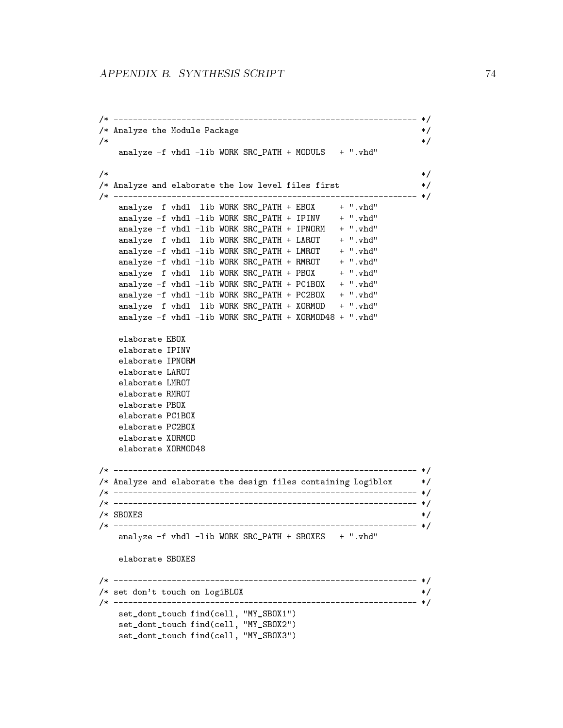```
/* --------------------------------------------------------------- */
/* Analyze the Module Package *//* --------------------------------------------------------------- */
   analyze -f vhdl -lib WORK SRC_PATH + MODULS + ".vhd"
/* --------------------------------------------------------------- */
/* Analyze and elaborate the low level files first */
                                                   * /
/* --------------------------------------------------------------- */
   analyze -f vhdl -Iib WORK SRC_PATH + EBOX + ".vhd"
   analyze -f vhdl -Iib WORK SRC_PATH + IPINV + ".vhd"
   analyze -f vhdl -lib WORK SRC_PATH + IPNORM + ".vhd"
   analyze -f vhdl -Iib WORK SRC PATH + LAROT + ".vhd"
   analyze -f vhdl -Iib WORK SRC_PATH + LMROT + ".vhd"
   analyze -f vhdl -Iib WORK SRC_PATH + RMROT + ".vhd"
   analyze -f vhdl -Iib WORK SRC_PATH + PBOX + ".vhd"
   analyze -f vhdl -lib WORK SRC_PATH + PC1BOX + ".vhd"
   analyze -f vhdl -lib WORK SRC_PATH + PC2BOX + ".vhd"
   analyze -f vhdl -lib WORK SRC_PATH + XORMOD + ".vhd"
   analyze -f vhdl -lib WORK SRC_PATH + XORMOD48 + ".vhd"
   elaborate EBOX
   elaborate IPINV
   elaborate IPNORM
   elaborate LAROT
   elaborate LMROT
   elaborate RMROT
   elaborate PBOX
   elaborate PC1BOX
   elaborate PC2BOX
   elaborate XORMOD
   elaborate XORMOD48
\mathcal{N}^*/* Analyze and elaborate the design files containing Logiblox */
\mathcal{N}^*/* --------------------------------------------------------------- */
/* SBOXES */
/* --------------------------------------------------------------- */
   analyze -f vhdl -lib WORK SRC_PATH + SBOXES + ".vhd"
   elaborate SBOXES
.<br>/* set don't touch on LogiBLOX                  */
/* --------------------------------------------------------------- */
   set dont touch find(cell, "MY_SBOX1")
   set_dont_touch find(cell, "MY_SBOX2")
   set_dont_touch find(cell, "MY_SBOX3")
```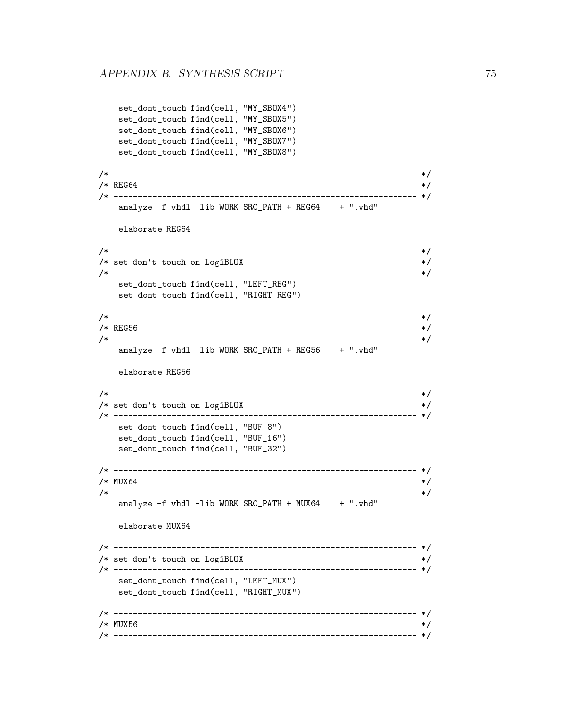set\_dont\_touch find(cell, "MY\_SBOX4")

```
set_dont_touch find(cell, "MY_SBOX5")
  set_dont_touch find(cell, "MY_SBOX6")
  set_dont_touch find(cell, "MY_SBOX7")
  set_dont_touch find(cell, "MY_SBOX8")
/* --------------------------------------------------------------- */
/* REG64
                                              * /
/* --------------------------------------------------------------- */
  analyze -f vhdl -lib WORK SRC_PATH + REG64 + ".vhd"
  elaborate REG64
/* --------------------------------------------------------------- */
/* set don't touch on LogiBLOX */
\mathcal{N}^*set_dont_touch find(cell, "LEFT_REG")
  set_dont_touch find(cell, "RIGHT_REG")
\blacksquare\overline{\phantom{a}} regions to the contract of the contract of the contract of the contract of the contract of the contract of the contract of the contract of the contract of the contract of the contract of the contract of the co
/* --------------------------------------------------------------- */
  analyze -f vhdl -lib WORK SRC_PATH + REG56 + ".vhd"
  elaborate REG56
/* --------------------------------------------------------------- */
/* set don't touch on LogiBLOX */
/* --------------------------------------------------------------- */
  set dont touch find(cell, "BUF 8")
  set_dont_touch find(cell, "BUF_16")
  set_dont_touch find(cell, "BUF_32")
\blacksquare/* MUX64
                                             *\mathcal{M}^{\mathcal{M}}\blacksquareanalyze -f vhdl -Iib WORK SRC_PATH + MUX64 + ".vhd"
  elaborate MUX64
/* --------------------------------------------------------------- */
/* set don't touch on LogiBLOX */
/* --------------------------------------------------------------- */
  set_dont_touch find(cell, "LEFT_MUX")
  set_dont_touch find(cell, "RIGHT_MUX")
/* --------------------------------------------------------------- */
                                     * //* MUX56
/* --------------------------------------------------------------- */
```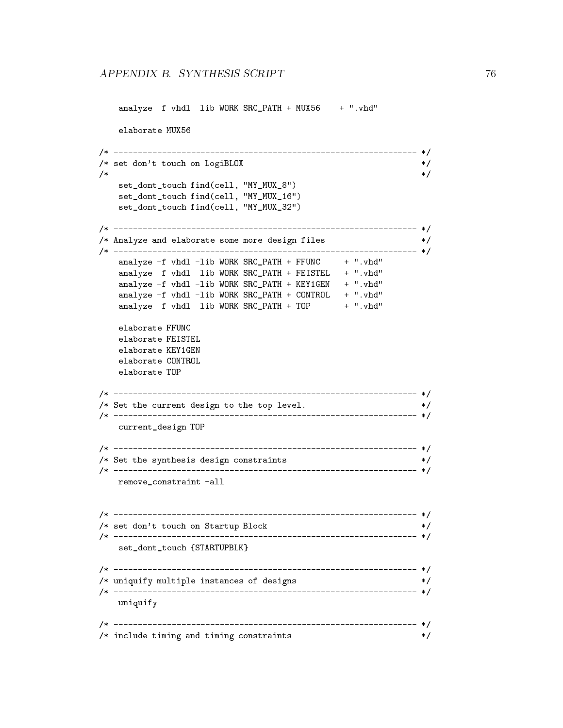```
analyze -f vhdl -Iib WORK SRC_PATH + MUX56 + ".vhd"
   elaborate MUX56
/* --------------------------------------------------------------- */
/* set don't touch on LogiBLOX */* --------------------------------------------------------------- */
   set_dont_touch find(cell, "MY_MUX_8")
   set_dont_touch find(cell, "MY_MUX_16")
   set_dont_touch find(cell, "MY_MUX_32")
/* --------------------------------------------------------------- */
/* Analyze and elaborate some more design files */
                                                  */
/* --------------------------------------------------------------- */
   analyze -film - for the state of the state of the state of the state of the state of the state of the state of
   analyze -f vhdl -lib WORK SRC_PATH + FEISTEL + ".vhd"
   analyze -f vhdl -lib WORK SRC_PATH + KEY1GEN + ".vhd"
   analyze -f vhdl -lib WORK SRC_PATH + CONTROL + ".vhd"
   analyze -f vhdl -Iib WORK SRC_PATH + TOP + ".vhd"
   elaborate FFUNC
   elaborate FEISTEL
   elaborate KEY1GEN
   elaborate CONTROL
   elaborate TOP
/* --------------------------------------------------------------- */
/* Set the current design to the top level. */
/* --------------------------------------------------------------- */
   current_design TOP
/* --------------------------------------------------------------- */
/* Set the synthesis design constraints */
                                            \ast/\mathcal{N}^*remove_constraint -all
/* --------------------------------------------------------------- */
/* set don't touch on Startup Block */
/* --------------------------------------------------------------- */
   set_dont_touch {STARTUPBLK}
/* --------------------------------------------------------------- */
/* uniquify multiple instances of designs */
/* --------------------------------------------------------------- */
  uniquify
/* --------------------------------------------------------------- */
/* include timing and timing constraints */
```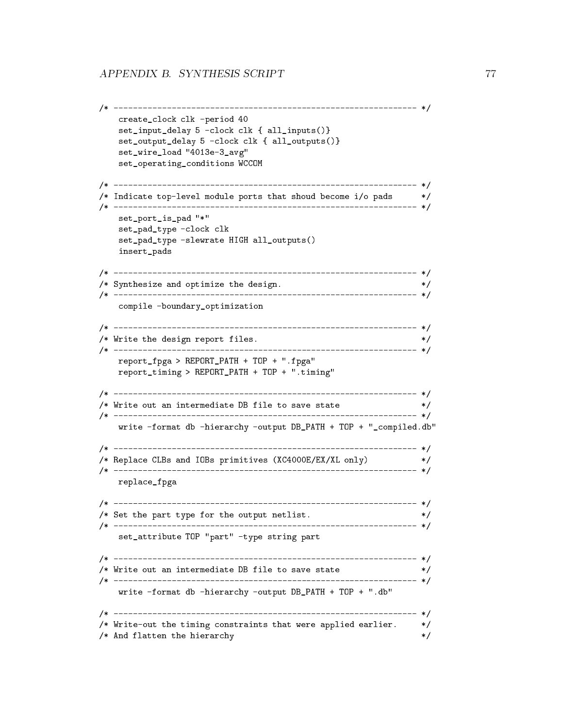```
\mathcal{N}^*create_clock clk -period 40
  set_input_delay 5 -clock clk { all_inputs()}
  set_output_delay 5 -clock clk { all_outputs()}
  set_wire_load "4013e-3_avg"
  set_operating_conditions WCCOM
\mathcal{N}^*/* Indicate top-level module ports that shoud become i/o pads */
                                       * /
/* --------------------------------------------------------------- */
  set_port_is_pad "*"
  set_pad_type -clock clk
  set_pad_type -slewrate HIGH all_outputs()
  insert_pads
\blacksquare/* Synthesize and optimize the design.
                                       *\mathcal{N}^*compile -boundary_optimization
/* --------------------------------------------------------------- */
\mathcal{M} write the design report files. \mathcal{M}/* --------------------------------------------------------------- */
  report_fpga > REPORT_PATH + TOP + ".fpga"
  report_timing > REPORT_PATH + TOP + ".timing"
/* --------------------------------------------------------------- */
/* Write out an intermediate DB file to save state */
                                       */
/* --------------------------------------------------------------- */
  write -format db -hierarchy -output DB_PATH + TOP + "_compiled.db"
/* --------------------------------------------------------------- */
/* Replace CLBs and IOBs primitives (XC4000E/EX/XL only) */
\mathcal{N}^*replace_fpga
/* --------------------------------------------------------------- */
/* Set the part type for the output netlist. */
/* --------------------------------------------------------------- */
  set_attribute TOP "part" -type string part
\mathcal{N}^*\mathcal{M}^* write out an intermediate DB file to save state \mathcal{M}^*\mathcal{N}^*write -format db -hierarchy -output DB_PATH + TOP + ".db"
/* --------------------------------------------------------------- */
/* Write-out the timing constraints that were applied earlier. */* And flatten the hierarchy
                                        \ast/
```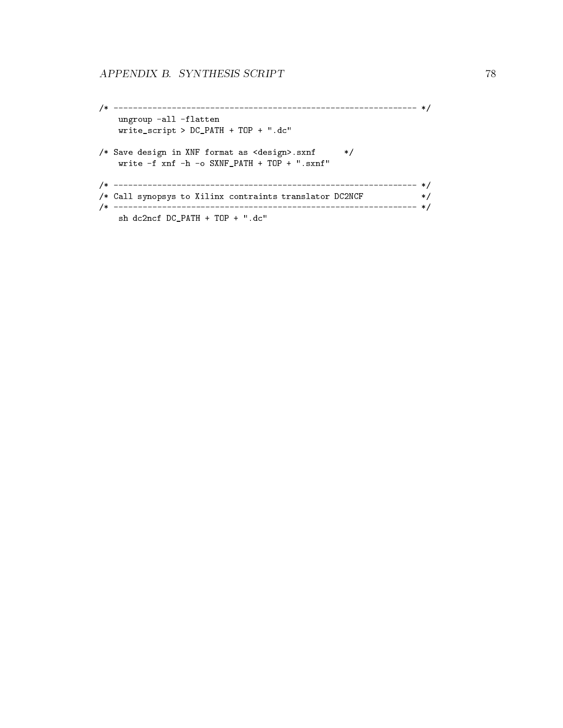```
/* --------------------------------------------------------------- */
   ungroup -all -flatten
   write_script > DC_PATH + TOP + ".dc"
/* Save design in XNF format as <design>.sxnf */
   write -f xnf -h -o SXNF_PATH + TOP + ".sxnf"
/* --------------------------------------------------------------- */
/* Call synopsys to Xilinx contraints translator DC2NCF */
/* --------------------------------------------------------------- */
   sh dc2ncf DC_PATH + TOP + ".dc"
```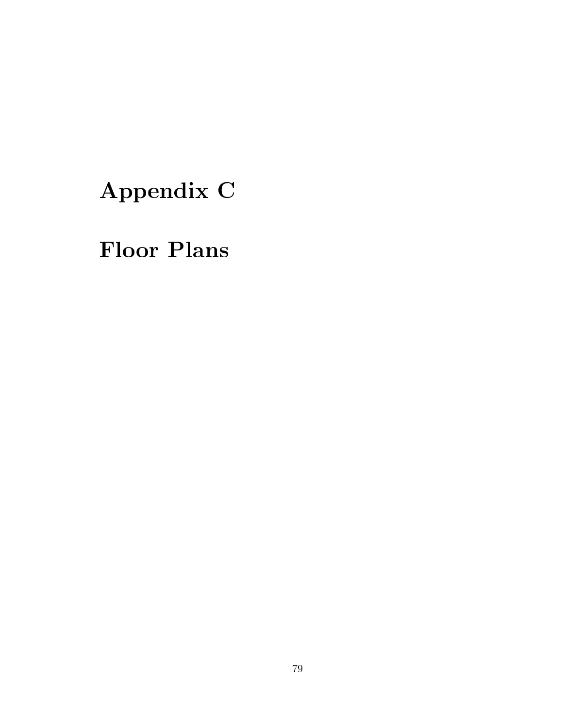# Appendix C

## Floor Plans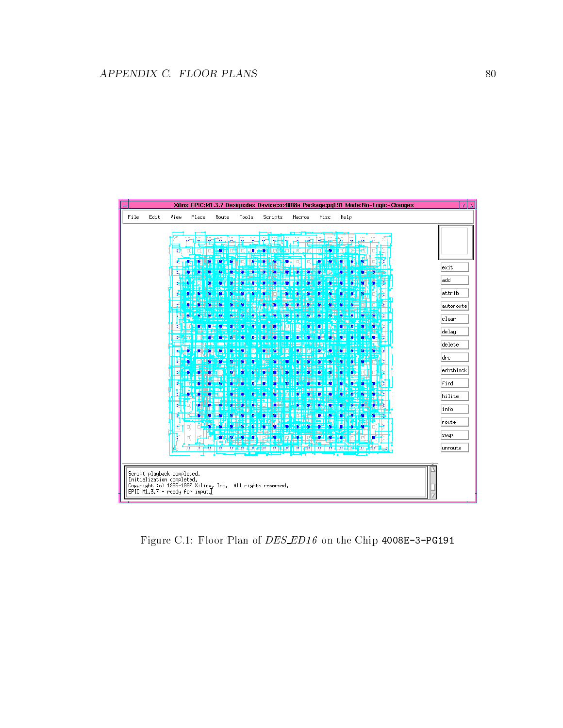

Figure C.1: Floor Plan of DES ED16 on the Chip 4008E-3-PG191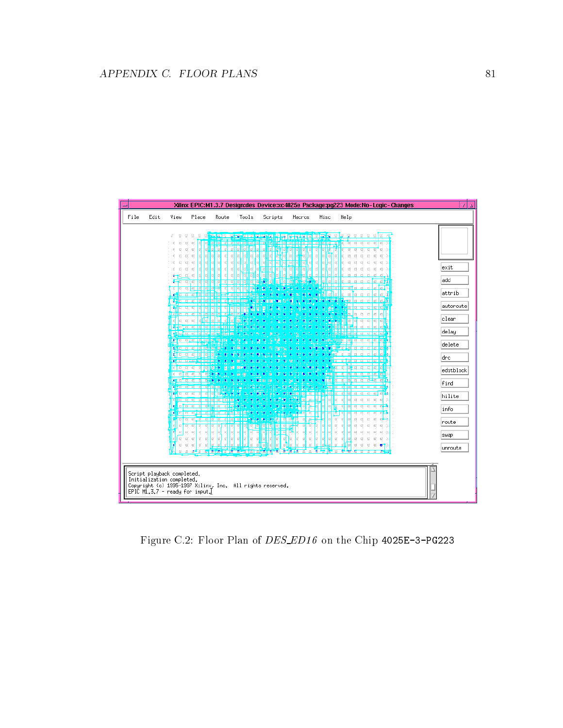

Figure C.2: Floor Plan of DES ED16 on the Chip 4025E-3-PG223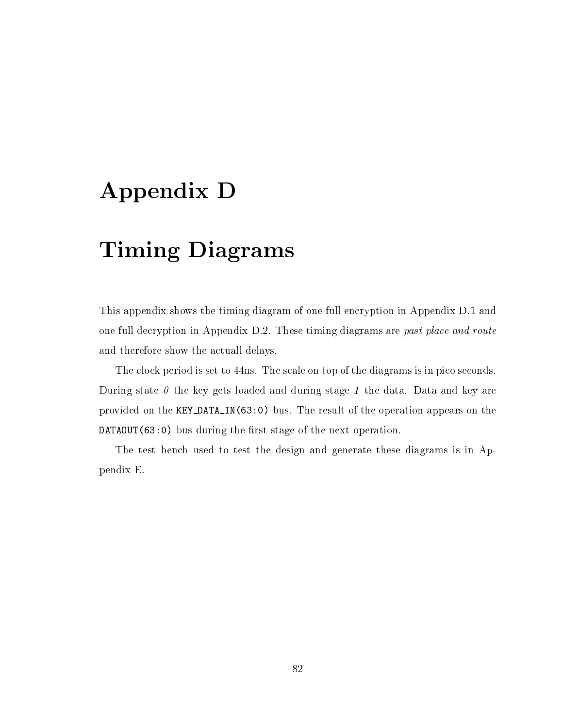## Appendix D

### Timing Diagrams

This appendix shows the timing diagram of one full encryption in Appendix D.1 and one full decryption in Appendix D.2. These timing diagrams are past place and route and therefore show the actuall delays.

The clock period is set to 44ns. The scale on top of the diagrams is in pico seconds. During state  $\theta$  the key gets loaded and during stage 1 the data. Data and key are provided on the KEY DATA IN(63:0) bus. The result of the operation appears on the  $DATAOUT(63:0)$  bus during the first stage of the next operation.

The test bench used to test the design and generate these diagrams is in Appendix E.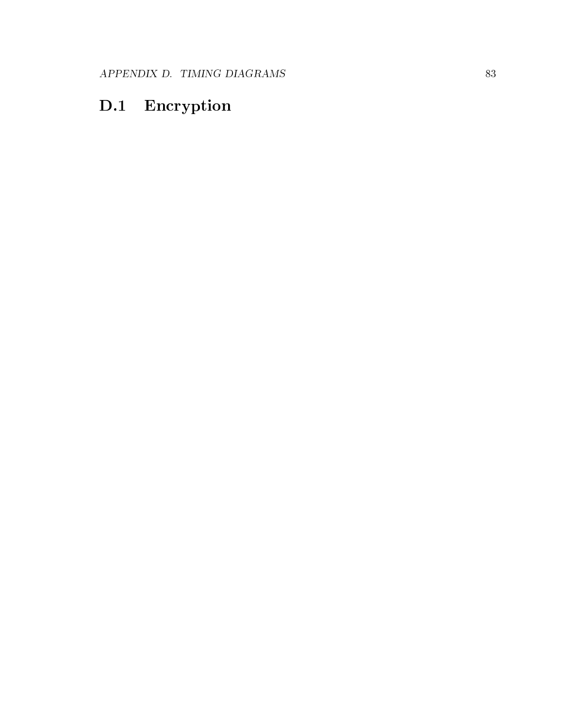#### D.1 Encryption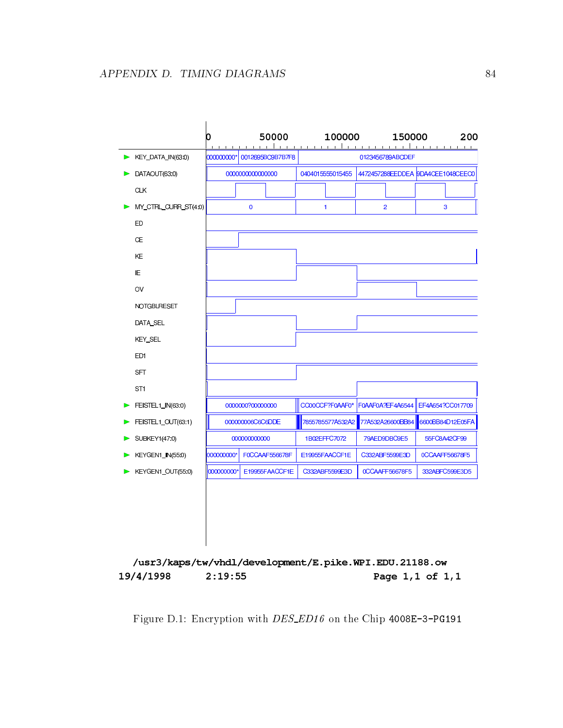

/usr3/kaps/tw/vhdl/development/E.pike.WPI.EDU.21188.ow 19/4/1998  $2:19:55$ Page 1,1 of 1,1

Figure D.1: Encryption with *DES\_ED16* on the Chip 4008E-3-PG191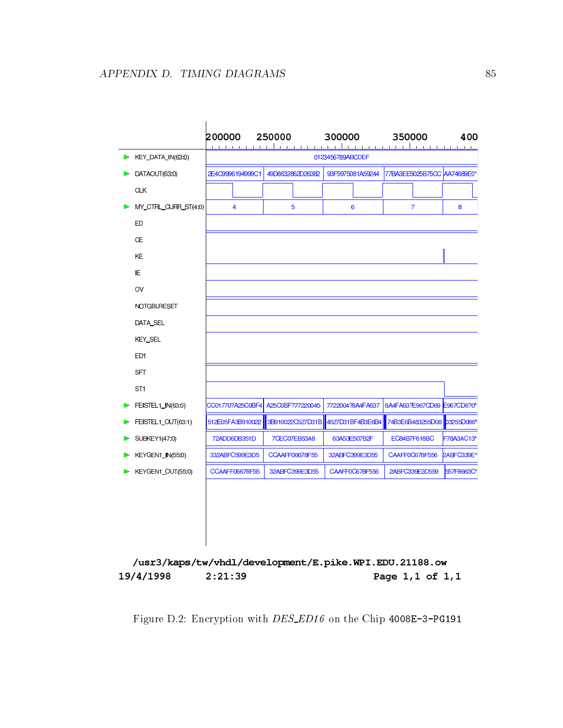

/usr3/kaps/tw/vhdl/development/E.pike.WPI.EDU.21188.ow 19/4/1998  $2:21:39$ Page 1,1 of 1,1

Figure D.2: Encryption with *DES\_ED16* on the Chip 4008E-3-PG191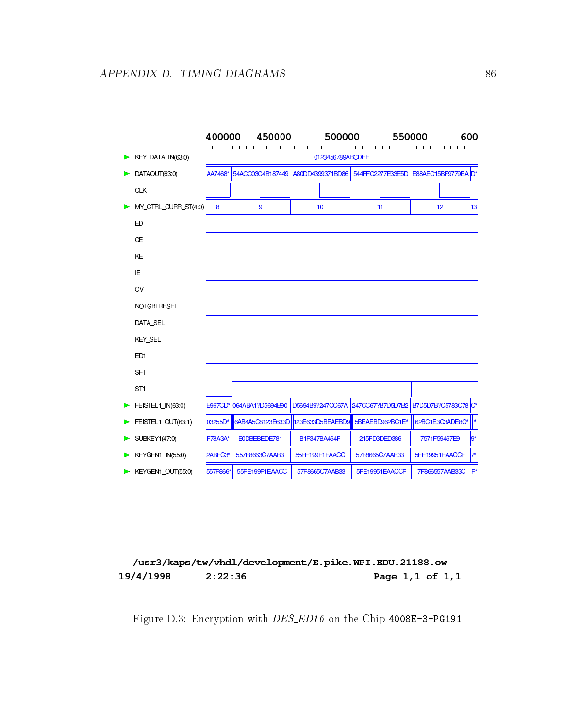

/usr3/kaps/tw/vhdl/development/E.pike.WPI.EDU.21188.ow 19/4/1998  $2:22:36$ Page 1,1 of 1,1

Figure D.3: Encryption with *DES\_ED16* on the Chip 4008E-3-PG191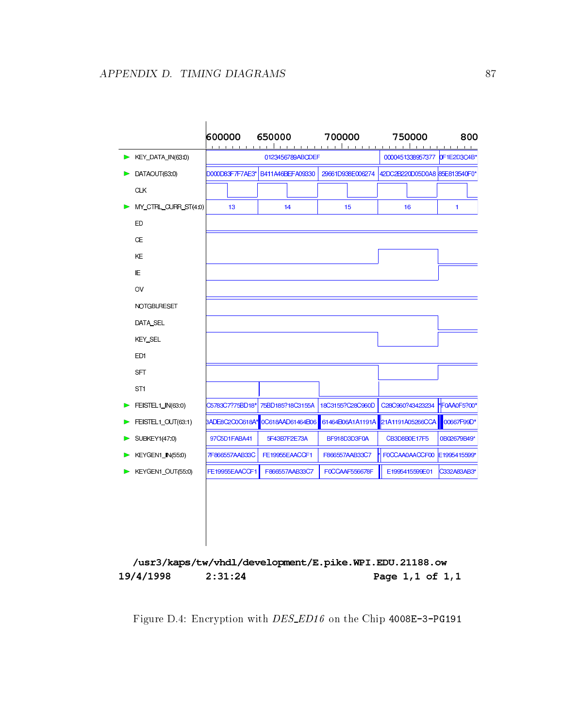

/usr3/kaps/tw/vhdl/development/E.pike.WPI.EDU.21188.ow 19/4/1998  $2:31:24$ Page 1,1 of 1,1

Figure D.4: Encryption with *DES\_ED16* on the Chip 4008E-3-PG191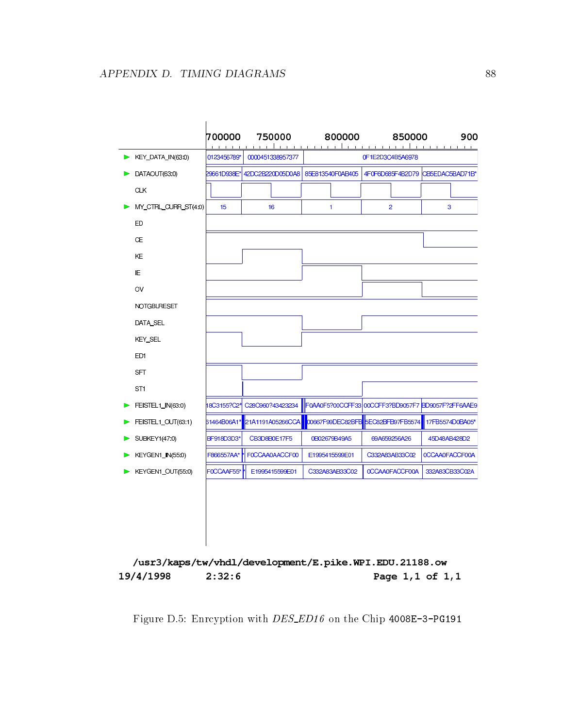

/usr3/kaps/tw/vhdl/development/E.pike.WPI.EDU.21188.ow 19/4/1998  $2:32:6$ Page 1,1 of 1,1

Figure D.5: Enrcyption with *DES\_ED16* on the Chip 4008E-3-PG191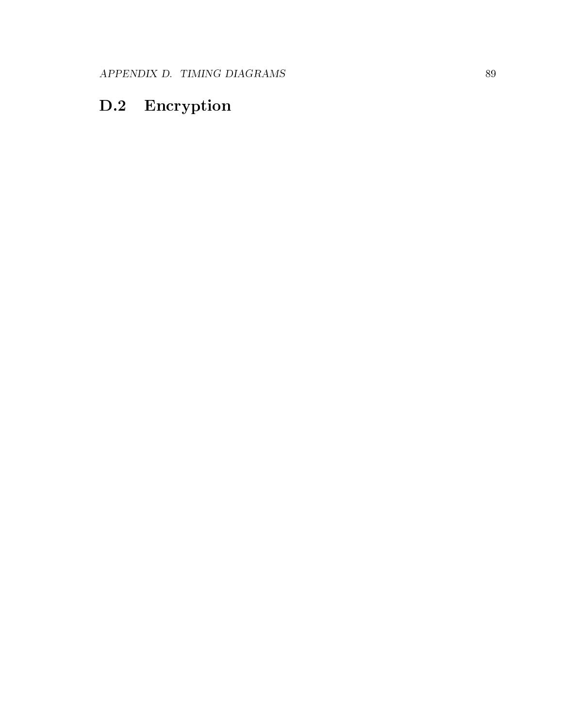#### D.2 Encryption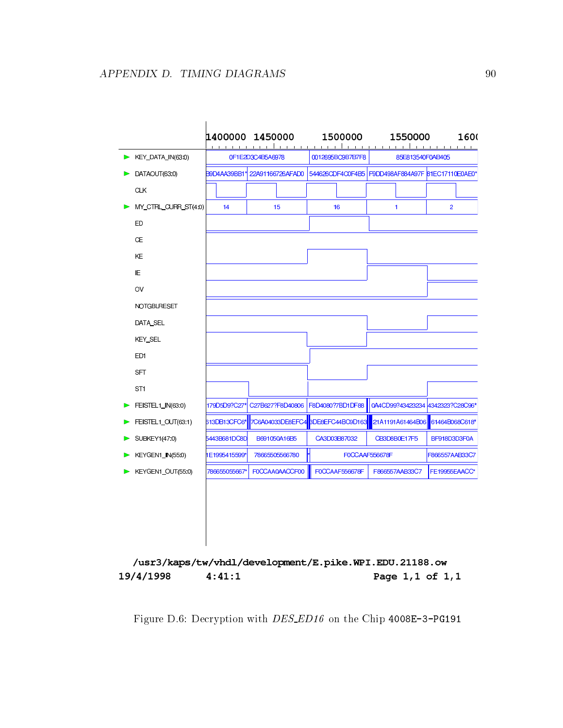

/usr3/kaps/tw/vhdl/development/E.pike.WPI.EDU.21188.ow 19/4/1998  $4:41:1$ Page 1,1 of 1,1

Figure D.6: Decryption with *DES\_ED16* on the Chip 4008E-3-PG191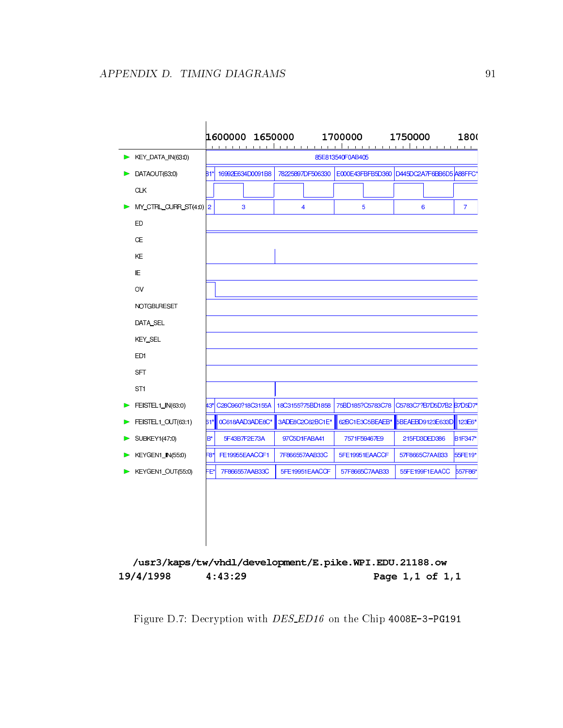

/usr3/kaps/tw/vhdl/development/E.pike.WPI.EDU.21188.ow 19/4/1998  $4:43:29$ Page 1,1 of 1,1

Figure D.7: Decryption with *DES\_ED16* on the Chip 4008E-3-PG191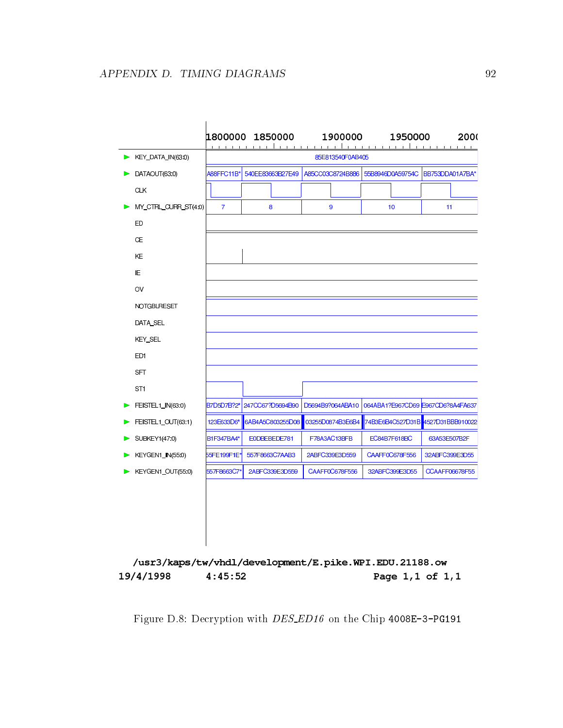|                                    |                                                                  | 1800000 1850000  | 1900000          | 1950000                           | 2000                  |  |  |
|------------------------------------|------------------------------------------------------------------|------------------|------------------|-----------------------------------|-----------------------|--|--|
| $\triangleright$ KEY_DATA_IN(63:0) | $1 - 1 - 1$<br>$-1$ $-1$ $-1$<br>$1 - 1 - 1$<br>85E813540F0AB405 |                  |                  |                                   |                       |  |  |
| DATAOUT(63:0)                      | A88FFC11B*                                                       | 540EE83663B27E49 | A85CC03C8724B886 | 55B8946D0A59754C                  | BB753DDA01A7BA*       |  |  |
| <b>CLK</b>                         |                                                                  |                  |                  |                                   |                       |  |  |
| MY CTRL CURR ST(4:0)               | $\overline{7}$                                                   | 8                | 9                | 10                                | 11                    |  |  |
| ED                                 |                                                                  |                  |                  |                                   |                       |  |  |
| <b>CE</b>                          |                                                                  |                  |                  |                                   |                       |  |  |
| KE                                 |                                                                  |                  |                  |                                   |                       |  |  |
| ΙE                                 |                                                                  |                  |                  |                                   |                       |  |  |
| OV                                 |                                                                  |                  |                  |                                   |                       |  |  |
| <b>NOTGBLRESET</b>                 |                                                                  |                  |                  |                                   |                       |  |  |
| DATA SEL                           |                                                                  |                  |                  |                                   |                       |  |  |
| <b>KEY SEL</b>                     |                                                                  |                  |                  |                                   |                       |  |  |
| ED <sub>1</sub>                    |                                                                  |                  |                  |                                   |                       |  |  |
| <b>SFT</b>                         |                                                                  |                  |                  |                                   |                       |  |  |
| ST <sub>1</sub>                    |                                                                  |                  |                  |                                   |                       |  |  |
| FEISTEL1_IN(63:0)                  | B7D5D7B?2*                                                       | 247CC67?D5694B90 | D5694B9?064ABA10 | 064ABA1?E967CD69 E967CD6?8A4FA637 |                       |  |  |
| FEISTEL1 OUT(63:1)                 | 123E633D6*                                                       | 6AB4A5C803255D08 | 03255D0874B3E6B4 | 74B3E6B4C527D31B 4527D31BBB910022 |                       |  |  |
| SUBKEY1(47:0)                      | B1F347BA4*                                                       | E0DBEBEDE781     | F78A3AC13BFB     | EC84B7F618BC                      | 63A53E507B2F          |  |  |
| KEYGEN1 IN(55:0)                   | 55FE199F1E*                                                      | 557F8663C7AAB3   | 2ABFC339E3D559   | CAAFF0C678F556                    | 32ABFC399E3D55        |  |  |
| KEYGEN1_OUT(55:0)                  | 557F8663C7*                                                      | 2ABFC339E3D559   | CAAFF0C678F556   | 32ABFC399E3D55                    | <b>CCAAFF06678F55</b> |  |  |

/usr3/kaps/tw/vhdl/development/E.pike.WPI.EDU.21188.ow Page 1,1 of 1,1 19/4/1998  $4:45:52$ 

Figure D.8: Decryption with DES ED16 on the Chip 4008E-3-PG191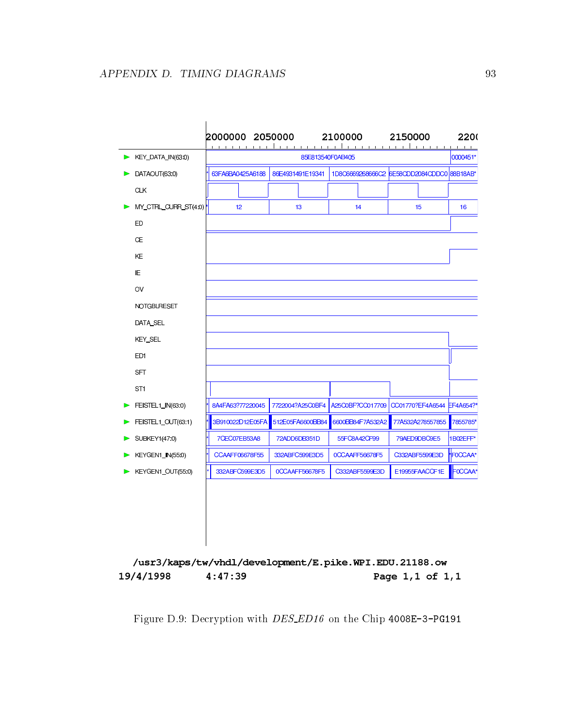

/usr3/kaps/tw/vhdl/development/E.pike.WPI.EDU.21188.ow 19/4/1998  $4:47:39$ Page 1,1 of 1,1

Figure D.9: Decryption with *DES\_ED16* on the Chip 4008E-3-PG191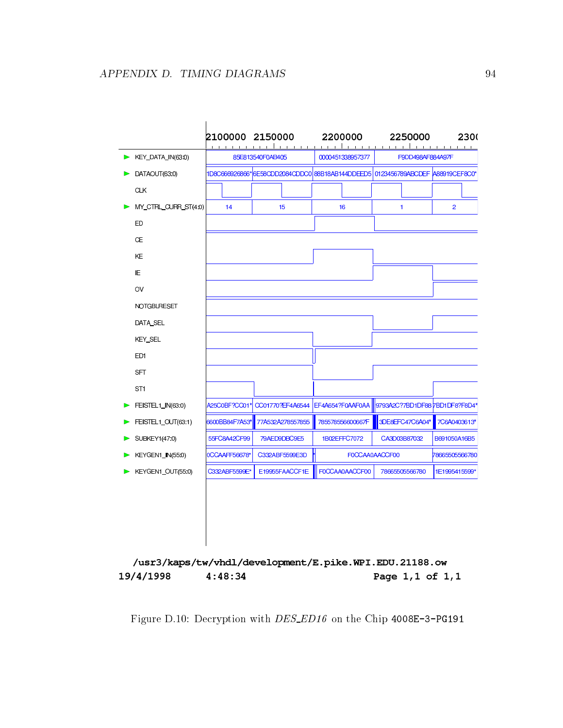

/usr3/kaps/tw/vhdl/development/E.pike.WPI.EDU.21188.ow 19/4/1998  $4:48:34$ Page 1,1 of 1,1

Figure D.10: Decryption with *DES\_ED16* on the Chip 4008E-3-PG191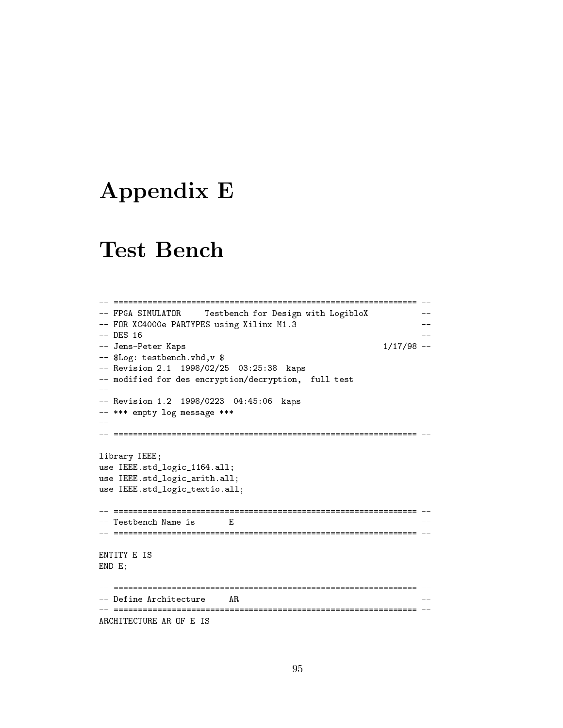#### Appendix E

#### Test Bench

```
-- =============================================================== --
-- FPGA SIMULATOR Testbench for Design with LogibloX
                                               \sim --- FOR XC4000e PARTYPES using Xilinx M1.3 --
                                               - --- Jens-Peter Kaps 1/17/98 --
-- $Log: testbench.vhd,v $
-- Revision 2.1 1998/02/25 03:25:38 kaps
-- modified for des encryption/decryption, full test
--
-- Revision 1.2 1998/0223 04:45:06 kaps
-- *** empty log message ***
\frac{1}{2}library IEEE;
use IEEE.std_logic_1164.all;
use IEEE.std_logic_arith.all;
use IEEE.std_logic_textio.all;
-- =============================================================== --
-- Testbench Name is F
ENTITY E IS
END E;
-- Define Architecture AR --
                                                \sim -ARCHITECTURE AR OF E IS
```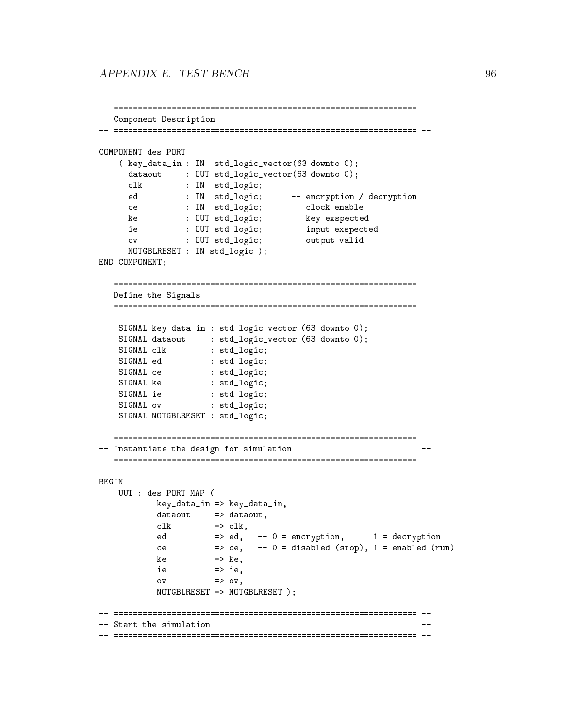```
-- Component Description --
                                                                                \sim -COMPONENT des PORT
     ( key_data_in : IN std_logic_vector(63 downto 0);
       data : Out stadlogical intervention of the state of \mathcal{G}clusters in the interval of \mathbb{R}^n state \mathbb{R}^n state in the interval of \mathbb{R}^ned : In statistical encryption \mathbf{H} statistical encryption \mathbf{H} . The contribution \mathbf{H} and \mathbf{H}ce : In statistics; enable enables
       ke : Out state in the state of the state of the state of the state of the state of the state of the state of t
       ie : OUT std_logic; -- input exspected
       over the output value of the contract of the contract of the contract of the contract of the contract of the c
       NOTGBLRESET : IN std_logic );
END COMPONENT;
-- Define the Signals --
                                                                               \sim - -SIGNAL key_data_in : std_logic_vector (63 downto 0);
     signal databas : sto_logic_vector (63 downto 1);
     signal class : statistics; statistics; statistics; statistics; statistics; statistics; statistics; statistics;
     \blacksquare . The statistical edge of \blacksquare . The statistical edge of \blacksquare\blacksquare . The state is the state in the state in the state in the state in the state in the state in the state in the state in the state in the state in the state in the state in the state in the state in the state in the 
     SIGNAL ke : std_logic;
     SIGNAL ie : std_logic;
     SIGNAL ov : std_logic;
     SIGNAL NOTGBLRESET : std_logic;
-- Instantiate the design for simulation
                                                                                - -BEGIN
    UUT : des PORT MAP (
              key_data_in => key_data_in,
              dataout => dataout,
               clk => clk,
               ed == encryption, \mathbf{r} = encryption, \mathbf{r} = encryption, \mathbf{r} = encryption, \mathbf{r}ce \mathbf{c} and \mathbf{c} and \mathbf{c} and \mathbf{c} and \mathbf{c} enables (resp. ).
               ke => ke,
               ie en die gewone is. In die gewone is die gewone is die gewone is die gewone is die gewone is die gewone is di
               \mathcal{O} . Over the over the over the over the over the over the over the over the over the over the over the over the over the over the over the over the over the over the over the over the over the over the over the ove
              NOTGBLRESET => NOTGBLRESET );
-- Start the simulation --
                                                                                \sim -
```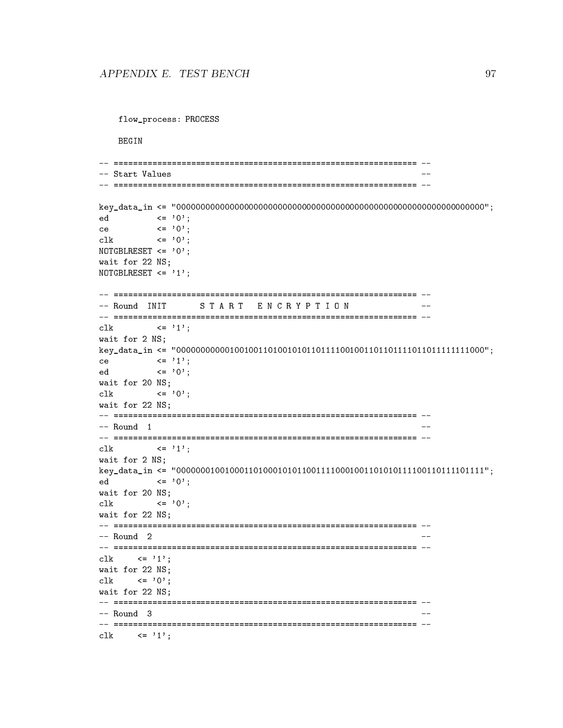```
flow_process: PROCESS
-- =============================================================== --
key_data_in <= "0000000000000000000000000000000000000000000000000000000000000000";
ed <= '0';
ce \langle 2 \rangle \langle 3 \rangle \langle 4 \rangle \langle 5 \rangle \langle 6 \rangle \langle 7 \rangle \langle 8 \rangleclk \langle = '0';
NOTGBLRESET <= '0';
wait for 22 NS;
NOTGBLRESET <= '1';
START ENCRYPTION
-- Round INIT
clk \langle = '1';
wait for 2 NS;
key_data_in <= "0000000000010010011010010101101111001001101101111011011111111000";
ce \langle 2 \rangle \langle 2 \rangle \langle 1 \rangle;
ed <= '0';
wait for 20 NS;
clk \langle = '0';wait for 22 NS;
-- Round 1
clk \langle = '1';
wait for 2 NS;
key_data_in <= "0000000100100011010001010110011110001001101010111100110111101111";
ed <= '0';
wait for 20 NS;
clk \langle = '0';wait for 22 NS;
-- =============================================================== --
-- =============================================================== --
clk \langle = '1';wait for 22 NS;
clk \langle = '0';wait for 22 NS;
-- Round 3
                                                  \sim \simclk \langle = '1';
```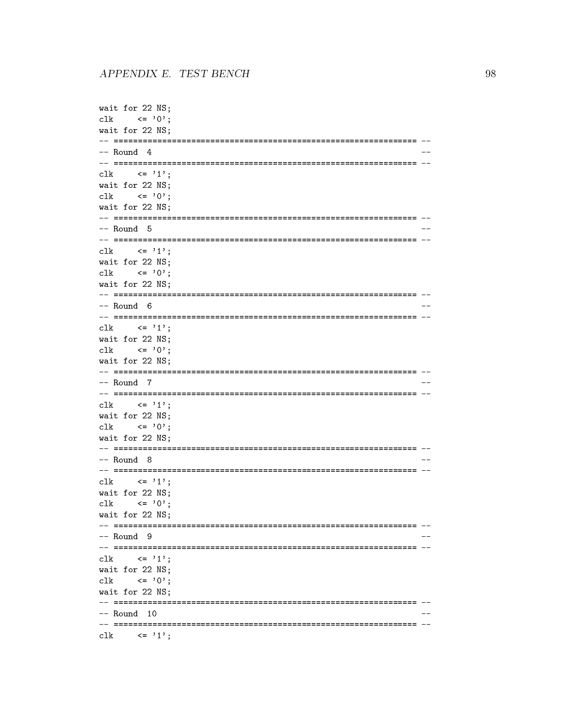```
wait for 22 NS;
   \leftarrow '0':
c1kwait for 22 NS;
-- Round 4
\leq \leq \geq \geq \geq \geq \geq \geq \geq \geq \geq \geq \geq \geq \geq \geq \geq \geq \geq \geq \geq \geq \geq \geq \geq \geq \geq \geq \geq \geq \geq \geq \geq \geq \geq \geq \geqc1kwait for 22 NS;
c1k\leftarrow '0';
wait for 22 NS:
-- Round 5
clk\leq \leq \geq \leq \geq \leq \leq \leq \leq \leq \leq \leq \leq \leq \leq \leq \leq \leq \leq \leq \leq \leq \leq \leq \leq \leq \leq \leq \leq \leq \leq \leq \leq \leq \leq \leq \leqwait for 22 NS:
    \langle = 0, 0 \ranglec1kwait for 22 NS;
-- Round 6
\langle = \rangle 1':
c1kwait for 22 NS;
c1k\langle 2, 0 \ranglewait for 22 NS;
-- Round 7
\langle = '1';clk
wait for 22 NS:
c1k\langle 2 \rangle \langle 3 \rangle :
wait for 22 NS:
-- Round 8\leq \geq \geq \geq \geq \geq \geq \geq \geq \geq \geq \geq \geq \geq \geq \geq \geq \geq \geq \geq \geq \geq \geq \geq \geq \geq \geq \geq \geq \geq \geq \geq \geq \geq \geq \geq \geqclk
wait for 22 NS:
c1k\leftarrow '0';
wait for 22 NS:
-- Round 9
c1k\leq \geq 1':
wait for 22 NS;
   \leftarrow '0':
clk
wait for 22 NS:
-- Round 10\sim \sim\leftarrow '1';
c1k
```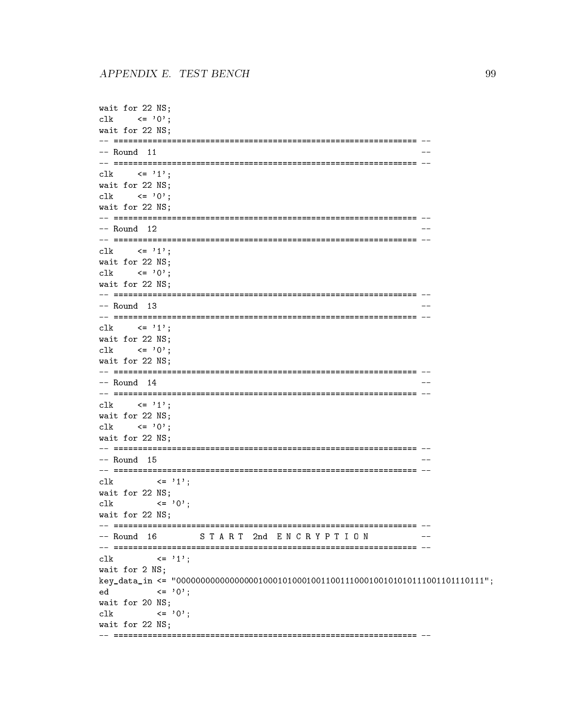```
wait for 22 NS;
    \langle 2, 0 \ranglec1kwait for 22 NS;
-- Round 11
c \, \text{lk}\leq \geq \geq \geq \geq \geq \geq \geq \geq \geq \geq \geq \geq \geq \geq \geq \geq \geq \geq \geq \geq \geq \geq \geq \geq \geq \geq \geq \geq \geq \geq \geq \geq \geq \geq \geq \geqwait for 22 NS;
c1k\leftarrow '0';
wait for 22 NS:
-- Round 12
clk\leq \leq \geq \geq \geq \geq \geq \geq \geq \geq \geq \geq \geq \geq \geq \geq \geq \geq \geq \geq \geq \geq \geq \geq \geq \geq \geq \geq \geq \geq \geq \geq \geq \geq \geq \geq \geqwait for 22 NS:
      \langle = 0, 0 \ranglec1kwait for 22 NS;
-- Round 13
\langle = '1':
c1kwait for 22 NS;
      \langle 2, 0 \ranglec1kwait for 22 NS:
-- Round 14\langle = '1';clk
wait for 22 NS;
c1k\langle 2 \rangle \langle 3 \rangle :
wait for 22 NS:
-- Round 15\leq \geq \geq \geq \geq \geq \geq \geq \geq \geq \geq \geq \geq \geq \geq \geq \geq \geq \geq \geq \geq \geq \geq \geq \geq \geq \geq \geq \geq \geq \geq \geq \geq \geq \geq \geq \geqclk
wait for 22 NS:
           \leq \geq \geq \geq \geq \geq \geq \geq \geq \geq \geq \geq \geq \geq \geq \geq \geq \geq \geq \geq \geq \geq \geq \geq \geq \geq \geq \geq \geq \geq \geq \geq \geq \geq \geq \geq \geqc1kwait for 22 NS:
-- Round 16
                   START 2nd ENCRYPTION
                                                                 ---
\leq \geq 1';
c1kwait for 2 NS;
\leq \geq \geq \geq \geq \geq \geq \geq \geq \geq \geq \geq \geq \geq \geq \geq \geq \geq \geq \geq \geq \geq \geq \geq \geq \geq \geq \geq \geq \geq \geq \geq \geq \geq \geq \geq \geqed
wait for 20 NS;
c1k\leq \geq \geq \geq \geq \geq \geqwait for 22 NS;
```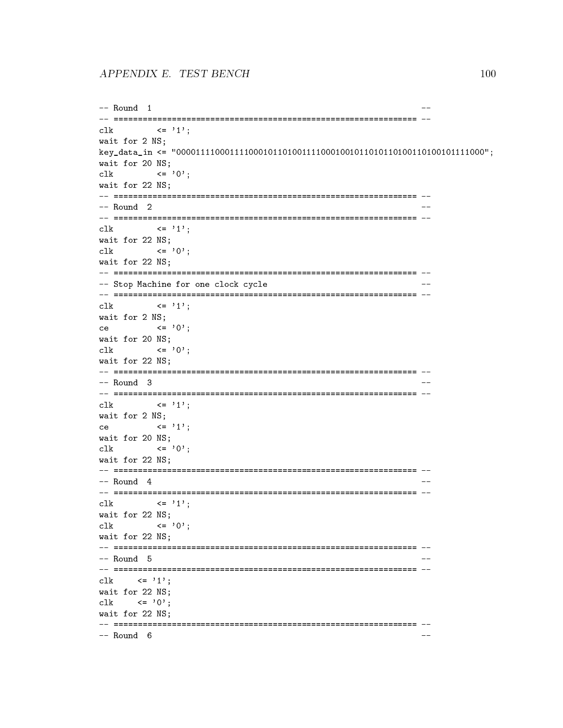```
-- Round 1
                                                               \sim -c1k\leftarrow \leftarrow \left\{1\right\}:
wait for 2 NS;
wait for 20 NS;
c1k\leq \geq \cdot \cdot \leqwait for 22 NS;
-- Round 2
\langle = '1';c1kwait for 22 NS:
c1k\langle 2, 0 \ranglewait for 22 NS:
-- Stop Machine for one clock cycle
c1k\leq \geq \geq \geq \geq \geq \geq \geq \geq \geq \geq \geq \geq \geq \geq \geq \geq \geq \geq \geq \geq \geq \geq \geq \geq \geq \geq \geq \geq \geq \geq \geq \geq \geq \geq \geq \geqwait for 2 NS;
         \langle 2, 0 \ranglecewait for 20 NS;
           \leq \geq \geq \geq \geq \geq \geq \geq \geq \geq \geq \geq \geq \geq \geq \geq \geq \geq \geq \geq \geq \geq \geq \geq \geq \geq \geq \geq \geq \geq \geq \geq \geq \geq \geq \geq \geqc1kwait for 22 NS;
-- Round 3
\langle = '1';clk
wait for 2 NS:
           \leq \geq \geq \geq \geq \geq \geq \geq \geq \geq \geq \geq \geq \geq \geq \geq \geq \geq \geq \geq \geq \geq \geq \geq \geq \geq \geq \geq \geq \geq \geq \geq \geq \geq \geq \geq \geqcewait for 20 NS:
c1k\leq \geq \geq \geq \geq \geq \geq \geq \geq \geq \geq \geq \geq \geq \geq \geq \geq \geq \geq \geq \geq \geq \geq \geq \geq \geq \geq \geq \geq \geq \geq \geq \geq \geq \geq \geq \geqwait for 22 NS;
-- Round 4
clk \langle 2 \rangle \langle 2 \rangle \langle 1 \rangle;
wait for 22 NS;
          \leftarrow '0':
c1kwait for 22 NS;
-- Round 5
clk \langle = '1';
wait for 22 NS;
c1k\langle 2, 0 \ranglewait for 22 NS:
-- Round 6
```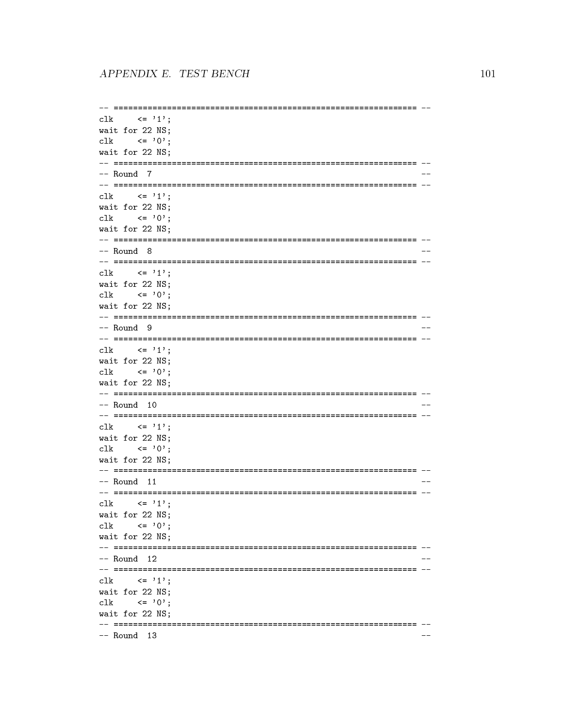```
c1k\langle 2 \rangle \langle 3 \rangle \langle 4 \rangle \langle 1 \rangle :
wait for 22 NS;
c1k\leftarrow '0':
wait for 22 NS;
-- Round 7clk \langle = '1';
wait for 22 NS:
  \leftarrow '0';c1kwait for 22 NS;
-- Round 8\langle = '1';clk
wait for 22 NS;
clk \langle = '0';wait for 22 NS:
-- Round 9
c1k\langle = '1':
wait for 22 NS;
clk \langle = '0';wait for 22 NS;
-- Round 10
\leq \leq \geq \leq \geq \leq \geq \leq \geq \geq \geq \geq \geq \geq \geq \geq \geq \geq \geq \geq \geq \geq \geq \geq \geq \geq \geq \geq \geq \geq \geq \geq \geq \geq \geq \geq \geqc1kwait for 22 NS:
clk \langle = '0' \rangle;
wait for 22 NS;
-- Round 11
clk\langle 2, 1 \ranglewait for 22 NS;
clk \leftarrow '0';
wait for 22 NS;
-- Round 12c1k\langle = '1':
wait for 22 NS;
clk\langle 2, 0 \ranglewait for 22 NS:
-- Round 13
```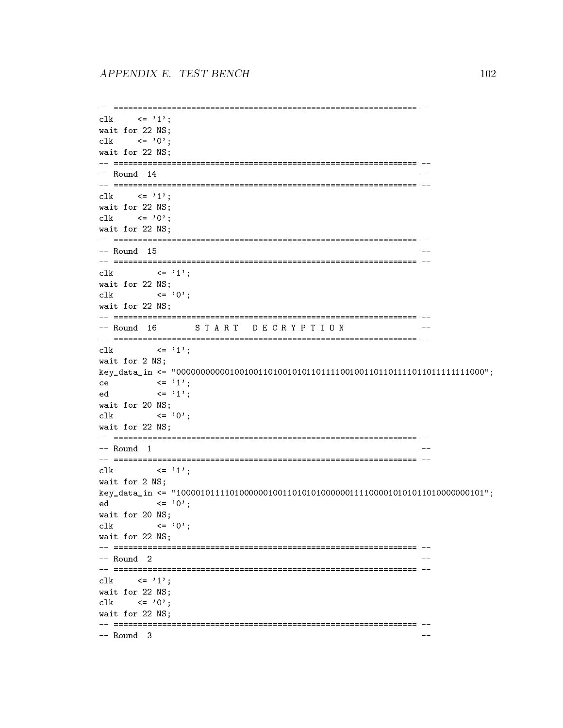```
clk \langle = '1':
wait for 22 NS;
clk \langle = '0' \rangle;
wait for 22 NS;
-- =============================================================== --
clk \langle = '1';
wait for 22 NS;
clk \langle = '0';
wait for 22 NS;
-- Round 15clk \langle = '1';wait for 22 NS;
clk \langle = '0';
wait for 22 NS:
was the 22 NS; \sim 22 NS; \sim 22 NS; \sim 22 NS; \sim 22 NS; \sim 22 NS; \sim 22 NS; \sim 22 NS; \sim 22 NS; \sim 22 NS; \sim 22 NS; \sim 22 NS; \sim 22 NS; \sim 22 NS; \sim 22 NS; \sim 22 NS; \sim 22 NS; \sim 22 NS; \-- =============================================================== --
-- =============================================================== --
clk \langle = '1';
wait for 2 NS;
key_data_in <= "0000000000010010011010010101101111001001101101111011011111111000";
ce \langle 2 \rangle \langle 2 \rangle \langle 3 \rangle;
ed \langle = '1';wait for 20 NS;
clk \langle = '0';
wait for 22 NS;
-- Round 1
                                                                  - -clk \langle = '1';
wait for 2 NS;
key_data_in <= "1000010111101000000100110101010000001111000010101011010000000101";
ed <= '0';
wait for 20 NS;
clk \langle = '0';wait for 22 NS;
-- =============================================================== --
-- =============================================================== --
clk \langle = '1';
wait for 22 NS;
clk \langle = '0';
wait for 22 NS:
where \sim 22 \sim 22 \sim 22 \sim 32 \sim 32 \sim 32 \sim 32 \sim 32 \sim 32 \sim 32 \sim 32 \sim 32 \sim 32 \sim 32 \sim 32 \sim 32 \sim 32 \sim 32 \sim 32 \sim 32 \sim 32 \sim 32 \sim 32 \sim 32 \sim 32 \sim 32 \sim 32
```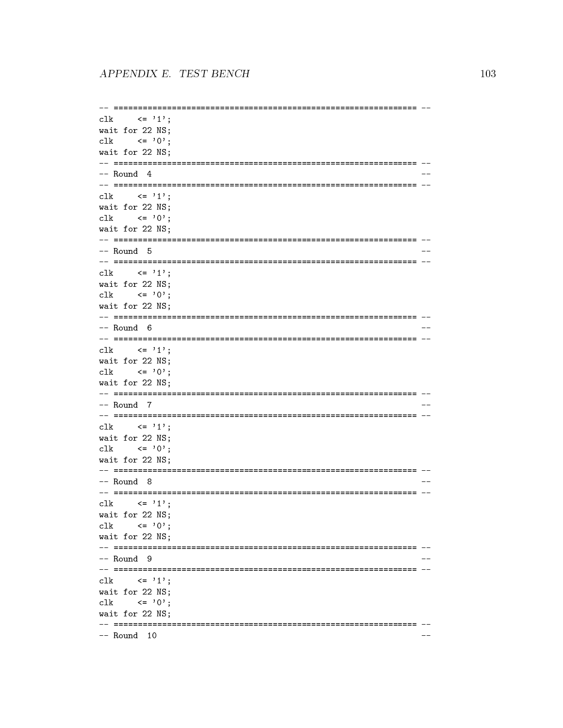```
c1k\langle 2 \rangle \langle 3 \rangle \langle 4 \rangle \langle 1 \rangle :
wait for 22 NS;
c1k\leftarrow '0':
wait for 22 NS;
-- Round 4
clk \langle = '1';
wait for 22 NS:
 \leftarrow '0':
c1kwait for 22 NS;
-- Round 5
\langle = '1';clk
wait for 22 NS;
clk \langle = '0';wait for 22 NS:
-- Round 6c1k\langle = '1';wait for 22 NS;
clk \langle = '0';wait for 22 NS;
-- Round 7c1k\langle = '1':
wait for 22 NS:
clk \langle = '0';wait for 22 NS;
-- Round 8
clk \langle = '1';
wait for 22 NS;
clk \leftarrow '0';
wait for 22 NS;
-- Round 9
clk \langle = '1';
wait for 22 NS;
clk\langle 2, 0 \ranglewait for 22 NS:
-- Round 10
```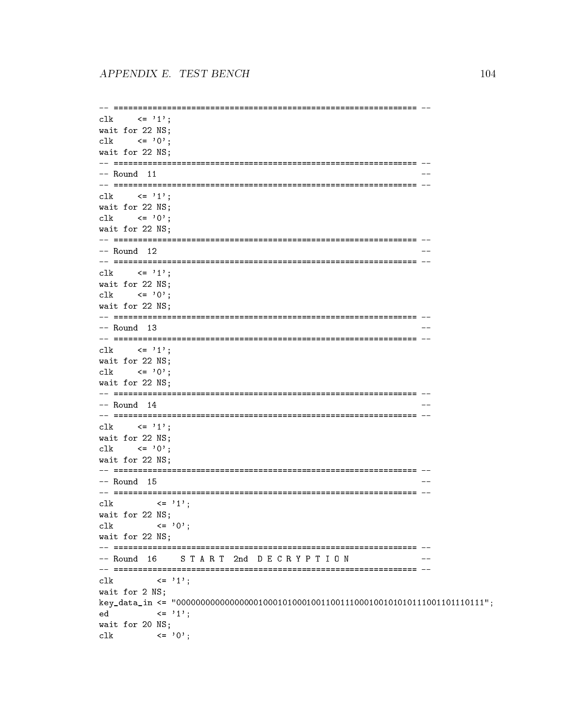```
clk \langle 2 \rangle = \langle 1 \rangle:
wait for 22 NS;
c1k\langle 2 \rangle \langle 3 \rangle :
wait for 22 NS;
-- Round 11
clk \langle = '1';
wait for 22 NS:
clk \langle = '0' \rangle;
wait for 22 NS;
-- Round 12
\langle = '1';clk
wait for 22 NS;
clk \langle = '0';wait for 22 NS:
-- Round 13
c1k\langle = '1':
wait for 22 NS;
clk \leftarrow '0':
wait for 22 NS;
-- Round 14\leq \leq \geq \leq \geq \leq \geq \leq \geq \geq \geq \geq \geq \geq \geq \geq \geq \geq \geq \geq \geq \geq \geq \geq \geq \geq \geq \geq \geq \geq \geq \geq \geq \geq \geq \geq \geqc1kwait for 22 NS:
clk \langle = '0' \rangle;
wait for 22 NS;
-- Round 15\langle = '1';c1kwait for 22 NS;
       \leftarrow '0':
c1kwait for 22 NS;
-- Round 16
          START 2nd DECRYPTION
\langle = '1';clk
wait for 2 NS:
\leq \geq 1':
ed
wait for 20 NS;
c1k\leq \geq \geq \geq \geq \geq \geq \geq \geq \geq \geq \geq \geq \geq \geq \geq \geq \geq \geq \geq \geq \geq \geq \geq \geq \geq \geq \geq \geq \geq \geq \geq \geq \geq \geq \geq \geq
```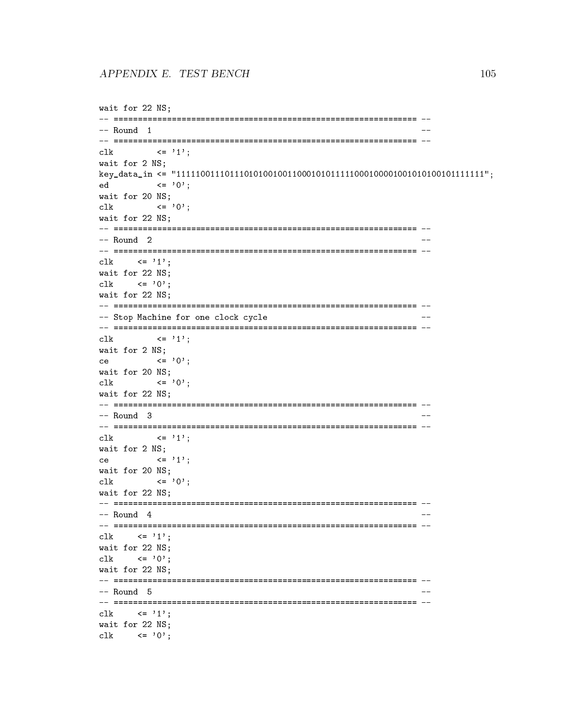```
wait for 22 NS;
-- Round 1
                                      \sim -\leq \geq 1';
c1kwait for 2 NS;
\leftarrow '0';edwait for 20 NS;
c1k\leq '0':
wait for 22 NS:
-- Round 2
                                       \sim -\langle = '1':
c1kwait for 22 NS;
   \leftarrow '0';
c1kwait for 22 NS:
-- Stop Machine for one clock cycle
                                       - -\leq \leq \geq 1';
c1kwait for 2 NS;
ce a control de la control de la control de la control de la control de la control de la control de la control de la control de la control de la control de la control de la control de la control de la control de la control
      \leftarrow '0':
wait for 20 NS;
c1k\leq \geq 0':
wait for 22 NS;
-- Round 3
\langle = \rangle 1':
c1kwait for 2 NS;
      \leq \rightarrow 1':
cewait for 20 NS;
c1k\leftarrow '0';
wait for 22 NS:
-- Round 4
clk \langle = '1';
wait for 22 NS;
  \leftarrow '0':
clk
wait for 22 NS;
-- Round 5
clk \langle = '1'':wait for 22 NS;
\mathsf{clk} \langle = '0' \rangle:
```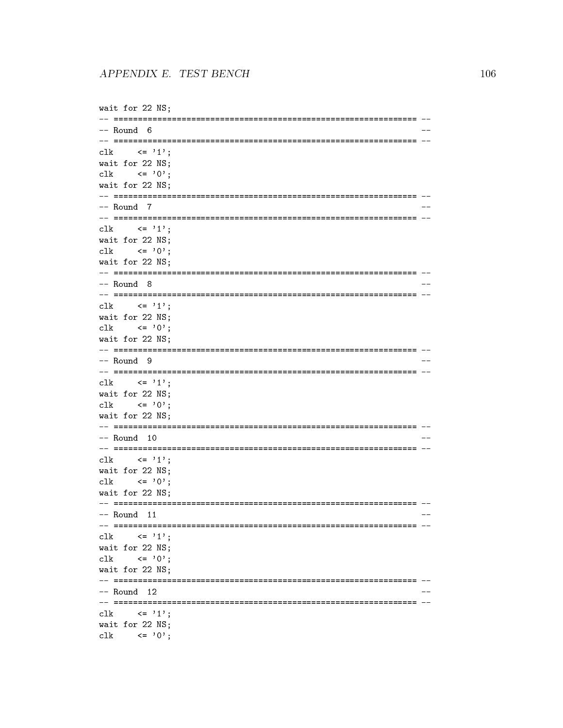```
wait for 22 NS;
-- Round 6\sim -\leq \geq 1';
c1kwait for 22 NS;
   \langle 2, 0 \ranglec1kwait for 22 NS;
-- Round 7c1k\leq '1':
wait for 22 NS;
c1k \leftarrow '0':
wait for 22 NS;
-- Round 8
c1k\leq \geq \geq \geq \geq \geq \geq \geq \geq \geq \geq \geq \geq \geq \geq \geq \geq \geq \geq \geq \geq \geq \geq \geq \geq \geq \geq \geq \geq \geq \geq \geq \geq \geq \geq \geq \geqwait for 22 NS;
   \leftarrow '0':
c1kwait for 22 NS;
-- Round 9
                                                 \hspace{0.1em} \hspace{0.1em} \hspace{0.1em} \hspace{0.1em} \hspace{0.1em}c1k\leq \geq \geq \geq \geq \geq \geq \geq \geq \geq \geq \geq \geq \geq \geq \geq \geq \geq \geq \geq \geq \geq \geq \geq \geq \geq \geq \geq \geq \geq \geq \geq \geq \geq \geq \geq \geqwait for 22 NS;
   \leftarrow '0';
clk
wait for 22 NS;
-- Round 10\langle 2 \rangle \langle 3 \rangle \langle 4 \rangle \langle 1 \rangle ;
c1kwait for 22 NS;
   \leftarrow '0';c1kwait for 22 NS:
-- Round 11
clk \langle = '1';
wait for 22 NS;
     \langle 2 \rangle \langle 3 \rangle \langle 6 \rangleclk
wait for 22 NS;
-- Round 12c1k\langle = '1' \rangle:
wait for 22 NS;
clk \langle = '0';
```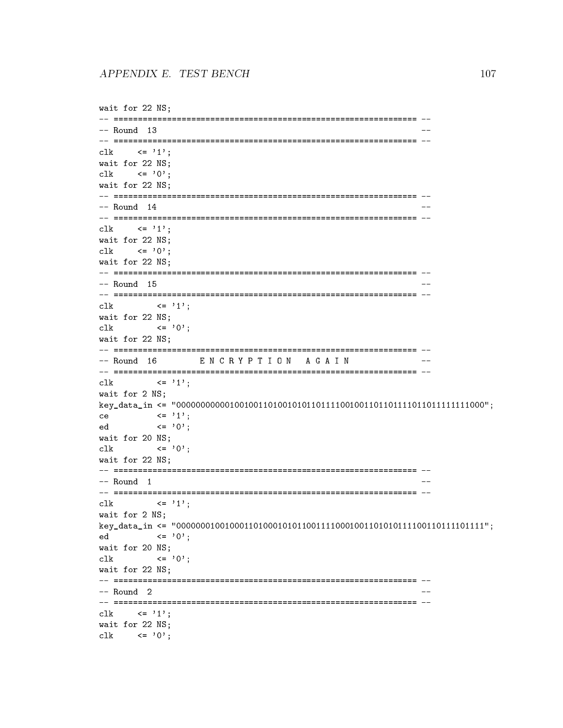```
wait for 22 NS;
-- Round 13
                                                                -clk \langle = '1';
wait for 22 NS;
clk \langle = '0':
wait for 22 NS;
-- =============================================================== --
-- Round 14
-- =============================================================== --
clk \langle = '1':
wait for 22 NS;
clk \langle = '0':
wait for 22 NS;
-- Round 15 --
clk \langle = '1';
wait for 22 NS;
clk \langle = '0';
wait for 22 NS;
-- =============================================================== --
-- Round 16 EN CRYPTION AGAIN
                                                                \hspace{0.1em} \hspace{0.1em} \hspace{0.1em} \hspace{0.1em} \hspace{0.1em}\mathsf{clk} \qquad \qquad \mathsf{<=}\quad \mathsf{'1'} \; ;wait for 2 NS;
key_data_in <= "0000000000010010011010010101101111001001101101111011011111111000";
ce \langle 2 \rangle \langle 2 \rangle \langle 3 \rangle;
ed \langle = '0';
wait for 20 NS;
clk \langle = '0';
wait for 22 NS:
was the 22 NS; \sim 22 NS; \sim 22 NS; \sim 22 NS; \sim 22 NS; \sim 22 NS; \sim 22 NS; \sim 22 NS; \sim 22 NS; \sim 22 NS; \sim 22 NS; \sim 22 NS; \sim 22 NS; \sim 22 NS; \sim 22 NS; \sim 22 NS; \sim 22 NS; \sim 22 NS; \-- =============================================================== --
-- Round 1clk \langle = '1';
wait for 2 NS;
key_data_in <= "0000000100100011010001010110011110001001101010111100110111101111";
ed <= '0';
wait for 20 NS;
clk \langle = '0';wait for 22 NS;
-- =============================================================== --
clk \langle = '1'':wait for 22 NS;
clk \langle = '0':
```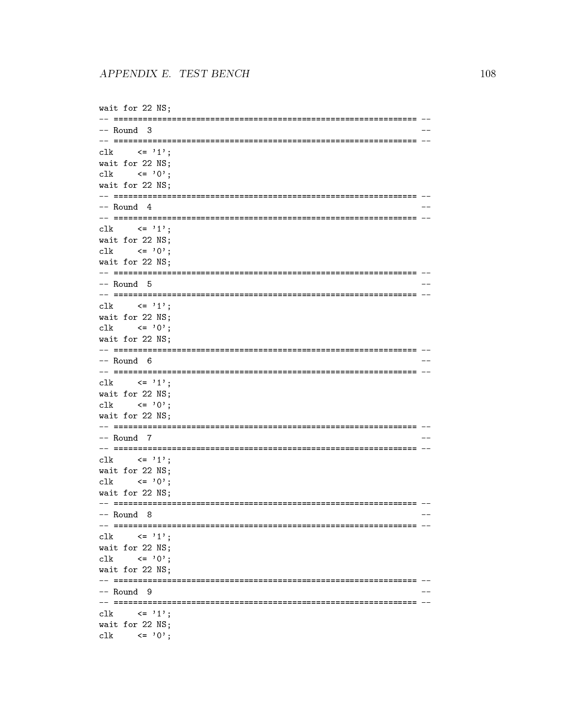```
wait for 22 NS;
-- Round 3
                                         \sim -\leq \geq 1';
c1kwait for 22 NS;
  \langle 2, 0 \ranglec1kwait for 22 NS;
-- Round 4
c1k\leq '1':
wait for 22 NS;
c1k \leftarrow '0':
wait for 22 NS:
-- Round 5
c1k\leq \geq \geq \geq \geq \geq \geq \geq \geq \geq \geq \geq \geq \geq \geq \geq \geq \geq \geq \geq \geq \geq \geq \geq \geq \geq \geq \geq \geq \geq \geq \geq \geq \geq \geq \geq \geqwait for 22 NS;
  \leftarrow '0':
c1kwait for 22 NS;
-- Round 6\hspace{0.1em} \hspace{0.1em} \hspace{0.1em} \hspace{0.1em} \hspace{0.1em}c1k\leq \geq 1':
wait for 22 NS;
  \leftarrow '0';
clk
wait for 22 NS;
-- Round 7\langle 2 \rangle \langle 3 \rangle \langle 4 \rangle \langle 1 \rangle ;
c1kwait for 22 NS;
c1k\leftarrow '0';wait for 22 NS:
-- Round 8clk \langle = '1';
wait for 22 NS;
    \langle 2 \rangle \langle 3 \rangle \langle 6 \rangleclk
wait for 22 NS;
-- Round 9
c1k\langle = '1' \rangle:
wait for 22 NS;
clk \langle = '0';
```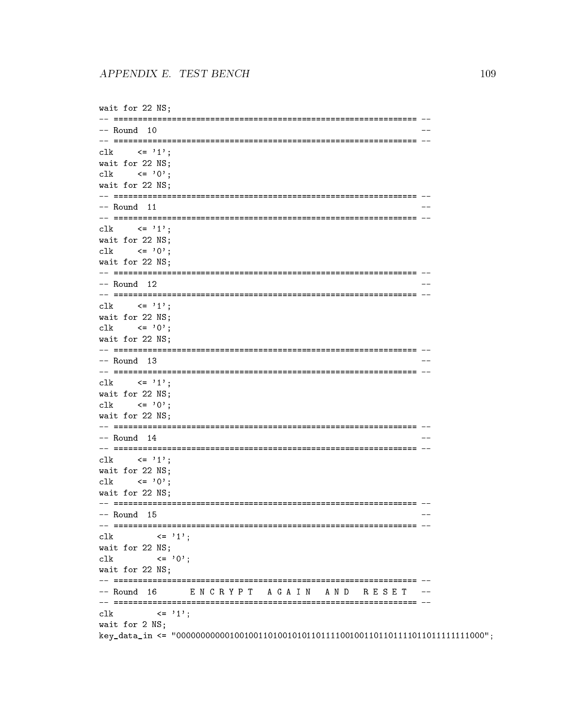```
wait for 22 NS;
-- Round 10
                                                 \sim -c1k\leq \geq \geq \geq \geq \geq \geq \geq \geq \geq \geq \geq \geq \geq \geq \geq \geq \geq \geq \geq \geq \geq \geq \geq \geq \geq \geq \geq \geq \geq \geq \geq \geq \geq \geq \geq \geqwait for 22 NS;
c1k\leftarrow '0':
wait for 22 NS;
-- Round 11
c1k\leq '1':
wait for 22 NS;
c1k \leftarrow '0':
wait for 22 NS:
-- Round 12c1k\leq \geq \geq \geq \geq \geq \geq \geq \geq \geq \geq \geq \geq \geq \geq \geq \geq \geq \geq \geq \geq \geq \geq \geq \geq \geq \geq \geq \geq \geq \geq \geq \geq \geq \geq \geq \geqwait for 22 NS;
\mathsf{clk} \langle = '0' \rangle:
wait for 22 NS;
-- Round 13\hspace{0.1em} \hspace{0.1em} \hspace{0.1em} \hspace{0.1em} \hspace{0.1em}\leq \geq \geq \geq \geq \geq \geq \geq \geq \geq \geq \geq \geq \geq \geq \geq \geq \geq \geq \geq \geq \geq \geq \geq \geq \geq \geq \geq \geq \geq \geq \geq \geq \geq \geq \geq \geqc1kwait for 22 NS;
   \leftarrow '0';
clk
wait for 22 NS;
-- Round 14
\leftarrow '1';
c1kwait for 22 NS;
   \leftarrow '0';c1kwait for 22 NS:
-- Round 15clk
   \left(1\right) \left(1\right) :
wait for 22 NS;
        \leq \geq 0':
clk
wait for 22 NS;
-- Round 16 ENCRYPT AGAIN AND RESET
\leq \geq 1':
c1kwait for 2 NS:
```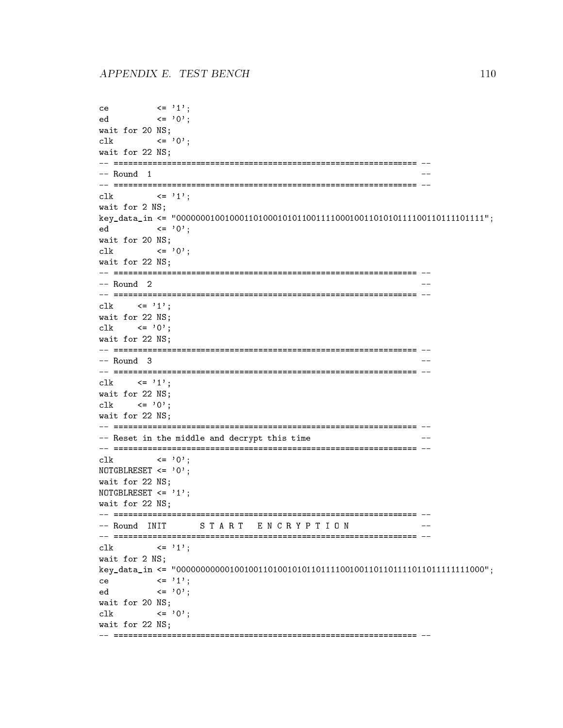```
ce \langle 2 \rangle \langle 2 \rangle \langle 1 \rangle;
ed <= '0';
wait for 20 NS;
clk \langle = '0';
wait for 22 NS;
-- =============================================================== --
clk \langle = '1';
wait for 2 NS;
key_data_in <= "0000000100100011010001010110011110001001101010111100110111101111";
ed <= '0';
wait for 20 NS;
clk \langle = '0';
wait for 22 NS;
- Round 2
clk \langle = '1':
wait for 22 NS;
clk \langle = '0';
wait for 22 NS;
-- =============================================================== --
                                                  \hspace{0.1em} \hspace{0.1em} \hspace{0.1em} \hspace{0.1em} \hspace{0.1em}clk \langle = '1';
wait for 22 NS;
clk \langle = '0';wait for 22 NS;
-- Reset in the middle and decrypt this time
clk \langle = '0';
NOTGBLRESET <= '0';
wait for 22 NS;
NOTGBLRESET \leq '1':
wait for 22 NS;
-- Round INIT START ENCRYPTION
-- =============================================================== --
clk \langle = '1';
wait for 2 NS;
key_data_in <= "0000000000010010011010010101101111001001101101111011011111111000";
ce \langle 2 \rangle \langle 2 \rangle \langle 1 \rangle;
ed <= '0';
wait for 20 NS;
clk \langle = '0':
wait for 22 NS;
```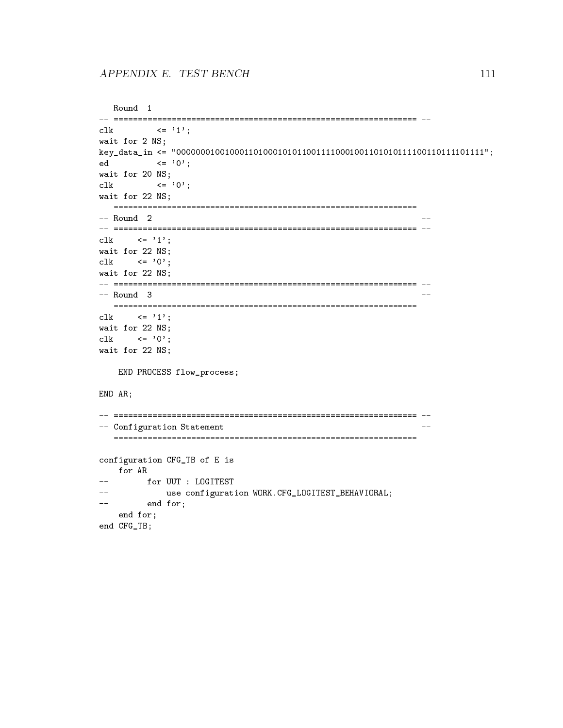```
-- Round 1
                                             - -clk \langle = '1';wait for 2 NS;
key_data_in <= "0000000100100011010001010110011110001001101010111100110111101111";
ed <= '0';
wait for 20 NS;
clk \langle = '0';wait for 22 NS;
clk \langle = '1';
wait for 22 NS;
clk \langle = '0';
wait for 22 NS;
-- =============================================================== --
-- Round 3
                                             - -clk \langle = '1';
wait for 22 NS;
clk \langle = '0';wait for 22 NS;
  END PROCESS flow_process;
END AR;
-- Configuration Statement
                                              -configuration CFG_TB of E is
  for AR
      for UUT : LOGITEST
\sim \sim \sim\pm \pm 1use configuration WORK.CFG_LOGITEST_BEHAVIORAL;
\frac{1}{2} and \frac{1}{2}end for;
  end for;
end CFG_TB;
```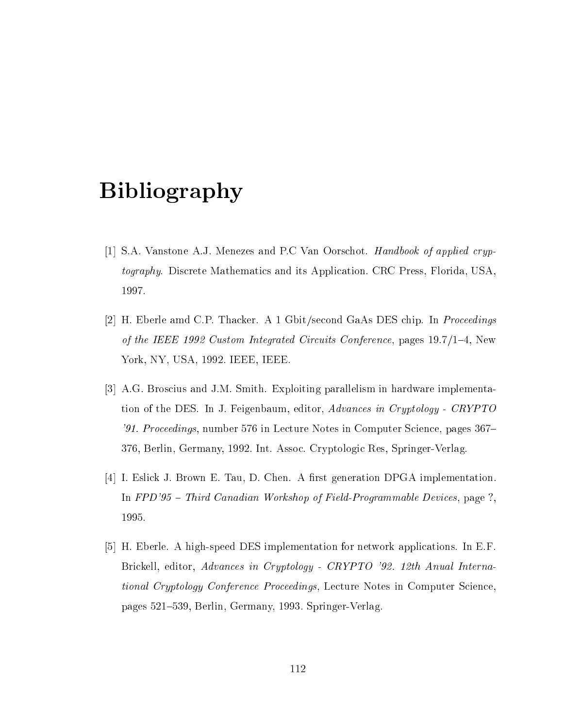## Bibliography

- [1] S.A. Vanstone A.J. Menezes and P.C Van Oorschot. Handbook of applied cryptography. Discrete Mathematics and its Application. CRC Press, Florida, USA, 1997.
- [2] H. Eberle amd C.P. Thacker. A 1 Gbit/second GaAs DES chip. In Proceedings of the IEEE 1992 Custom Integrated Circuits Conference, pages  $19.7/1{-}4$ , New York, NY, USA, 1992. IEEE, IEEE.
- [3] A.G. Broscius and J.M. Smith. Exploiting parallelism in hardware implementation of the DES. In J. Feigenbaum, editor, Advances in Cryptology - CRYPTO '91. Proceedings, number 576 in Lecture Notes in Computer Science, pages 367– 376, Berlin, Germany, 1992. Int. Assoc. Cryptologic Res, Springer-Verlag.
- [4] I. Eslick J. Brown E. Tau, D. Chen. A first generation DPGA implementation. In FPD'95 - Third Canadian Workshop of Field-Programmable Devices, page ?, 1995.
- [5] H. Eberle. A high-speed DES implementation for network applications. In E.F. Brickell, editor, Advances in Cryptology - CRYPTO '92. 12th Anual International Cryptology Conference Proceedings, Lecture Notes in Computer Science, pages 521–539, Berlin, Germany, 1993. Springer-Verlag.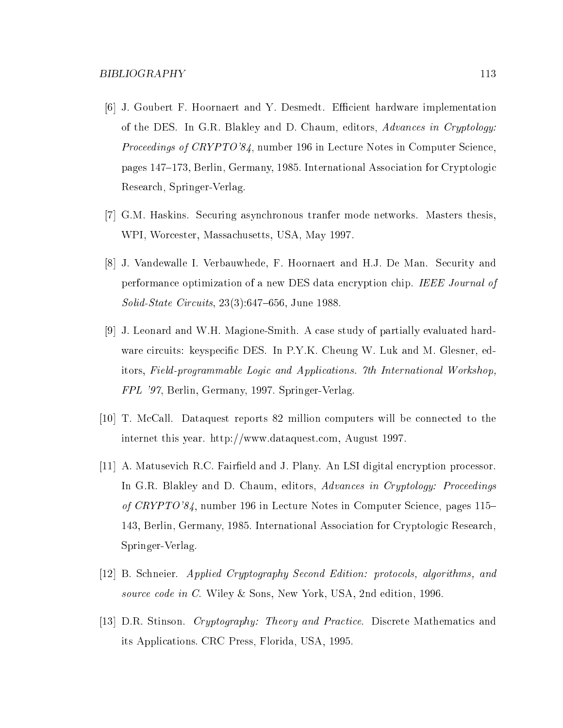- [6] J. Goubert F. Hoornaert and Y. Desmedt. Efficient hardware implementation of the DES. In G.R. Blakley and D. Chaum, editors, Advances in Cryptology: Proceedings of CRYPTO'84, number 196 in Lecture Notes in Computer Science, pages 147-173, Berlin, Germany, 1985. International Association for Cryptologic Research, Springer-Verlag.
- [7] G.M. Haskins. Securing asynchronous tranfer mode networks. Masters thesis, WPI, Worcester, Massachusetts, USA, May 1997.
- [8] J. Vandewalle I. Verbauwhede, F. Hoornaert and H.J. De Man. Security and performance optimization of a new DES data encryption chip. IEEE Journal of  $Solid-State Circuits$ ,  $23(3):647–656$ , June 1988.
- [9] J. Leonard and W.H. Magione-Smith. A case study of partially evaluated hardware circuits: keyspecific DES. In P.Y.K. Cheung W. Luk and M. Glesner, editors, Field-programmable Logic and Applications. 7th International Workshop, FPL '97, Berlin, Germany, 1997. Springer-Verlag.
- [10] T. McCall. Dataquest reports 82 million computers will be connected to the internet this year. http://www.dataquest.com, August 1997.
- [11] A. Matusevich R.C. Faireld and J. Plany. An LSI digital encryption processor. In G.R. Blakley and D. Chaum, editors, Advances in Cryptology: Proceedings of CRYPTO'84, number 196 in Lecture Notes in Computer Science, pages 115– 143, Berlin, Germany, 1985. International Association for Cryptologic Research, Springer-Verlag.
- [12] B. Schneier. Applied Cryptography Second Edition: protocols, algorithms, and source code in C. Wiley & Sons, New York, USA, 2nd edition, 1996.
- [13] D.R. Stinson. Cryptography: Theory and Practice. Discrete Mathematics and its Applications. CRC Press, Florida, USA, 1995.